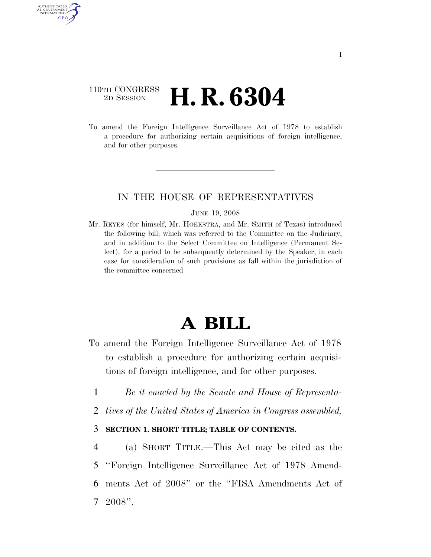## 110TH CONGRESS <sup>2D SESSION</sup> **H. R. 6304**

AUTHENTICATED U.S. GOVERNMENT GPO

> To amend the Foreign Intelligence Surveillance Act of 1978 to establish a procedure for authorizing certain acquisitions of foreign intelligence, and for other purposes.

## IN THE HOUSE OF REPRESENTATIVES

#### JUNE 19, 2008

Mr. REYES (for himself, Mr. HOEKSTRA, and Mr. SMITH of Texas) introduced the following bill; which was referred to the Committee on the Judiciary, and in addition to the Select Committee on Intelligence (Permanent Select), for a period to be subsequently determined by the Speaker, in each case for consideration of such provisions as fall within the jurisdiction of the committee concerned

# **A BILL**

- To amend the Foreign Intelligence Surveillance Act of 1978 to establish a procedure for authorizing certain acquisitions of foreign intelligence, and for other purposes.
	- 1 *Be it enacted by the Senate and House of Representa-*
- 2 *tives of the United States of America in Congress assembled,*

## 3 **SECTION 1. SHORT TITLE; TABLE OF CONTENTS.**

 (a) SHORT TITLE.—This Act may be cited as the ''Foreign Intelligence Surveillance Act of 1978 Amend- ments Act of 2008'' or the ''FISA Amendments Act of 7 2008''.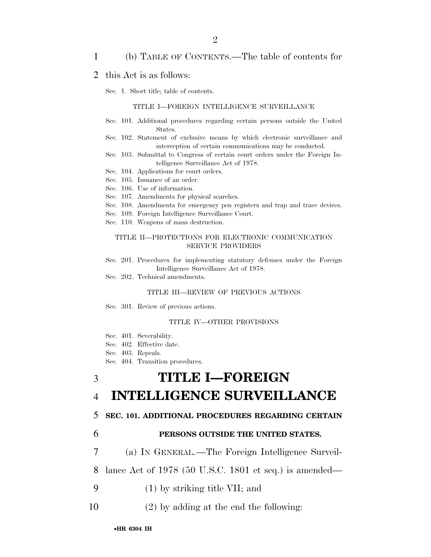### 1 (b) TABLE OF CONTENTS.—The table of contents for

#### 2 this Act is as follows:

Sec. 1. Short title; table of contents.

#### TITLE I—FOREIGN INTELLIGENCE SURVEILLANCE

- Sec. 101. Additional procedures regarding certain persons outside the United States.
- Sec. 102. Statement of exclusive means by which electronic surveillance and interception of certain communications may be conducted.
- Sec. 103. Submittal to Congress of certain court orders under the Foreign Intelligence Surveillance Act of 1978.
- Sec. 104. Applications for court orders.
- Sec. 105. Issuance of an order.
- Sec. 106. Use of information.
- Sec. 107. Amendments for physical searches.
- Sec. 108. Amendments for emergency pen registers and trap and trace devices.
- Sec. 109. Foreign Intelligence Surveillance Court.
- Sec. 110. Weapons of mass destruction.

#### TITLE II—PROTECTIONS FOR ELECTRONIC COMMUNICATION SERVICE PROVIDERS

- Sec. 201. Procedures for implementing statutory defenses under the Foreign Intelligence Surveillance Act of 1978.
- Sec. 202. Technical amendments.

#### TITLE III—REVIEW OF PREVIOUS ACTIONS

Sec. 301. Review of previous actions.

#### TITLE IV—OTHER PROVISIONS

- Sec. 401. Severability.
- Sec. 402. Effective date.
- Sec. 403. Repeals.
- Sec. 404. Transition procedures.

## 3 **TITLE I—FOREIGN**

## 4 **INTELLIGENCE SURVEILLANCE**

#### 5 **SEC. 101. ADDITIONAL PROCEDURES REGARDING CERTAIN**

## 6 **PERSONS OUTSIDE THE UNITED STATES.**

7 (a) IN GENERAL.—The Foreign Intelligence Surveil-

8 lance Act of 1978 (50 U.S.C. 1801 et seq.) is amended—

- 9 (1) by striking title VII; and
- 10 (2) by adding at the end the following: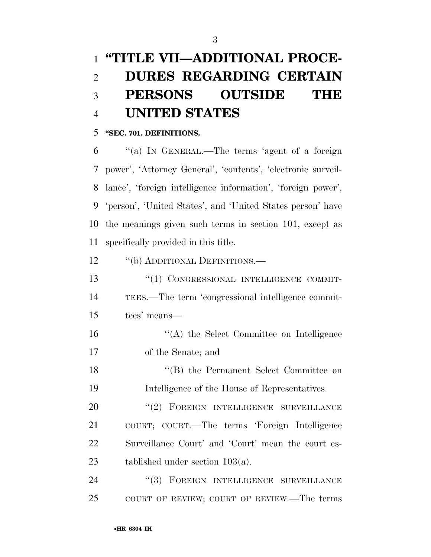# **''TITLE VII—ADDITIONAL PROCE- DURES REGARDING CERTAIN PERSONS OUTSIDE THE UNITED STATES**

### **''SEC. 701. DEFINITIONS.**

 ''(a) IN GENERAL.—The terms 'agent of a foreign power', 'Attorney General', 'contents', 'electronic surveil- lance', 'foreign intelligence information', 'foreign power', 'person', 'United States', and 'United States person' have the meanings given such terms in section 101, except as specifically provided in this title.

12 <sup>''</sup>(b) ADDITIONAL DEFINITIONS.

13 "(1) CONGRESSIONAL INTELLIGENCE COMMIT- TEES.—The term 'congressional intelligence commit-tees' means—

 ''(A) the Select Committee on Intelligence of the Senate; and

 ''(B) the Permanent Select Committee on Intelligence of the House of Representatives.

20 "(2) FOREIGN INTELLIGENCE SURVEILLANCE COURT; COURT.—The terms 'Foreign Intelligence Surveillance Court' and 'Court' mean the court es-tablished under section 103(a).

24 "(3) FOREIGN INTELLIGENCE SURVEILLANCE COURT OF REVIEW; COURT OF REVIEW.—The terms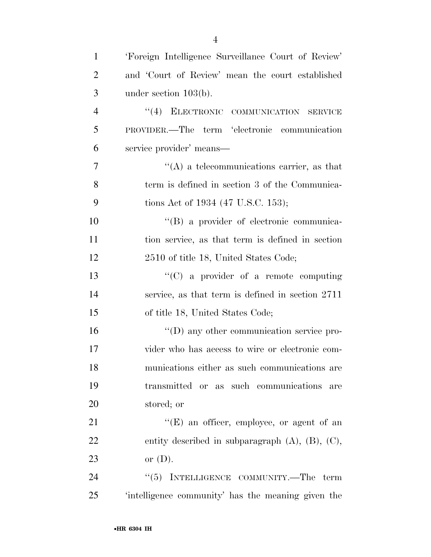| $\mathbf{1}$   | 'Foreign Intelligence Surveillance Court of Review'      |
|----------------|----------------------------------------------------------|
| $\overline{2}$ | and 'Court of Review' mean the court established         |
| 3              | under section $103(b)$ .                                 |
| $\overline{4}$ | "(4) ELECTRONIC COMMUNICATION SERVICE                    |
| 5              | PROVIDER.—The term 'electronic communication             |
| 6              | service provider' means—                                 |
| 7              | $\lq\lq$ a telecommunications carrier, as that           |
| 8              | term is defined in section 3 of the Communica-           |
| 9              | tions Act of 1934 (47 U.S.C. 153);                       |
| 10             | "(B) a provider of electronic communica-                 |
| 11             | tion service, as that term is defined in section         |
| 12             | 2510 of title 18, United States Code;                    |
| 13             | "(C) a provider of a remote computing                    |
| 14             | service, as that term is defined in section 2711         |
| 15             | of title 18, United States Code;                         |
| 16             | $\lq\lq$ (D) any other communication service pro-        |
| 17             | vider who has access to wire or electronic com-          |
| 18             | munications either as such communications are            |
| 19             | transmitted or as such communications<br>are             |
| 20             | stored; or                                               |
| 21             | $\lq\lq(E)$ an officer, employee, or agent of an         |
| 22             | entity described in subparagraph $(A)$ , $(B)$ , $(C)$ , |
| 23             | or $(D)$ .                                               |
| 24             | INTELLIGENCE COMMUNITY.-The term<br>(5)                  |
| 25             | 'intelligence community' has the meaning given the       |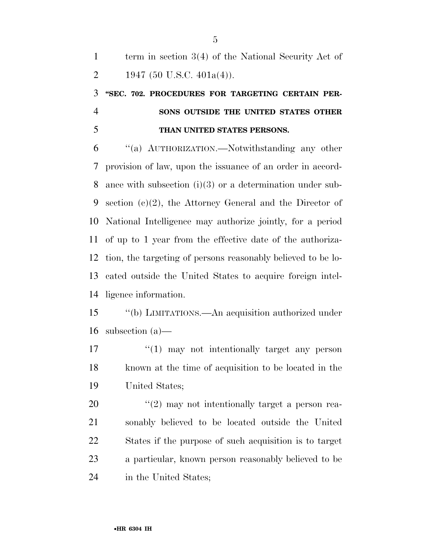term in section 3(4) of the National Security Act of 2 1947 (50 U.S.C. 401a(4)).

## **''SEC. 702. PROCEDURES FOR TARGETING CERTAIN PER- SONS OUTSIDE THE UNITED STATES OTHER THAN UNITED STATES PERSONS.**

 ''(a) AUTHORIZATION.—Notwithstanding any other provision of law, upon the issuance of an order in accord- ance with subsection (i)(3) or a determination under sub- section (c)(2), the Attorney General and the Director of National Intelligence may authorize jointly, for a period of up to 1 year from the effective date of the authoriza- tion, the targeting of persons reasonably believed to be lo- cated outside the United States to acquire foreign intel-ligence information.

 ''(b) LIMITATIONS.—An acquisition authorized under subsection (a)—

17  $\frac{1}{2}$  (1) may not intentionally target any person known at the time of acquisition to be located in the United States;

 $\frac{1}{20}$  ''(2) may not intentionally target a person rea- sonably believed to be located outside the United States if the purpose of such acquisition is to target a particular, known person reasonably believed to be in the United States;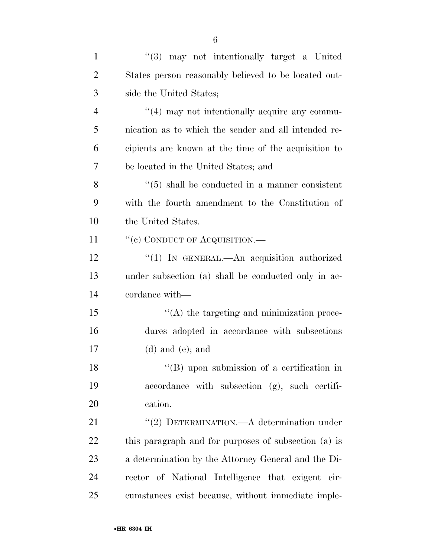| $\mathbf{1}$   | $(3)$ may not intentionally target a United                |
|----------------|------------------------------------------------------------|
| $\overline{2}$ | States person reasonably believed to be located out-       |
| 3              | side the United States;                                    |
| $\overline{4}$ | "(4) may not intentionally acquire any commu-              |
| 5              | nication as to which the sender and all intended re-       |
| 6              | cipients are known at the time of the acquisition to       |
| 7              | be located in the United States; and                       |
| 8              | $\cdot\cdot$ (5) shall be conducted in a manner consistent |
| 9              | with the fourth amendment to the Constitution of           |
| 10             | the United States.                                         |
| 11             | "(c) CONDUCT OF ACQUISITION.—                              |
| 12             | "(1) IN GENERAL.—An acquisition authorized                 |
| 13             | under subsection (a) shall be conducted only in ac-        |
| 14             | cordance with—                                             |
| 15             | $\lq\lq$ the targeting and minimization proce-             |
| 16             | dures adopted in accordance with subsections               |
| 17             | $(d)$ and $(e)$ ; and                                      |
| 18             | "(B) upon submission of a certification in                 |
| 19             | accordance with subsection (g), such certifi-              |
| 20             | cation.                                                    |
| 21             | "(2) DETERMINATION.—A determination under                  |
| 22             | this paragraph and for purposes of subsection (a) is       |
| 23             | a determination by the Attorney General and the Di-        |
| 24             | rector of National Intelligence that exigent cir-          |
| 25             | cumstances exist because, without immediate imple-         |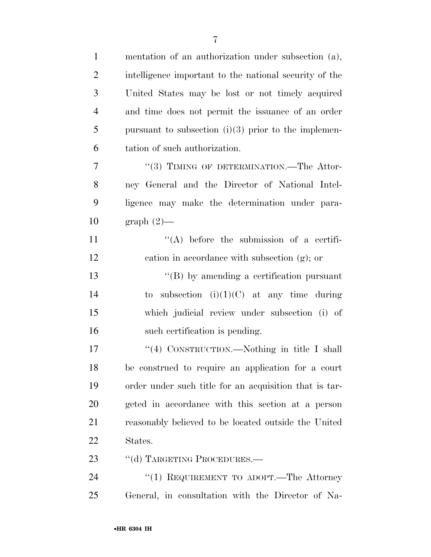| $\mathbf{1}$   | mentation of an authorization under subsection (a),    |
|----------------|--------------------------------------------------------|
| $\overline{2}$ | intelligence important to the national security of the |
| 3              | United States may be lost or not timely acquired       |
| $\overline{4}$ | and time does not permit the issuance of an order      |
| 5              | pursuant to subsection $(i)(3)$ prior to the implemen- |
| 6              | tation of such authorization.                          |
| 7              | "(3) TIMING OF DETERMINATION.—The Attor-               |
| 8              | ney General and the Director of National Intel-        |
| 9              | ligence may make the determination under para-         |
| 10             | $graph(2)$ —                                           |
| 11             | $\lq\lq$ before the submission of a certifi-           |
| 12             | cation in accordance with subsection $(g)$ ; or        |
| 13             | $\lq\lq (B)$ by amending a certification pursuant      |
| 14             | to subsection $(i)(1)(C)$ at any time during           |
| 15             | which judicial review under subsection (i) of          |
| 16             | such certification is pending.                         |
| 17             | "(4) CONSTRUCTION.—Nothing in title I shall            |
| 18             | be construed to require an application for a court     |
| 19             | order under such title for an acquisition that is tar- |
| 20             | geted in accordance with this section at a person      |
| 21             | reasonably believed to be located outside the United   |
| 22             | States.                                                |
| 23             | "(d) TARGETING PROCEDURES.—                            |
| 24             | "(1) REQUIREMENT TO ADOPT.—The Attorney                |
| 25             | General, in consultation with the Director of Na-      |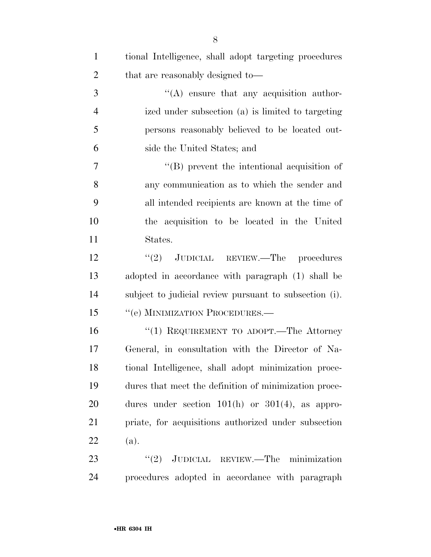| $\mathbf{1}$   | tional Intelligence, shall adopt targeting procedures  |
|----------------|--------------------------------------------------------|
| $\overline{2}$ | that are reasonably designed to—                       |
| 3              | $\lq\lq$ ensure that any acquisition author-           |
| $\overline{4}$ | ized under subsection (a) is limited to targeting      |
| 5              | persons reasonably believed to be located out-         |
| 6              | side the United States; and                            |
| 7              | $\lq\lq$ (B) prevent the intentional acquisition of    |
| 8              | any communication as to which the sender and           |
| 9              | all intended recipients are known at the time of       |
| 10             | the acquisition to be located in the United            |
| 11             | States.                                                |
| 12             | $\lq(2)$ JUDICIAL REVIEW.—The procedures               |
| 13             | adopted in accordance with paragraph (1) shall be      |
| 14             | subject to judicial review pursuant to subsection (i). |
| 15             | "(e) MINIMIZATION PROCEDURES.—                         |
| 16             | "(1) REQUIREMENT TO ADOPT.—The Attorney                |
| 17             | General, in consultation with the Director of Na-      |
| 18             | tional Intelligence, shall adopt minimization proce-   |
| 19             | dures that meet the definition of minimization proce-  |
| 20             | dures under section $101(h)$ or $301(4)$ , as appro-   |
| 21             | priate, for acquisitions authorized under subsection   |
| 22             | (a).                                                   |
| 23             | $\lq(2)$ JUDICIAL REVIEW.—The minimization             |
| 24             | procedures adopted in accordance with paragraph        |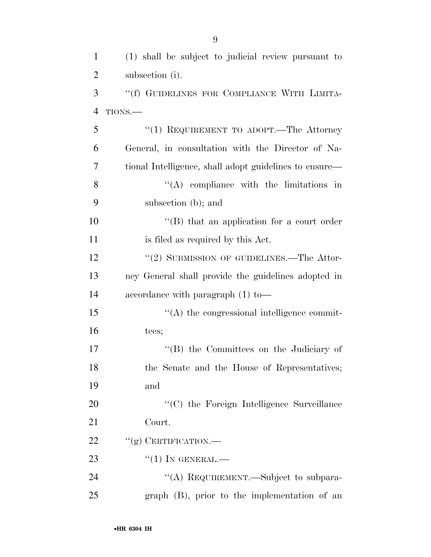| $\mathbf{1}$   | (1) shall be subject to judicial review pursuant to    |
|----------------|--------------------------------------------------------|
| $\overline{2}$ | subsection (i).                                        |
| 3              | "(f) GUIDELINES FOR COMPLIANCE WITH LIMITA-            |
| $\overline{4}$ | TIONS.-                                                |
| 5              | "(1) REQUIREMENT TO ADOPT.—The Attorney                |
| 6              | General, in consultation with the Director of Na-      |
| 7              | tional Intelligence, shall adopt guidelines to ensure— |
| 8              | $\lq\lq$ compliance with the limitations in            |
| 9              | subsection (b); and                                    |
| 10             | $\lq\lq (B)$ that an application for a court order     |
| 11             | is filed as required by this Act.                      |
| 12             | "(2) SUBMISSION OF GUIDELINES.—The Attor-              |
| 13             | ney General shall provide the guidelines adopted in    |
| 14             | accordance with paragraph $(1)$ to —                   |
| 15             | "(A) the congressional intelligence commit-            |
| 16             | tees;                                                  |
| 17             | "(B) the Committees on the Judiciary of                |
| 18             | the Senate and the House of Representatives;           |
| 19             | and                                                    |
| 20             | "(C) the Foreign Intelligence Surveillance             |
| 21             | Court.                                                 |
| 22             | "(g) CERTIFICATION.—                                   |
| 23             | $``(1)$ IN GENERAL.—                                   |
| 24             | "(A) REQUIREMENT.—Subject to subpara-                  |
| 25             | graph (B), prior to the implementation of an           |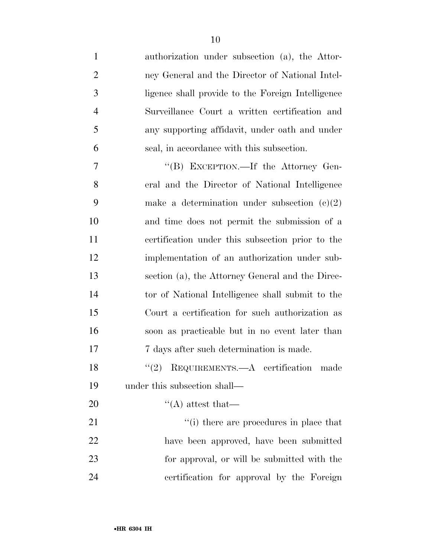| $\mathbf{1}$   | authorization under subsection (a), the Attor-    |
|----------------|---------------------------------------------------|
| $\overline{2}$ | ney General and the Director of National Intel-   |
| 3              | ligence shall provide to the Foreign Intelligence |
| $\overline{4}$ | Surveillance Court a written certification and    |
| 5              | any supporting affidavit, under oath and under    |
| 6              | seal, in accordance with this subsection.         |
| 7              | "(B) EXCEPTION.—If the Attorney Gen-              |
| 8              | eral and the Director of National Intelligence    |
| 9              | make a determination under subsection $(c)(2)$    |
| 10             | and time does not permit the submission of a      |
| 11             | certification under this subsection prior to the  |
| 12             | implementation of an authorization under sub-     |
| 13             | section (a), the Attorney General and the Direc-  |
| 14             | tor of National Intelligence shall submit to the  |
| 15             | Court a certification for such authorization as   |
| 16             | soon as practicable but in no event later than    |
| 17             | 7 days after such determination is made.          |
| 18             | "(2) REQUIREMENTS.— $A$ certification made        |
| 19             | under this subsection shall—                      |
| 20             | $\lq\lq$ attest that—                             |
| 21             | "(i) there are procedures in place that           |
| 22             | have been approved, have been submitted           |
| 23             | for approval, or will be submitted with the       |
| 24             | certification for approval by the Foreign         |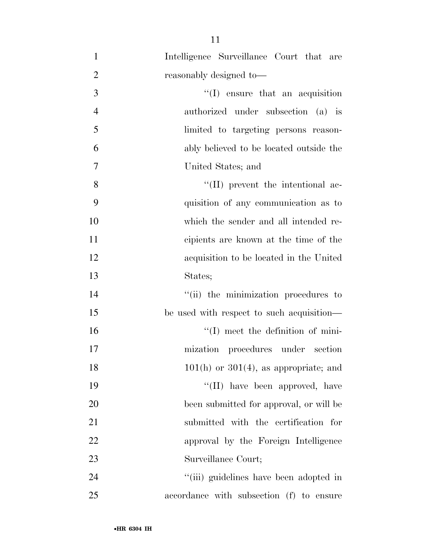| $\mathbf{1}$   | Intelligence Surveillance Court that are    |
|----------------|---------------------------------------------|
| $\overline{2}$ | reasonably designed to-                     |
| 3              | $\lq\lq$ ensure that an acquisition         |
| $\overline{4}$ | authorized under subsection (a) is          |
| 5              | limited to targeting persons reason-        |
| 6              | ably believed to be located outside the     |
| $\tau$         | United States; and                          |
| 8              | $\lq\lq$ (II) prevent the intentional ac-   |
| 9              | quisition of any communication as to        |
| 10             | which the sender and all intended re-       |
| 11             | cipients are known at the time of the       |
| 12             | acquisition to be located in the United     |
| 13             | States;                                     |
| 14             | "(ii) the minimization procedures to        |
| 15             | be used with respect to such acquisition—   |
| 16             | $\lq\lq$ . The meet the definition of mini- |
| 17             | mization procedures under section           |
| 18             | $101(h)$ or $301(4)$ , as appropriate; and  |
| 19             | "(II) have been approved, have              |
| 20             | been submitted for approval, or will be     |
| 21             | submitted with the certification for        |
| 22             | approval by the Foreign Intelligence        |
| 23             | Surveillance Court;                         |
| 24             | "(iii) guidelines have been adopted in      |
| 25             | accordance with subsection (f) to ensure    |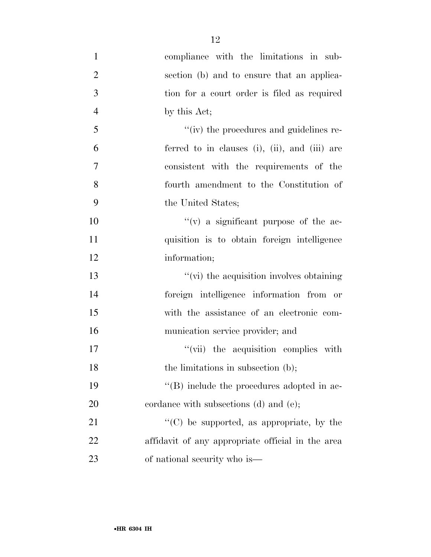| $\mathbf{1}$   | compliance with the limitations in sub-           |
|----------------|---------------------------------------------------|
| $\overline{2}$ | section (b) and to ensure that an applica-        |
| 3              | tion for a court order is filed as required       |
| $\overline{4}$ | by this Act;                                      |
| 5              | "(iv) the procedures and guidelines re-           |
| 6              | ferred to in clauses (i), (ii), and (iii) are     |
| $\overline{7}$ | consistent with the requirements of the           |
| 8              | fourth amendment to the Constitution of           |
| 9              | the United States;                                |
| 10             | $f'(v)$ a significant purpose of the ac-          |
| 11             | quisition is to obtain foreign intelligence       |
| 12             | information;                                      |
| 13             | $\lq\lq$ (vi) the acquisition involves obtaining  |
| 14             | foreign intelligence information from or          |
| 15             | with the assistance of an electronic com-         |
| 16             | munication service provider; and                  |
| 17             | "(vii) the acquisition complies with              |
| 18             | the limitations in subsection (b);                |
| 19             | "(B) include the procedures adopted in ac-        |
| 20             | cordance with subsections (d) and (e);            |
| 21             | $\lq\lq$ (C) be supported, as appropriate, by the |
| 22             | affidavit of any appropriate official in the area |
| 23             | of national security who is—                      |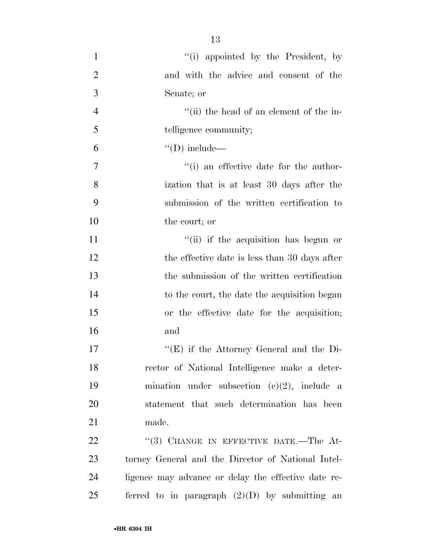| $\mathbf{1}$   | "(i) appointed by the President, by                 |
|----------------|-----------------------------------------------------|
| $\overline{2}$ | and with the advice and consent of the              |
| 3              | Senate; or                                          |
| $\overline{4}$ | "(ii) the head of an element of the in-             |
| 5              | telligence community;                               |
| 6              | $\lq\lq$ (D) include—                               |
| $\tau$         | $f'(i)$ an effective date for the author-           |
| 8              | ization that is at least 30 days after the          |
| 9              | submission of the written certification to          |
| 10             | the court; or                                       |
| 11             | "(ii) if the acquisition has begun or               |
| 12             | the effective date is less than 30 days after       |
| 13             | the submission of the written certification         |
| 14             | to the court, the date the acquisition began        |
| 15             | or the effective date for the acquisition;          |
| 16             | and                                                 |
| 17             | " $(E)$ if the Attorney General and the Di-         |
| 18             | rector of National Intelligence make a deter-       |
| 19             | mination under subsection $(c)(2)$ , include a      |
| 20             | statement that such determination has been          |
| 21             | made.                                               |
| 22             | "(3) CHANGE IN EFFECTIVE DATE.—The At-              |
| 23             | torney General and the Director of National Intel-  |
| 24             | ligence may advance or delay the effective date re- |
| 25             | ferred to in paragraph $(2)(D)$ by submitting an    |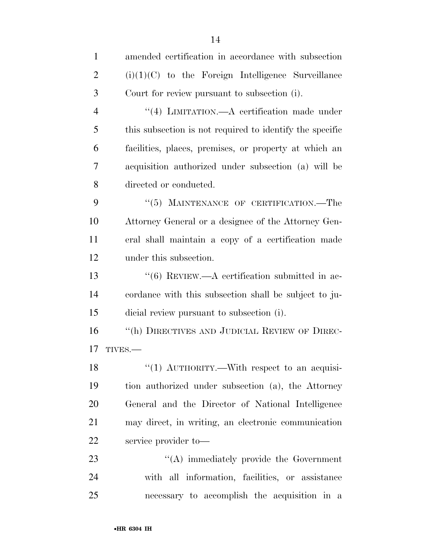| $\mathbf{1}$   | amended certification in accordance with subsection            |
|----------------|----------------------------------------------------------------|
| $\overline{2}$ | $(i)(1)(C)$ to the Foreign Intelligence Surveillance           |
| 3              | Court for review pursuant to subsection (i).                   |
| $\overline{4}$ | "(4) LIMITATION.—A certification made under                    |
| 5              | this subsection is not required to identify the specific       |
| 6              | facilities, places, premises, or property at which an          |
| 7              | acquisition authorized under subsection (a) will be            |
| 8              | directed or conducted.                                         |
| 9              | "(5) MAINTENANCE OF CERTIFICATION.—The                         |
| 10             | Attorney General or a designee of the Attorney Gen-            |
| 11             | eral shall maintain a copy of a certification made             |
| 12             | under this subsection.                                         |
| 13             | $\cdot\cdot\cdot$ (6) REVIEW.—A certification submitted in ac- |
| 14             | cordance with this subsection shall be subject to ju-          |
| 15             | dicial review pursuant to subsection (i).                      |
| 16             | "(h) DIRECTIVES AND JUDICIAL REVIEW OF DIREC-                  |
| 17             | TIVES.-                                                        |
| 18             | "(1) $\text{AUTHORITY}$ . With respect to an acquisi-          |
| 19             | tion authorized under subsection (a), the Attorney             |
| 20             | General and the Director of National Intelligence              |
| 21             | may direct, in writing, an electronic communication            |
| 22             | service provider to-                                           |
| 23             | $\lq\lq$ immediately provide the Government                    |
| 24             | with all information, facilities, or assistance                |
| 25             | necessary to accomplish the acquisition in a                   |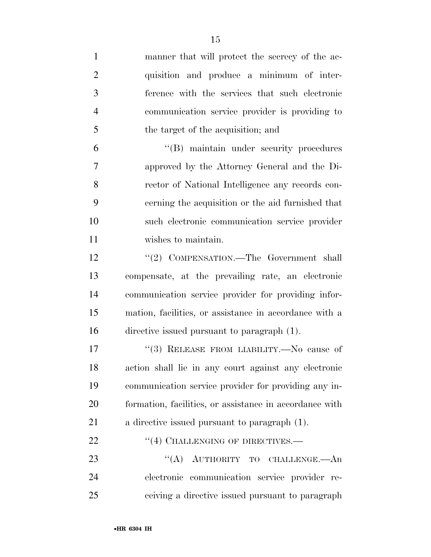manner that will protect the secrecy of the ac- quisition and produce a minimum of inter- ference with the services that such electronic communication service provider is providing to the target of the acquisition; and ''(B) maintain under security procedures approved by the Attorney General and the Di- rector of National Intelligence any records con- cerning the acquisition or the aid furnished that such electronic communication service provider wishes to maintain. 12 "(2) COMPENSATION.—The Government shall compensate, at the prevailing rate, an electronic communication service provider for providing infor- mation, facilities, or assistance in accordance with a directive issued pursuant to paragraph (1). 17 "(3) RELEASE FROM LIABILITY.—No cause of action shall lie in any court against any electronic communication service provider for providing any in- formation, facilities, or assistance in accordance with a directive issued pursuant to paragraph (1). 22 "(4) CHALLENGING OF DIRECTIVES.— 23 "(A) AUTHORITY TO CHALLENGE.—An electronic communication service provider re-ceiving a directive issued pursuant to paragraph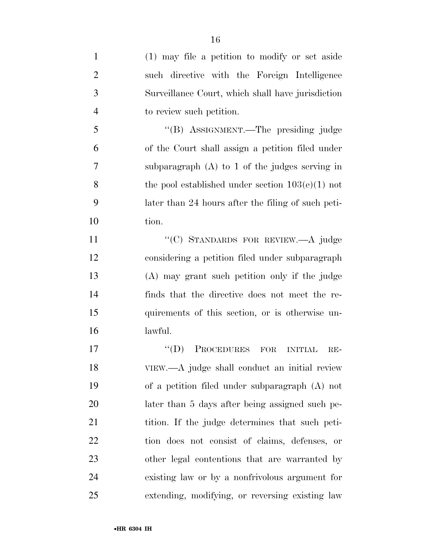| $\mathbf{1}$   | (1) may file a petition to modify or set aside            |
|----------------|-----------------------------------------------------------|
| $\overline{2}$ | such directive with the Foreign Intelligence              |
| 3              | Surveillance Court, which shall have jurisdiction         |
| $\overline{4}$ | to review such petition.                                  |
| 5              | "(B) ASSIGNMENT.—The presiding judge                      |
| 6              | of the Court shall assign a petition filed under          |
| 7              | subparagraph $(A)$ to 1 of the judges serving in          |
| 8              | the pool established under section $103(e)(1)$ not        |
| 9              | later than 24 hours after the filing of such peti-        |
| 10             | tion.                                                     |
| 11             | "(C) STANDARDS FOR REVIEW.-A judge                        |
| 12             | considering a petition filed under subparagraph           |
| 13             | (A) may grant such petition only if the judge             |
| 14             | finds that the directive does not meet the re-            |
| 15             | quirements of this section, or is otherwise un-           |
| 16             | lawful.                                                   |
| 17             | PROCEDURES FOR<br>$\lq\lq (D)$<br><b>INITIAL</b><br>$RE-$ |
| 18             | VIEW.—A judge shall conduct an initial review             |
| 19             | of a petition filed under subparagraph (A) not            |
| 20             | later than 5 days after being assigned such pe-           |
| 21             | tition. If the judge determines that such peti-           |
| 22             | tion does not consist of claims, defenses, or             |
| 23             | other legal contentions that are warranted by             |
| 24             | existing law or by a nonfrivolous argument for            |
| 25             | extending, modifying, or reversing existing law           |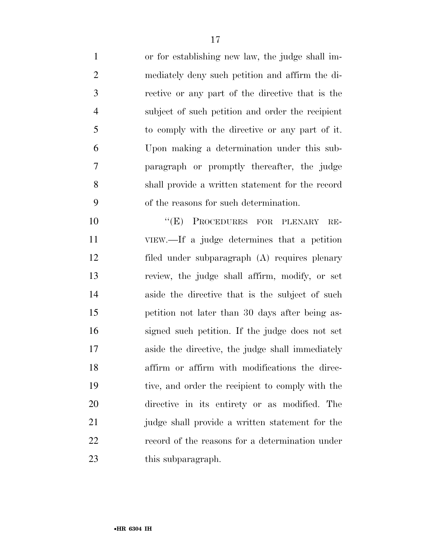or for establishing new law, the judge shall im- mediately deny such petition and affirm the di- rective or any part of the directive that is the subject of such petition and order the recipient to comply with the directive or any part of it. Upon making a determination under this sub- paragraph or promptly thereafter, the judge shall provide a written statement for the record of the reasons for such determination.

10 "(E) PROCEDURES FOR PLENARY RE- VIEW.—If a judge determines that a petition filed under subparagraph (A) requires plenary review, the judge shall affirm, modify, or set aside the directive that is the subject of such petition not later than 30 days after being as- signed such petition. If the judge does not set aside the directive, the judge shall immediately affirm or affirm with modifications the direc- tive, and order the recipient to comply with the directive in its entirety or as modified. The judge shall provide a written statement for the record of the reasons for a determination under 23 this subparagraph.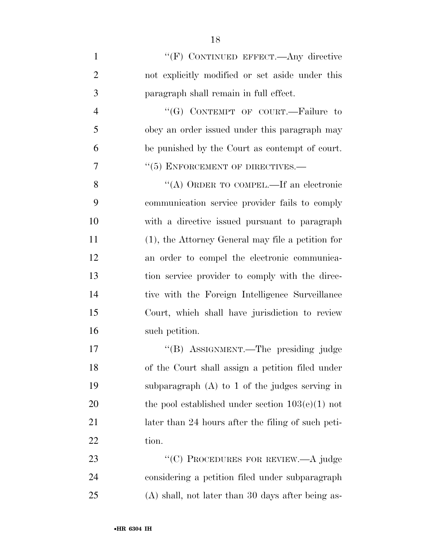| $\mathbf{1}$   | "(F) CONTINUED EFFECT.—Any directive                 |
|----------------|------------------------------------------------------|
| $\overline{2}$ | not explicitly modified or set aside under this      |
| 3              | paragraph shall remain in full effect.               |
| $\overline{4}$ | " $(G)$ CONTEMPT OF COURT.—Failure to                |
| 5              | obey an order issued under this paragraph may        |
| 6              | be punished by the Court as contempt of court.       |
| 7              | "(5) ENFORCEMENT OF DIRECTIVES.-                     |
| 8              | "(A) ORDER TO COMPEL.—If an electronic               |
| 9              | communication service provider fails to comply       |
| 10             | with a directive issued pursuant to paragraph        |
| 11             | $(1)$ , the Attorney General may file a petition for |
| 12             | an order to compel the electronic communica-         |
| 13             | tion service provider to comply with the direc-      |
| 14             | tive with the Foreign Intelligence Surveillance      |
| 15             | Court, which shall have jurisdiction to review       |
| 16             | such petition.                                       |
| 17             | "(B) ASSIGNMENT.—The presiding judge                 |
| 18             | of the Court shall assign a petition filed under     |
| 19             | subparagraph $(A)$ to 1 of the judges serving in     |
| 20             | the pool established under section $103(e)(1)$ not   |
| 21             | later than 24 hours after the filing of such peti-   |
| 22             | tion.                                                |
| 23             | "(C) PROCEDURES FOR REVIEW.—A judge                  |
| 24             | considering a petition filed under subparagraph      |
| 25             | $(A)$ shall, not later than 30 days after being as-  |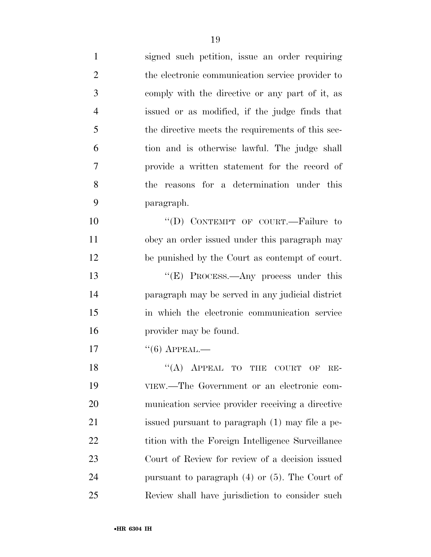| $\mathbf{1}$   | signed such petition, issue an order requiring      |
|----------------|-----------------------------------------------------|
| $\overline{2}$ | the electronic communication service provider to    |
| 3              | comply with the directive or any part of it, as     |
| $\overline{4}$ | issued or as modified, if the judge finds that      |
| 5              | the directive meets the requirements of this sec-   |
| 6              | tion and is otherwise lawful. The judge shall       |
| 7              | provide a written statement for the record of       |
| 8              | the reasons for a determination under this          |
| 9              | paragraph.                                          |
| 10             | "(D) CONTEMPT OF COURT.—Failure to                  |
| 11             | obey an order issued under this paragraph may       |
| 12             | be punished by the Court as contempt of court.      |
| 13             | " $(E)$ PROCESS.—Any process under this             |
| 14             | paragraph may be served in any judicial district    |
| 15             | in which the electronic communication service       |
| 16             | provider may be found.                              |
| 17             | $``(6)$ APPEAL.—                                    |
| 18             | $``(A)$ APPEAL TO THE COURT OF<br>$RE-$             |
| 19             | VIEW.—The Government or an electronic com-          |
| 20             | munication service provider receiving a directive   |
| 21             | issued pursuant to paragraph (1) may file a pe-     |
| 22             | tition with the Foreign Intelligence Surveillance   |
| 23             | Court of Review for review of a decision issued     |
| 24             | pursuant to paragraph $(4)$ or $(5)$ . The Court of |
| 25             | Review shall have jurisdiction to consider such     |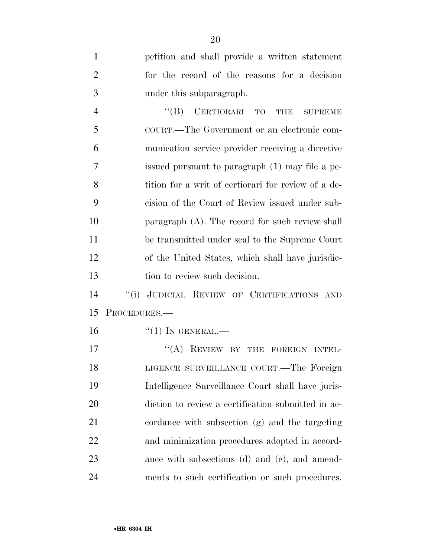petition and shall provide a written statement for the record of the reasons for a decision under this subparagraph. 4 "(B) CERTIORARI TO THE SUPREME COURT.—The Government or an electronic com- munication service provider receiving a directive issued pursuant to paragraph (1) may file a pe-8 tition for a writ of certiorari for review of a de- cision of the Court of Review issued under sub- paragraph (A). The record for such review shall be transmitted under seal to the Supreme Court of the United States, which shall have jurisdic-13 tion to review such decision. ''(i) JUDICIAL REVIEW OF CERTIFICATIONS AND PROCEDURES.— "(1) In GENERAL.— 17 "(A) REVIEW BY THE FOREIGN INTEL- LIGENCE SURVEILLANCE COURT.—The Foreign Intelligence Surveillance Court shall have juris- diction to review a certification submitted in ac- cordance with subsection (g) and the targeting and minimization procedures adopted in accord- ance with subsections (d) and (e), and amend-ments to such certification or such procedures.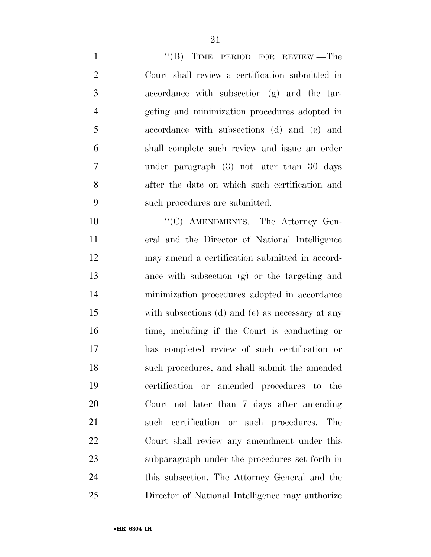| $\mathbf{1}$   | "(B) TIME PERIOD FOR REVIEW.—The                 |
|----------------|--------------------------------------------------|
| $\overline{2}$ | Court shall review a certification submitted in  |
| 3              | accordance with subsection (g) and the tar-      |
| $\overline{4}$ | geting and minimization procedures adopted in    |
| 5              | accordance with subsections (d) and (e) and      |
| 6              | shall complete such review and issue an order    |
| $\tau$         | under paragraph (3) not later than 30 days       |
| 8              | after the date on which such certification and   |
| 9              | such procedures are submitted.                   |
| 10             | "(C) AMENDMENTS.—The Attorney Gen-               |
| 11             | eral and the Director of National Intelligence   |
| 12             | may amend a certification submitted in accord-   |
| 13             | ance with subsection (g) or the targeting and    |
| 14             | minimization procedures adopted in accordance    |
| 15             | with subsections (d) and (e) as necessary at any |
| 16             | time, including if the Court is conducting or    |
| 17             | has completed review of such certification or    |
| 18             | such procedures, and shall submit the amended    |
| 19             | certification or amended procedures to the       |
| 20             | Court not later than 7 days after amending       |
| 21             | such certification or such procedures. The       |
| 22             | Court shall review any amendment under this      |
| 23             | subparagraph under the procedures set forth in   |
| 24             | this subsection. The Attorney General and the    |
| 25             | Director of National Intelligence may authorize  |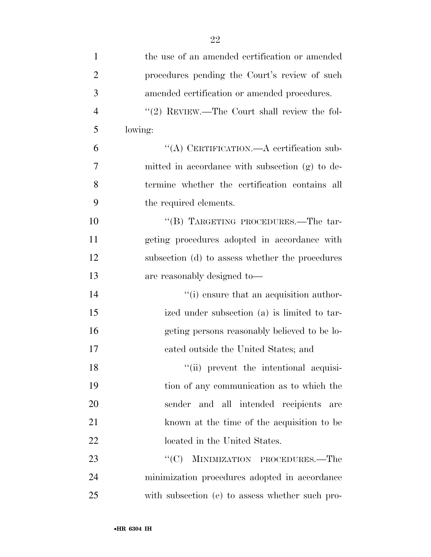| $\mathbf{1}$   | the use of an amended certification or amended  |
|----------------|-------------------------------------------------|
| $\overline{2}$ | procedures pending the Court's review of such   |
| 3              | amended certification or amended procedures.    |
| $\overline{4}$ | "(2) REVIEW.—The Court shall review the fol-    |
| 5              | lowing:                                         |
| 6              | "(A) CERTIFICATION.—A certification sub-        |
| 7              | mitted in accordance with subsection (g) to de- |
| 8              | termine whether the certification contains all  |
| 9              | the required elements.                          |
| 10             | "(B) TARGETING PROCEDURES.—The tar-             |
| 11             | geting procedures adopted in accordance with    |
| 12             | subsection (d) to assess whether the procedures |
| 13             | are reasonably designed to-                     |
| 14             | "(i) ensure that an acquisition author-         |
| 15             | ized under subsection (a) is limited to tar-    |
| 16             | geting persons reasonably believed to be lo-    |
| 17             | cated outside the United States; and            |
| 18             | "(ii) prevent the intentional acquisi-          |
| 19             | tion of any communication as to which the       |
| 20             | sender and all intended recipients are          |
| 21             | known at the time of the acquisition to be      |
| 22             | located in the United States.                   |
| 23             | MINIMIZATION PROCEDURES.—The<br>``(C)           |
| 24             | minimization procedures adopted in accordance   |
| 25             | with subsection (e) to assess whether such pro- |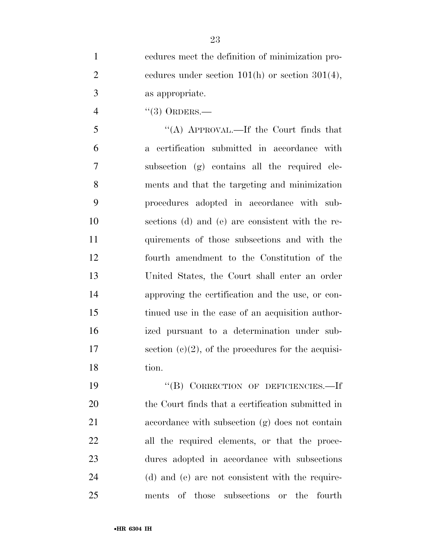cedures meet the definition of minimization pro-2 cedures under section  $101(h)$  or section  $301(4)$ , as appropriate.

4 "(3) ORDERS.—

 ''(A) APPROVAL.—If the Court finds that a certification submitted in accordance with subsection (g) contains all the required ele- ments and that the targeting and minimization procedures adopted in accordance with sub- sections (d) and (e) are consistent with the re- quirements of those subsections and with the fourth amendment to the Constitution of the United States, the Court shall enter an order approving the certification and the use, or con- tinued use in the case of an acquisition author- ized pursuant to a determination under sub-17 section  $(c)(2)$ , of the procedures for the acquisi-tion.

 ''(B) CORRECTION OF DEFICIENCIES.—If the Court finds that a certification submitted in accordance with subsection (g) does not contain all the required elements, or that the proce- dures adopted in accordance with subsections (d) and (e) are not consistent with the require-ments of those subsections or the fourth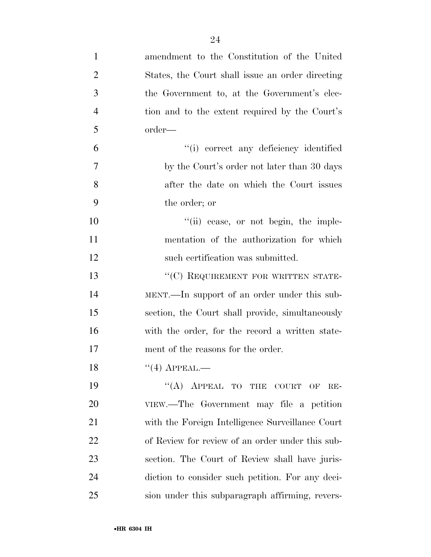| $\mathbf{1}$   | amendment to the Constitution of the United      |
|----------------|--------------------------------------------------|
| $\overline{2}$ | States, the Court shall issue an order directing |
| 3              | the Government to, at the Government's elec-     |
| $\overline{4}$ | tion and to the extent required by the Court's   |
| 5              | order—                                           |
| 6              | "(i) correct any deficiency identified           |
| $\overline{7}$ | by the Court's order not later than 30 days      |
| 8              | after the date on which the Court issues         |
| 9              | the order; or                                    |
| 10             | "(ii) cease, or not begin, the imple-            |
| 11             | mentation of the authorization for which         |
| 12             | such certification was submitted.                |
| 13             | "(C) REQUIREMENT FOR WRITTEN STATE-              |
| 14             | MENT.—In support of an order under this sub-     |
| 15             | section, the Court shall provide, simultaneously |
| 16             | with the order, for the record a written state-  |
| 17             | ment of the reasons for the order.               |
| 18             | $``(4)$ APPEAL.—                                 |
| 19             | $\lq\lq (A)$ APPEAL TO THE COURT OF<br>$RE-$     |
| 20             | VIEW.—The Government may file a petition         |
| 21             | with the Foreign Intelligence Surveillance Court |
| 22             | of Review for review of an order under this sub- |
| 23             | section. The Court of Review shall have juris-   |
| 24             | diction to consider such petition. For any deci- |
| 25             | sion under this subparagraph affirming, revers-  |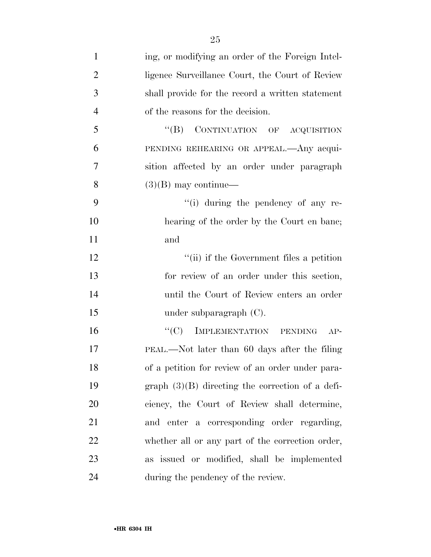| $\mathbf{1}$   | ing, or modifying an order of the Foreign Intel-   |
|----------------|----------------------------------------------------|
| $\overline{2}$ | ligence Surveillance Court, the Court of Review    |
| 3              | shall provide for the record a written statement   |
| $\overline{4}$ | of the reasons for the decision.                   |
| 5              | "(B) CONTINUATION OF ACQUISITION                   |
| 6              | PENDING REHEARING OR APPEAL.—Any acqui-            |
| 7              | sition affected by an order under paragraph        |
| 8              | $(3)(B)$ may continue—                             |
| 9              | "(i) during the pendency of any re-                |
| 10             | hearing of the order by the Court en bane;         |
| 11             | and                                                |
| 12             | "(ii) if the Government files a petition           |
| 13             | for review of an order under this section,         |
| 14             | until the Court of Review enters an order          |
| 15             | under subparagraph $(C)$ .                         |
| 16             | IMPLEMENTATION PENDING<br>$\lq\lq C$<br>$AP-$      |
| 17             | PEAL.—Not later than 60 days after the filing      |
| 18             | of a petition for review of an order under para-   |
| 19             | graph $(3)(B)$ directing the correction of a defi- |
| 20             | ciency, the Court of Review shall determine,       |
| 21             | and enter a corresponding order regarding,         |
| 22             | whether all or any part of the correction order,   |
| 23             | as issued or modified, shall be implemented        |
| 24             | during the pendency of the review.                 |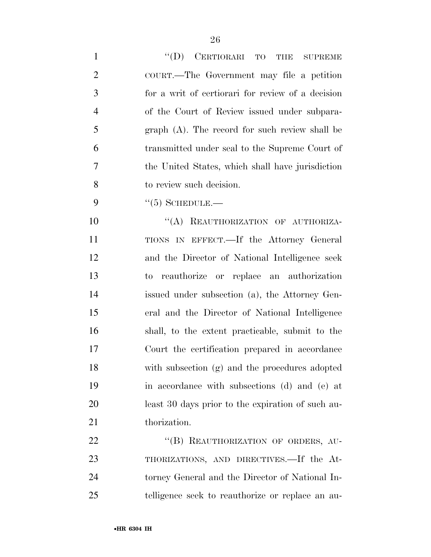| $\mathbf{1}$   | "(D) CERTIORARI TO THE SUPREME                    |
|----------------|---------------------------------------------------|
| $\overline{2}$ | COURT.—The Government may file a petition         |
| 3              | for a writ of certiorari for review of a decision |
| $\overline{4}$ | of the Court of Review issued under subpara-      |
| 5              | $graph(A)$ . The record for such review shall be  |
| 6              | transmitted under seal to the Supreme Court of    |
| $\overline{7}$ | the United States, which shall have jurisdiction  |
| 8              | to review such decision.                          |
| 9              | $\lq(5)$ SCHEDULE.—                               |
| 10             | "(A) REAUTHORIZATION OF AUTHORIZA-                |
| 11             | TIONS IN EFFECT.—If the Attorney General          |
| 12             | and the Director of National Intelligence seek    |
| 13             | to reauthorize or replace an authorization        |
| 14             | issued under subsection (a), the Attorney Gen-    |
| 15             | eral and the Director of National Intelligence    |
| 16             | shall, to the extent practicable, submit to the   |
| 17             | Court the certification prepared in accordance    |
| 18             | with subsection (g) and the procedures adopted    |
| 19             | in accordance with subsections (d) and (e) at     |
| 20             | least 30 days prior to the expiration of such au- |
| 21             | thorization.                                      |
| 22             | "(B) REAUTHORIZATION OF ORDERS, AU-               |
| 23             | THORIZATIONS, AND DIRECTIVES.—If the At-          |
| 24             | torney General and the Director of National In-   |
| 25             | telligence seek to reauthorize or replace an au-  |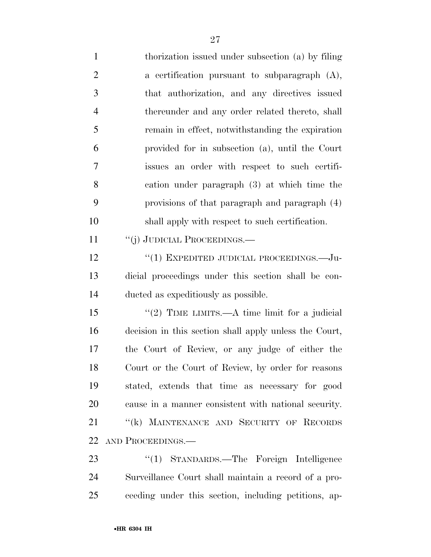thorization issued under subsection (a) by filing a certification pursuant to subparagraph (A), that authorization, and any directives issued thereunder and any order related thereto, shall remain in effect, notwithstanding the expiration provided for in subsection (a), until the Court issues an order with respect to such certifi- cation under paragraph (3) at which time the provisions of that paragraph and paragraph (4) shall apply with respect to such certification. 11 "(j) JUDICIAL PROCEEDINGS.— 12 "(1) EXPEDITED JUDICIAL PROCEEDINGS.—Ju- dicial proceedings under this section shall be con- ducted as expeditiously as possible. 15 "(2) TIME LIMITS.—A time limit for a judicial decision in this section shall apply unless the Court, the Court of Review, or any judge of either the Court or the Court of Review, by order for reasons stated, extends that time as necessary for good cause in a manner consistent with national security. 21 "(k) MAINTENANCE AND SECURITY OF RECORDS AND PROCEEDINGS.— ''(1) STANDARDS.—The Foreign Intelligence

 Surveillance Court shall maintain a record of a pro-ceeding under this section, including petitions, ap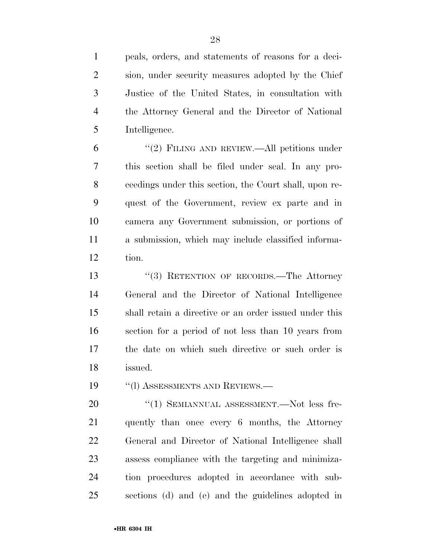peals, orders, and statements of reasons for a deci- sion, under security measures adopted by the Chief Justice of the United States, in consultation with the Attorney General and the Director of National Intelligence.

 ''(2) FILING AND REVIEW.—All petitions under this section shall be filed under seal. In any pro- ceedings under this section, the Court shall, upon re- quest of the Government, review ex parte and in camera any Government submission, or portions of a submission, which may include classified informa-tion.

13 ''(3) RETENTION OF RECORDS.—The Attorney General and the Director of National Intelligence shall retain a directive or an order issued under this section for a period of not less than 10 years from the date on which such directive or such order is issued.

19 "(I) ASSESSMENTS AND REVIEWS.—

 $(1)$  SEMIANNUAL ASSESSMENT. Not less fre- quently than once every 6 months, the Attorney General and Director of National Intelligence shall assess compliance with the targeting and minimiza- tion procedures adopted in accordance with sub-sections (d) and (e) and the guidelines adopted in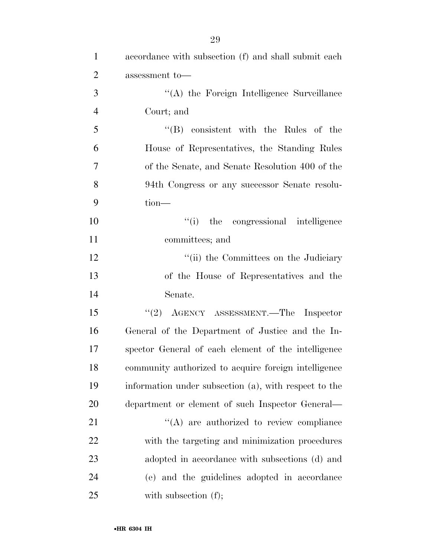| $\mathbf{1}$   | accordance with subsection (f) and shall submit each  |
|----------------|-------------------------------------------------------|
| $\overline{2}$ | assessment to-                                        |
| 3              | "(A) the Foreign Intelligence Surveillance            |
| $\overline{4}$ | Court; and                                            |
| 5              | $\lq\lq$ consistent with the Rules of the             |
| 6              | House of Representatives, the Standing Rules          |
| 7              | of the Senate, and Senate Resolution 400 of the       |
| 8              | 94th Congress or any successor Senate resolu-         |
| 9              | $tion$ —                                              |
| 10             | "(i) the congressional intelligence                   |
| 11             | committees; and                                       |
| 12             | "(ii) the Committees on the Judiciary                 |
| 13             | of the House of Representatives and the               |
| 14             | Senate.                                               |
| 15             | "(2) AGENCY ASSESSMENT.—The Inspector                 |
| 16             | General of the Department of Justice and the In-      |
| 17             | spector General of each element of the intelligence   |
| 18             | community authorized to acquire foreign intelligence  |
| 19             | information under subsection (a), with respect to the |
| 20             | department or element of such Inspector General—      |
| 21             | $\lq\lq$ are authorized to review compliance          |
| 22             | with the targeting and minimization procedures        |
| 23             | adopted in accordance with subsections (d) and        |
| 24             | (e) and the guidelines adopted in accordance          |
| 25             | with subsection $(f)$ ;                               |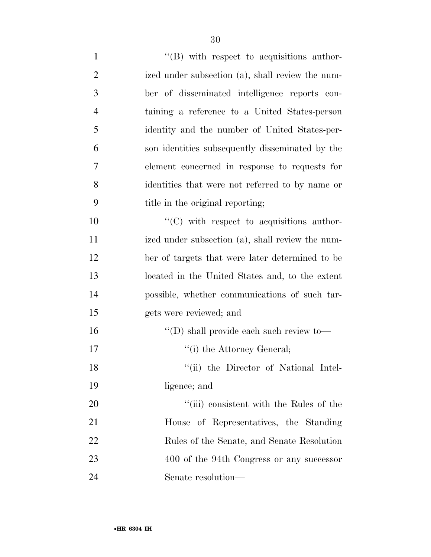| $\mathbf{1}$   | $\lq\lq$ with respect to acquisitions author-     |
|----------------|---------------------------------------------------|
| $\overline{2}$ | ized under subsection (a), shall review the num-  |
| 3              | ber of disseminated intelligence reports con-     |
| $\overline{4}$ | taining a reference to a United States-person     |
| 5              | identity and the number of United States-per-     |
| 6              | son identities subsequently disseminated by the   |
| 7              | element concerned in response to requests for     |
| 8              | identities that were not referred to by name or   |
| 9              | title in the original reporting;                  |
| 10             | $\lq\lq$ (C) with respect to acquisitions author- |
| 11             | ized under subsection (a), shall review the num-  |
| 12             | ber of targets that were later determined to be   |
| 13             | located in the United States and, to the extent   |
| 14             | possible, whether communications of such tar-     |
| 15             | gets were reviewed; and                           |
| 16             | $\lq\lq$ (D) shall provide each such review to —  |
| 17             | "(i) the Attorney General;                        |
| 18             | "(ii) the Director of National Intel-             |
| 19             | ligence; and                                      |
| 20             | "(iii) consistent with the Rules of the           |
| 21             | House of Representatives, the Standing            |
| 22             | Rules of the Senate, and Senate Resolution        |
| 23             | 400 of the 94th Congress or any successor         |
| 24             | Senate resolution-                                |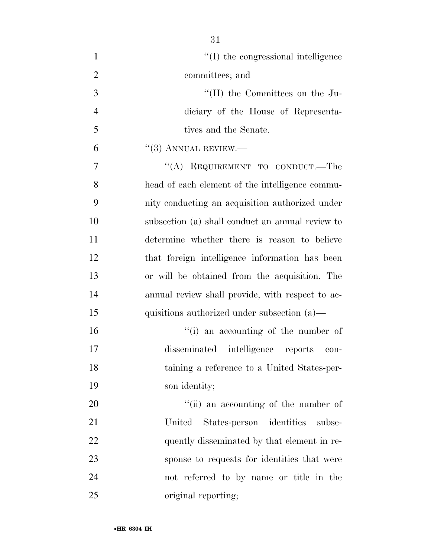| $\mathbf{1}$   | $\lq\lq$ (I) the congressional intelligence      |
|----------------|--------------------------------------------------|
| $\overline{2}$ | committees; and                                  |
| 3              | $\lq\lq$ (II) the Committees on the Ju-          |
| $\overline{4}$ | diciary of the House of Representa-              |
| 5              | tives and the Senate.                            |
| 6              | $``(3)$ ANNUAL REVIEW.—                          |
| 7              | "(A) REQUIREMENT TO CONDUCT.—The                 |
| 8              | head of each element of the intelligence commu-  |
| 9              | nity conducting an acquisition authorized under  |
| 10             | subsection (a) shall conduct an annual review to |
| 11             | determine whether there is reason to believe     |
| 12             | that foreign intelligence information has been   |
| 13             | or will be obtained from the acquisition. The    |
| 14             | annual review shall provide, with respect to ac- |
| 15             | quisitions authorized under subsection $(a)$ —   |
| 16             | "(i) an accounting of the number of              |
| 17             | disseminated intelligence reports con-           |
| 18             | taining a reference to a United States-per-      |
| 19             | son identity;                                    |
| 20             | "(ii) an accounting of the number of             |
| 21             | States-person identities subse-<br>United        |
| 22             | quently disseminated by that element in re-      |
| 23             | sponse to requests for identities that were      |
| 24             | not referred to by name or title in the          |
| 25             | original reporting;                              |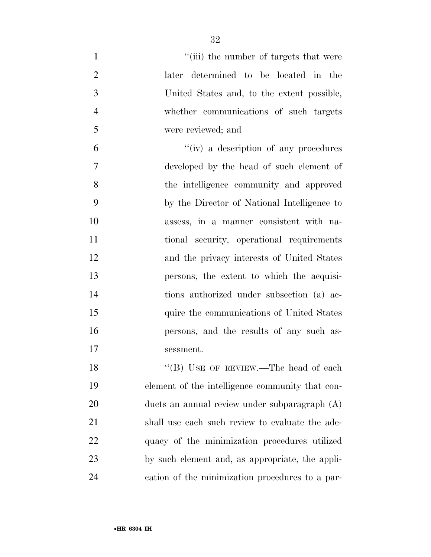| $\mathbf{1}$   | "(iii) the number of targets that were          |
|----------------|-------------------------------------------------|
| $\overline{2}$ | later determined to be located in the           |
| 3              | United States and, to the extent possible,      |
| $\overline{4}$ | whether communications of such targets          |
| 5              | were reviewed; and                              |
| 6              | "(iv) a description of any procedures           |
| 7              | developed by the head of such element of        |
| 8              | the intelligence community and approved         |
| 9              | by the Director of National Intelligence to     |
| 10             | assess, in a manner consistent with na-         |
| 11             | tional security, operational requirements       |
| 12             | and the privacy interests of United States      |
| 13             | persons, the extent to which the acquisi-       |
| 14             | tions authorized under subsection (a) ac-       |
| 15             | quire the communications of United States       |
| 16             | persons, and the results of any such as-        |
| 17             | sessment.                                       |
| 18             | "(B) USE OF REVIEW.—The head of each            |
| 19             | element of the intelligence community that con- |
| 20             | ducts an annual review under subparagraph $(A)$ |
| 21             | shall use each such review to evaluate the ade- |
| 22             | quacy of the minimization procedures utilized   |
| 23             | by such element and, as appropriate, the appli- |
| 24             | cation of the minimization procedures to a par- |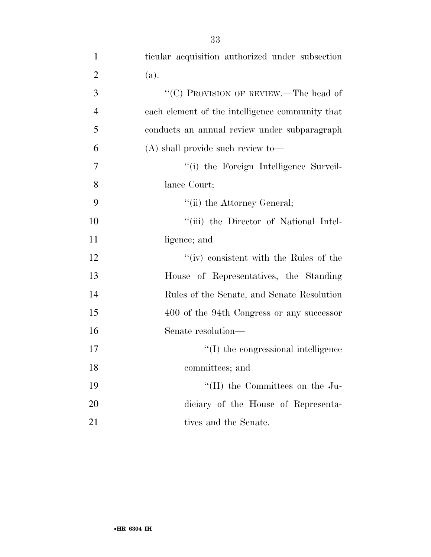| $\mathbf{1}$   | ticular acquisition authorized under subsection |
|----------------|-------------------------------------------------|
| $\overline{2}$ | (a).                                            |
| 3              | " $(C)$ PROVISION OF REVIEW.—The head of        |
| $\overline{4}$ | each element of the intelligence community that |
| 5              | conducts an annual review under subparagraph    |
| 6              | $(A)$ shall provide such review to-             |
| $\overline{7}$ | "(i) the Foreign Intelligence Surveil-          |
| 8              | lance Court;                                    |
| 9              | "(ii) the Attorney General;                     |
| 10             | "(iii) the Director of National Intel-          |
| 11             | ligence; and                                    |
| 12             | " $(iv)$ consistent with the Rules of the       |
| 13             | House of Representatives, the Standing          |
| 14             | Rules of the Senate, and Senate Resolution      |
| 15             | 400 of the 94th Congress or any successor       |
| 16             | Senate resolution-                              |
| 17             | $\lq\lq$ the congressional intelligence         |
| 18             | committees; and                                 |
| 19             | "(II) the Committees on the Ju-                 |
| 20             | diciary of the House of Representa-             |
| 21             | tives and the Senate.                           |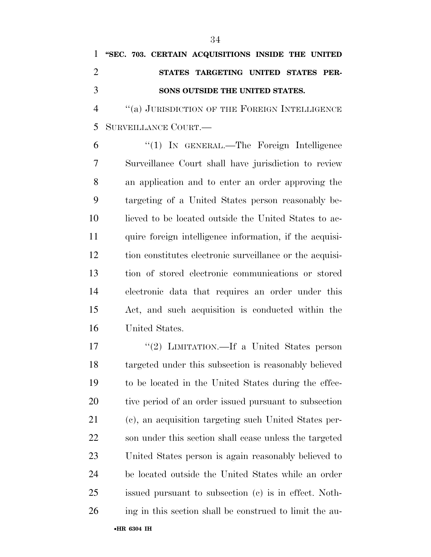## **''SEC. 703. CERTAIN ACQUISITIONS INSIDE THE UNITED STATES TARGETING UNITED STATES PER-SONS OUTSIDE THE UNITED STATES.**

4 "(a) JURISDICTION OF THE FOREIGN INTELLIGENCE SURVEILLANCE COURT.—

 ''(1) IN GENERAL.—The Foreign Intelligence Surveillance Court shall have jurisdiction to review an application and to enter an order approving the targeting of a United States person reasonably be- lieved to be located outside the United States to ac-11 quire foreign intelligence information, if the acquisi- tion constitutes electronic surveillance or the acquisi- tion of stored electronic communications or stored electronic data that requires an order under this Act, and such acquisition is conducted within the United States.

17 "(2) LIMITATION.—If a United States person targeted under this subsection is reasonably believed to be located in the United States during the effec- tive period of an order issued pursuant to subsection (c), an acquisition targeting such United States per- son under this section shall cease unless the targeted United States person is again reasonably believed to be located outside the United States while an order issued pursuant to subsection (c) is in effect. Noth-ing in this section shall be construed to limit the au-

•**HR 6304 IH**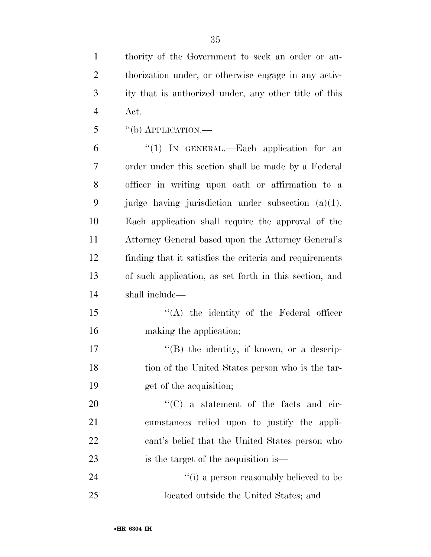thority of the Government to seek an order or au- thorization under, or otherwise engage in any activ- ity that is authorized under, any other title of this Act.

''(b) APPLICATION.—

 ''(1) IN GENERAL.—Each application for an order under this section shall be made by a Federal officer in writing upon oath or affirmation to a judge having jurisdiction under subsection (a)(1). Each application shall require the approval of the Attorney General based upon the Attorney General's finding that it satisfies the criteria and requirements of such application, as set forth in this section, and shall include—

15 "(A) the identity of the Federal officer making the application;

17 ''(B) the identity, if known, or a descrip- tion of the United States person who is the tar-get of the acquisition;

 $\text{``(C)}$  a statement of the facts and cir- cumstances relied upon to justify the appli- cant's belief that the United States person who is the target of the acquisition is—

24  $(1)$  a person reasonably believed to be located outside the United States; and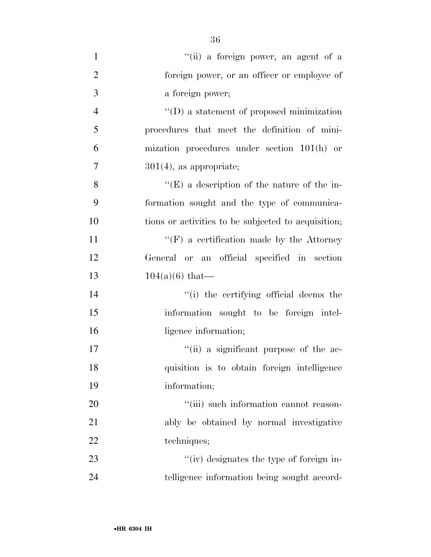| $\mathbf{1}$   | "(ii) a foreign power, an agent of a                |
|----------------|-----------------------------------------------------|
| $\overline{2}$ | foreign power, or an officer or employee of         |
| 3              | a foreign power;                                    |
| $\overline{4}$ | $\lq\lq$ a statement of proposed minimization       |
| 5              | procedures that meet the definition of mini-        |
| 6              | mization procedures under section $101(h)$ or       |
| $\overline{7}$ | $301(4)$ , as appropriate;                          |
| 8              | $\lq\lq(E)$ a description of the nature of the in-  |
| 9              | formation sought and the type of communica-         |
| 10             | tions or activities to be subjected to acquisition; |
| 11             | $\lq\lq(F)$ a certification made by the Attorney    |
| 12             | General or an official specified in section         |
| 13             | $104(a)(6)$ that—                                   |
| 14             | "(i) the certifying official deems the              |
| 15             | information sought to be foreign intel-             |
| 16             | ligence information;                                |
| 17             | "(ii) a significant purpose of the ac-              |
| 18             | quisition is to obtain foreign intelligence         |
| 19             | information;                                        |
| 20             | "(iii) such information cannot reason-              |
| 21             | ably be obtained by normal investigative            |
| 22             | techniques;                                         |
| 23             | "(iv) designates the type of foreign in-            |
| 24             | telligence information being sought accord-         |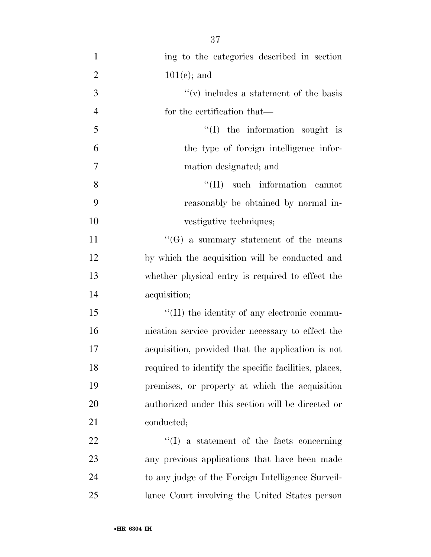| $\mathbf{1}$   | ing to the categories described in section            |
|----------------|-------------------------------------------------------|
| $\overline{2}$ | $101(e)$ ; and                                        |
| 3              | $``(v)$ includes a statement of the basis             |
| $\overline{4}$ | for the certification that—                           |
| 5              | $\lq\lq$ the information sought is                    |
| 6              | the type of foreign intelligence infor-               |
| $\tau$         | mation designated; and                                |
| 8              | $\lq\lq$ (II) such information cannot                 |
| 9              | reasonably be obtained by normal in-                  |
| 10             | vestigative techniques;                               |
| 11             | " $(G)$ a summary statement of the means              |
| 12             | by which the acquisition will be conducted and        |
| 13             | whether physical entry is required to effect the      |
| 14             | acquisition;                                          |
| 15             | "(H) the identity of any electronic commu-            |
| 16             | nication service provider necessary to effect the     |
| 17             | acquisition, provided that the application is not     |
| 18             | required to identify the specific facilities, places, |
| 19             | premises, or property at which the acquisition        |
| 20             | authorized under this section will be directed or     |
| 21             | conducted;                                            |
| 22             | $\lq\lq$ a statement of the facts concerning          |
| 23             | any previous applications that have been made         |
| 24             | to any judge of the Foreign Intelligence Surveil-     |
| 25             | lance Court involving the United States person        |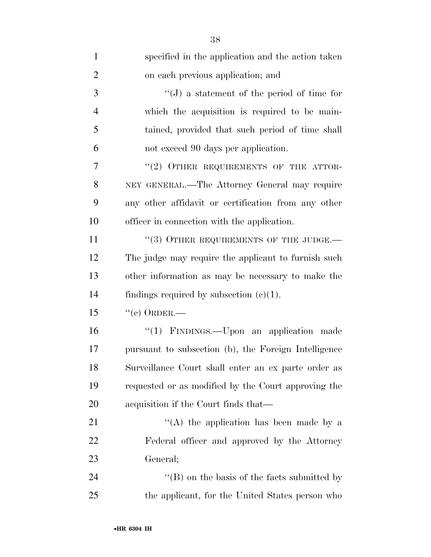| $\mathbf{1}$   | specified in the application and the action taken    |
|----------------|------------------------------------------------------|
| $\overline{2}$ | on each previous application; and                    |
| 3              | $\lq\lq (J)$ a statement of the period of time for   |
| $\overline{4}$ | which the acquisition is required to be main-        |
| 5              | tained, provided that such period of time shall      |
| 6              | not exceed 90 days per application.                  |
| 7              | "(2) OTHER REQUIREMENTS OF THE ATTOR-                |
| 8              | NEY GENERAL.—The Attorney General may require        |
| 9              | any other affidavit or certification from any other  |
| 10             | officer in connection with the application.          |
| 11             | $``(3)$ OTHER REQUIREMENTS OF THE JUDGE.—            |
| 12             | The judge may require the applicant to furnish such  |
| 13             | other information as may be necessary to make the    |
| 14             | findings required by subsection $(c)(1)$ .           |
| 15             | $``(c)$ ORDER.—                                      |
| 16             | "(1) FINDINGS.—Upon an application made              |
| 17             | pursuant to subsection (b), the Foreign Intelligence |
| 18             | Surveillance Court shall enter an ex parte order as  |
| 19             | requested or as modified by the Court approving the  |
| 20             | acquisition if the Court finds that—                 |
| 21             | "(A) the application has been made by a              |
| 22             | Federal officer and approved by the Attorney         |
| 23             | General;                                             |
| 24             | $\lq$ (B) on the basis of the facts submitted by     |
| 25             | the applicant, for the United States person who      |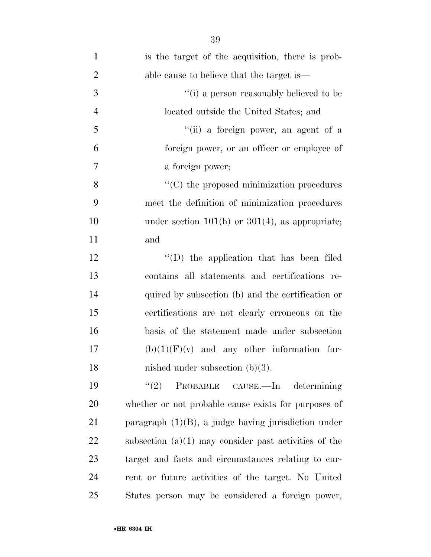| $\mathbf{1}$   | is the target of the acquisition, there is prob-        |
|----------------|---------------------------------------------------------|
| $\overline{2}$ | able cause to believe that the target is—               |
| $\mathfrak{Z}$ | $``(i)$ a person reasonably believed to be              |
| $\overline{4}$ | located outside the United States; and                  |
| 5              | "(ii) a foreign power, an agent of a                    |
| 6              | foreign power, or an officer or employee of             |
| 7              | a foreign power;                                        |
| 8              | $\cdot$ (C) the proposed minimization procedures        |
| 9              | meet the definition of minimization procedures          |
| 10             | under section $101(h)$ or $301(4)$ , as appropriate;    |
| 11             | and                                                     |
| 12             | $\lq\lq$ (D) the application that has been filed        |
| 13             | contains all statements and certifications re-          |
| 14             | quired by subsection (b) and the certification or       |
| 15             | certifications are not clearly erroneous on the         |
| 16             | basis of the statement made under subsection            |
| 17             | $(b)(1)(F)(v)$ and any other information fur-           |
| 18             | nished under subsection $(b)(3)$ .                      |
| 19             | (2)<br>PROBABLE CAUSE.—In determining                   |
| 20             | whether or not probable cause exists for purposes of    |
| 21             | paragraph $(1)(B)$ , a judge having jurisdiction under  |
| 22             | subsection $(a)(1)$ may consider past activities of the |
| 23             | target and facts and circumstances relating to cur-     |
| 24             | rent or future activities of the target. No United      |
| 25             | States person may be considered a foreign power,        |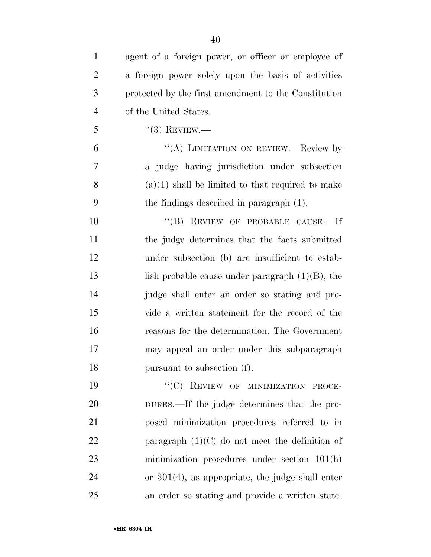| $\mathbf{1}$   | agent of a foreign power, or officer or employee of  |
|----------------|------------------------------------------------------|
| $\overline{2}$ | a foreign power solely upon the basis of activities  |
| 3              | protected by the first amendment to the Constitution |
| $\overline{4}$ | of the United States.                                |
| 5              | $``(3)$ REVIEW.—                                     |
| 6              | "(A) LIMITATION ON REVIEW.—Review by                 |
| 7              | a judge having jurisdiction under subsection         |
| 8              | $(a)(1)$ shall be limited to that required to make   |
| 9              | the findings described in paragraph (1).             |
| 10             | "(B) REVIEW OF PROBABLE CAUSE.—If                    |
| 11             | the judge determines that the facts submitted        |
| 12             | under subsection (b) are insufficient to estab-      |
| 13             | lish probable cause under paragraph $(1)(B)$ , the   |
| 14             | judge shall enter an order so stating and pro-       |
| 15             | vide a written statement for the record of the       |
| 16             | reasons for the determination. The Government        |
| 17             | may appeal an order under this subparagraph          |
| 18             | pursuant to subsection (f).                          |
| 19             | "(C) REVIEW OF MINIMIZATION PROCE-                   |
| 20             | DURES.—If the judge determines that the pro-         |
| 21             | posed minimization procedures referred to in         |
| 22             | paragraph $(1)(C)$ do not meet the definition of     |
| nη             |                                                      |

 minimization procedures under section 101(h) or 301(4), as appropriate, the judge shall enter

an order so stating and provide a written state-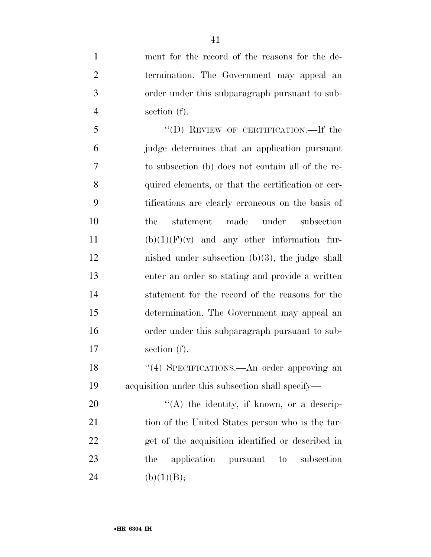ment for the record of the reasons for the de- termination. The Government may appeal an order under this subparagraph pursuant to sub-section (f).

 ''(D) REVIEW OF CERTIFICATION.—If the judge determines that an application pursuant to subsection (b) does not contain all of the re- quired elements, or that the certification or cer- tifications are clearly erroneous on the basis of the statement made under subsection 11 (b) $(1)(F)(v)$  and any other information fur- nished under subsection (b)(3), the judge shall enter an order so stating and provide a written statement for the record of the reasons for the determination. The Government may appeal an order under this subparagraph pursuant to sub-section (f).

18 ''(4) SPECIFICATIONS.—An order approving an acquisition under this subsection shall specify—

20  $\langle (A)$  the identity, if known, or a descrip-21 tion of the United States person who is the tar- get of the acquisition identified or described in the application pursuant to subsection 24 (b)(1)(B);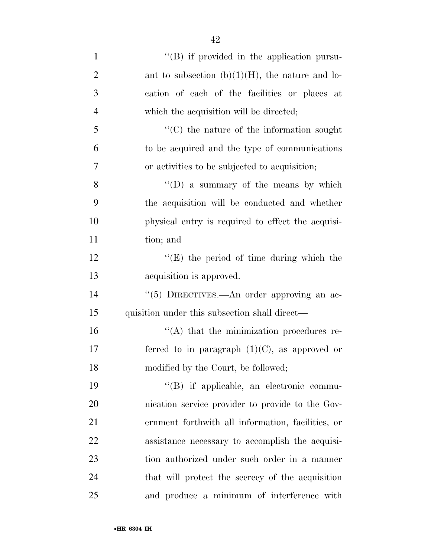| $\mathbf{1}$   | "(B) if provided in the application pursu-         |
|----------------|----------------------------------------------------|
| $\overline{2}$ | ant to subsection $(b)(1)(H)$ , the nature and lo- |
| 3              | cation of each of the facilities or places at      |
| $\overline{4}$ | which the acquisition will be directed;            |
| 5              | $\lq\lq$ (C) the nature of the information sought  |
| 6              | to be acquired and the type of communications      |
| 7              | or activities to be subjected to acquisition;      |
| 8              | "(D) a summary of the means by which               |
| 9              | the acquisition will be conducted and whether      |
| 10             | physical entry is required to effect the acquisi-  |
| 11             | tion; and                                          |
| 12             | $\lq\lq(E)$ the period of time during which the    |
| 13             | acquisition is approved.                           |
| 14             | "(5) DIRECTIVES.—An order approving an ac-         |
| 15             | quisition under this subsection shall direct—      |
| 16             | $\lq\lq$ that the minimization procedures re-      |
| 17             | ferred to in paragraph $(1)(C)$ , as approved or   |
| 18             | modified by the Court, be followed;                |
| 19             | "(B) if applicable, an electronic commu-           |
| 20             | nication service provider to provide to the Gov-   |
| 21             | ernment forthwith all information, facilities, or  |
| 22             | assistance necessary to accomplish the acquisi-    |
| 23             | tion authorized under such order in a manner       |
| 24             | that will protect the secrecy of the acquisition   |
| 25             | and produce a minimum of interference with         |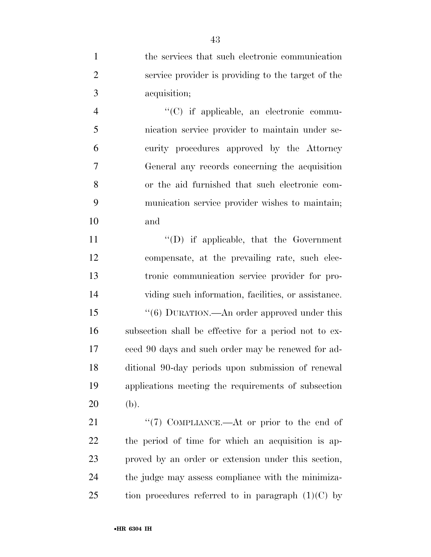the services that such electronic communication service provider is providing to the target of the acquisition;

 $\langle ^{\prime}(C)$  if applicable, an electronic commu- nication service provider to maintain under se- curity procedures approved by the Attorney General any records concerning the acquisition or the aid furnished that such electronic com- munication service provider wishes to maintain; and

 $\langle (D)$  if applicable, that the Government compensate, at the prevailing rate, such elec- tronic communication service provider for pro- viding such information, facilities, or assistance. 15 "(6) DURATION.—An order approved under this subsection shall be effective for a period not to ex- ceed 90 days and such order may be renewed for ad- ditional 90-day periods upon submission of renewal applications meeting the requirements of subsection (b).

21 ''(7) COMPLIANCE.—At or prior to the end of the period of time for which an acquisition is ap- proved by an order or extension under this section, the judge may assess compliance with the minimiza-25 tion procedures referred to in paragraph  $(1)(C)$  by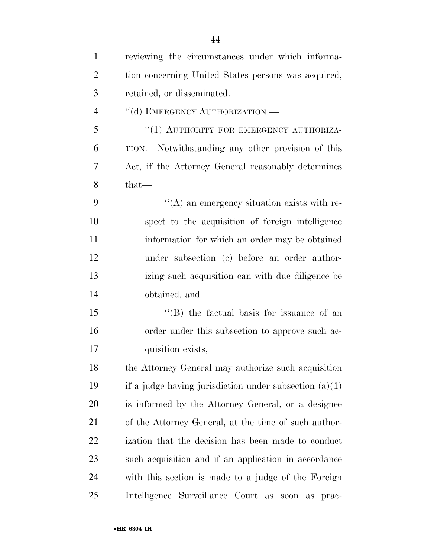| $\mathbf{1}$   | reviewing the circumstances under which informa-          |
|----------------|-----------------------------------------------------------|
| $\overline{2}$ | tion concerning United States persons was acquired,       |
| 3              | retained, or disseminated.                                |
| $\overline{4}$ | "(d) EMERGENCY AUTHORIZATION.-                            |
| 5              | "(1) AUTHORITY FOR EMERGENCY AUTHORIZA-                   |
| 6              | TION.—Notwithstanding any other provision of this         |
| 7              | Act, if the Attorney General reasonably determines        |
| 8              | $that-$                                                   |
| 9              | "(A) an emergency situation exists with re-               |
| 10             | spect to the acquisition of foreign intelligence          |
| 11             | information for which an order may be obtained            |
| 12             | under subsection (c) before an order author-              |
| 13             | izing such acquisition can with due diligence be          |
| 14             | obtained, and                                             |
| 15             | $\lq\lq$ the factual basis for issuance of an             |
| 16             | order under this subsection to approve such ac-           |
| 17             | quisition exists,                                         |
| 18             | the Attorney General may authorize such acquisition       |
| 19             | if a judge having jurisdiction under subsection $(a)(1)$  |
| 20             | is informed by the Attorney General, or a designee        |
| 21             | of the Attorney General, at the time of such author-      |
| 22             | ization that the decision has been made to conduct        |
| 23             | such acquisition and if an application in accordance      |
| 24             | with this section is made to a judge of the Foreign       |
| 25             | Intelligence Surveillance Court as<br>soon<br>prac-<br>as |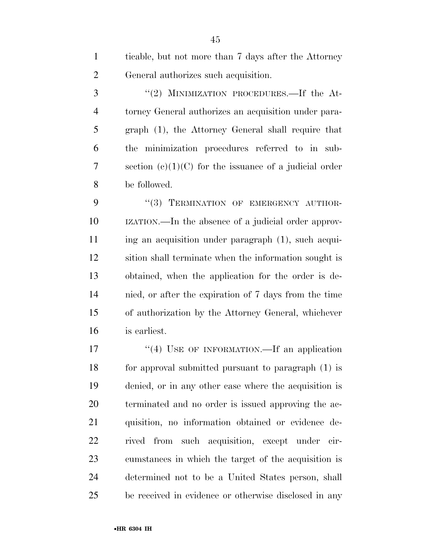ticable, but not more than 7 days after the Attorney General authorizes such acquisition.

3 "(2) MINIMIZATION PROCEDURES.—If the At- torney General authorizes an acquisition under para- graph (1), the Attorney General shall require that the minimization procedures referred to in sub- section (c)(1)(C) for the issuance of a judicial order be followed.

9 "(3) TERMINATION OF EMERGENCY AUTHOR- IZATION.—In the absence of a judicial order approv-11 ing an acquisition under paragraph (1), such acqui- sition shall terminate when the information sought is obtained, when the application for the order is de- nied, or after the expiration of 7 days from the time of authorization by the Attorney General, whichever is earliest.

17 "(4) USE OF INFORMATION.—If an application for approval submitted pursuant to paragraph (1) is denied, or in any other case where the acquisition is terminated and no order is issued approving the ac- quisition, no information obtained or evidence de- rived from such acquisition, except under cir- cumstances in which the target of the acquisition is determined not to be a United States person, shall be received in evidence or otherwise disclosed in any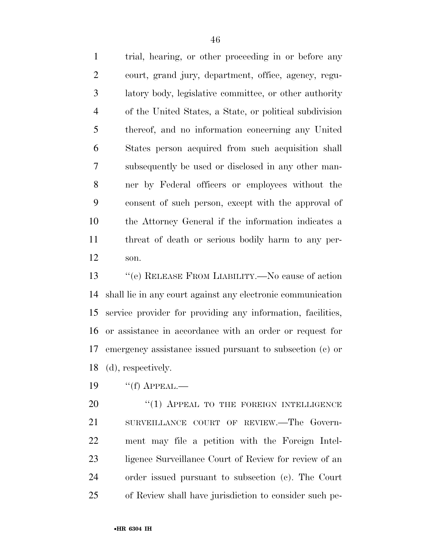trial, hearing, or other proceeding in or before any court, grand jury, department, office, agency, regu- latory body, legislative committee, or other authority of the United States, a State, or political subdivision thereof, and no information concerning any United States person acquired from such acquisition shall subsequently be used or disclosed in any other man- ner by Federal officers or employees without the consent of such person, except with the approval of the Attorney General if the information indicates a threat of death or serious bodily harm to any per-son.

 ''(e) RELEASE FROM LIABILITY.—No cause of action shall lie in any court against any electronic communication service provider for providing any information, facilities, or assistance in accordance with an order or request for emergency assistance issued pursuant to subsection (c) or (d), respectively.

''(f) APPEAL.—

20 "(1) APPEAL TO THE FOREIGN INTELLIGENCE SURVEILLANCE COURT OF REVIEW.—The Govern- ment may file a petition with the Foreign Intel-23 ligence Surveillance Court of Review for review of an order issued pursuant to subsection (c). The Court of Review shall have jurisdiction to consider such pe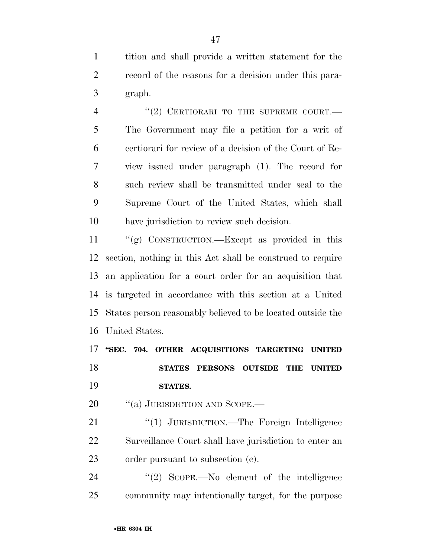tition and shall provide a written statement for the record of the reasons for a decision under this para-graph.

4 "(2) CERTIORARI TO THE SUPREME COURT.— The Government may file a petition for a writ of certiorari for review of a decision of the Court of Re- view issued under paragraph (1). The record for such review shall be transmitted under seal to the Supreme Court of the United States, which shall have jurisdiction to review such decision.

 ''(g) CONSTRUCTION.—Except as provided in this section, nothing in this Act shall be construed to require an application for a court order for an acquisition that is targeted in accordance with this section at a United States person reasonably believed to be located outside the United States.

 **''SEC. 704. OTHER ACQUISITIONS TARGETING UNITED STATES PERSONS OUTSIDE THE UNITED STATES.** 

20 "(a) JURISDICTION AND SCOPE.—

21 "(1) JURISDICTION.—The Foreign Intelligence Surveillance Court shall have jurisdiction to enter an order pursuant to subsection (c).

24 "(2) SCOPE.—No element of the intelligence community may intentionally target, for the purpose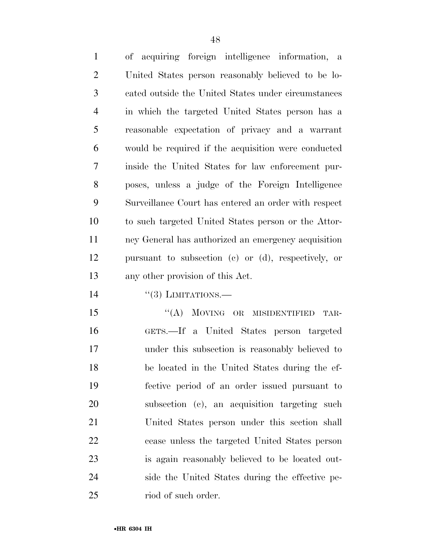| $\mathbf{1}$   | of acquiring foreign intelligence information, a     |
|----------------|------------------------------------------------------|
| 2              | United States person reasonably believed to be lo-   |
| 3              | cated outside the United States under circumstances  |
| $\overline{4}$ | in which the targeted United States person has a     |
| 5              | reasonable expectation of privacy and a warrant      |
| 6              | would be required if the acquisition were conducted  |
| 7              | inside the United States for law enforcement pur-    |
| 8              | poses, unless a judge of the Foreign Intelligence    |
| 9              | Surveillance Court has entered an order with respect |
| 10             | to such targeted United States person or the Attor-  |
| 11             | ney General has authorized an emergency acquisition  |
| 12             | pursuant to subsection (c) or (d), respectively, or  |
| 13             | any other provision of this Act.                     |

14  $((3)$  LIMITATIONS.

15 "(A) MOVING OR MISIDENTIFIED TAR- GETS.—If a United States person targeted under this subsection is reasonably believed to be located in the United States during the ef- fective period of an order issued pursuant to subsection (c), an acquisition targeting such United States person under this section shall cease unless the targeted United States person is again reasonably believed to be located out- side the United States during the effective pe-riod of such order.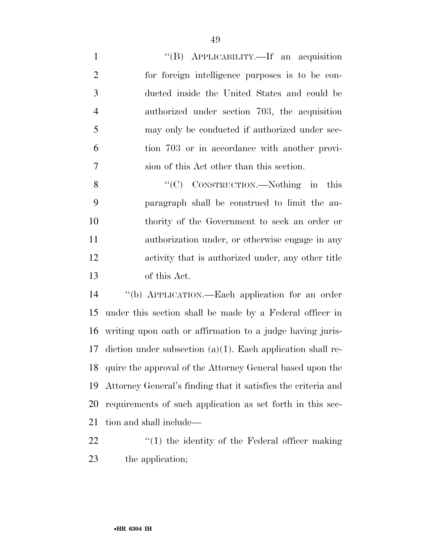1 ''(B) APPLICABILITY.—If an acquisition for foreign intelligence purposes is to be con- ducted inside the United States and could be authorized under section 703, the acquisition may only be conducted if authorized under sec- tion 703 or in accordance with another provi-sion of this Act other than this section.

8 "(C) CONSTRUCTION.—Nothing in this paragraph shall be construed to limit the au- thority of the Government to seek an order or authorization under, or otherwise engage in any activity that is authorized under, any other title of this Act.

 ''(b) APPLICATION.—Each application for an order under this section shall be made by a Federal officer in writing upon oath or affirmation to a judge having juris- diction under subsection (a)(1). Each application shall re- quire the approval of the Attorney General based upon the Attorney General's finding that it satisfies the criteria and requirements of such application as set forth in this sec-tion and shall include—

22  $\frac{1}{2}$  (1) the identity of the Federal officer making the application;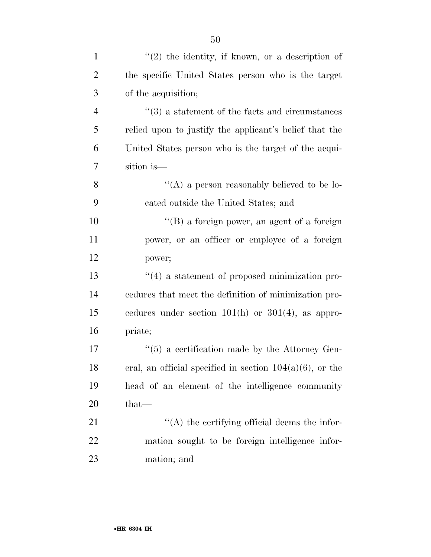| $\mathbf{1}$   | $(2)$ the identity, if known, or a description of           |
|----------------|-------------------------------------------------------------|
| $\overline{2}$ | the specific United States person who is the target         |
| 3              | of the acquisition;                                         |
| 4              | $\cdot\cdot$ (3) a statement of the facts and circumstances |
| 5              | relied upon to justify the applicant's belief that the      |
| 6              | United States person who is the target of the acqui-        |
| 7              | sition is-                                                  |
| 8              | "(A) a person reasonably believed to be lo-                 |
| 9              | cated outside the United States; and                        |
| 10             | "(B) a foreign power, an agent of a foreign                 |
| 11             | power, or an officer or employee of a foreign               |
| 12             | power;                                                      |
| 13             | $\cdot$ (4) a statement of proposed minimization pro-       |
| 14             | cedures that meet the definition of minimization pro-       |
| 15             | cedures under section $101(h)$ or $301(4)$ , as appro-      |
| 16             | priate;                                                     |
| 17             | $\cdot\cdot$ (5) a certification made by the Attorney Gen-  |
| 18             | eral, an official specified in section $104(a)(6)$ , or the |
| 19             | head of an element of the intelligence community            |
| 20             | $that-$                                                     |
| 21             | $\lq\lq$ the certifying official deems the infor-           |
| 22             | mation sought to be foreign intelligence infor-             |
| 23             | mation; and                                                 |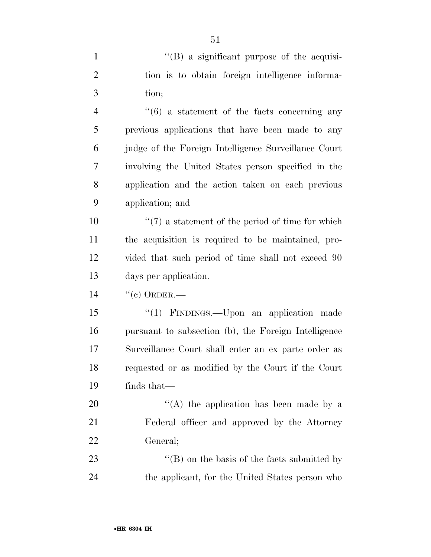| $\mathbf{1}$   | "(B) a significant purpose of the acquisi-                   |
|----------------|--------------------------------------------------------------|
| $\overline{2}$ | tion is to obtain foreign intelligence informa-              |
| 3              | tion;                                                        |
| $\overline{4}$ | $\cdot\cdot\cdot(6)$ a statement of the facts concerning any |
| 5              | previous applications that have been made to any             |
| 6              | judge of the Foreign Intelligence Surveillance Court         |
| 7              | involving the United States person specified in the          |
| 8              | application and the action taken on each previous            |
| 9              | application; and                                             |
| 10             | $\lq(7)$ a statement of the period of time for which         |
| 11             | the acquisition is required to be maintained, pro-           |
| 12             | vided that such period of time shall not exceed 90           |
| 13             | days per application.                                        |
| 14             | $``(e)$ ORDER.—                                              |
| 15             | "(1) FINDINGS.—Upon an application made                      |
| 16             | pursuant to subsection (b), the Foreign Intelligence         |
| 17             | Surveillance Court shall enter an ex parte order as          |
| 18             | requested or as modified by the Court if the Court           |
| 19             | finds that—                                                  |
| 20             | "(A) the application has been made by a                      |
| 21             | Federal officer and approved by the Attorney                 |
| 22             | General;                                                     |
| 23             | $\lq\lq$ (B) on the basis of the facts submitted by          |
| 24             | the applicant, for the United States person who              |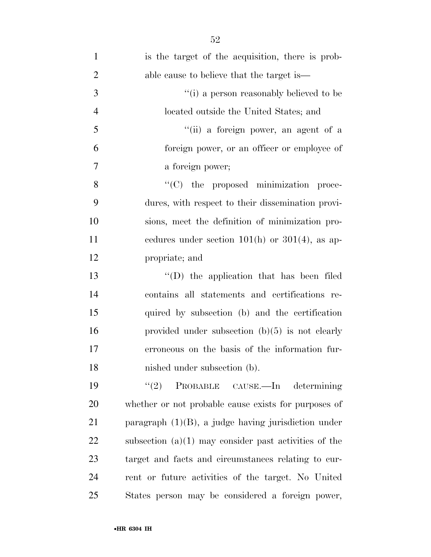| $\mathbf{1}$   | is the target of the acquisition, there is prob-        |
|----------------|---------------------------------------------------------|
| $\overline{2}$ | able cause to believe that the target is—               |
| 3              | "(i) a person reasonably believed to be                 |
| $\overline{4}$ | located outside the United States; and                  |
| 5              | "(ii) a foreign power, an agent of a                    |
| 6              | foreign power, or an officer or employee of             |
| $\tau$         | a foreign power;                                        |
| 8              | "(C) the proposed minimization proce-                   |
| 9              | dures, with respect to their dissemination provi-       |
| 10             | sions, meet the definition of minimization pro-         |
| 11             | cedures under section $101(h)$ or $301(4)$ , as ap-     |
| 12             | propriate; and                                          |
| 13             | $\lq\lq$ the application that has been filed            |
| 14             | contains all statements and certifications re-          |
| 15             | quired by subsection (b) and the certification          |
| 16             | provided under subsection $(b)(5)$ is not clearly       |
| 17             | erroneous on the basis of the information fur-          |
| 18             | nished under subsection (b).                            |
| 19             | (2)<br>PROBABLE CAUSE.—In determining                   |
| 20             | whether or not probable cause exists for purposes of    |
| 21             | paragraph $(1)(B)$ , a judge having jurisdiction under  |
| 22             | subsection $(a)(1)$ may consider past activities of the |
| 23             | target and facts and circumstances relating to cur-     |
| 24             | rent or future activities of the target. No United      |
| 25             | States person may be considered a foreign power,        |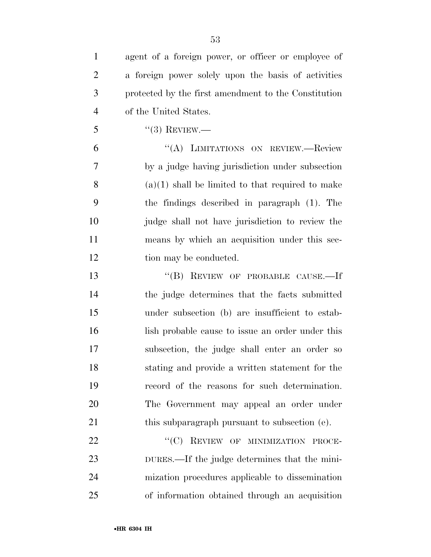| $\mathbf{1}$   | agent of a foreign power, or officer or employee of  |
|----------------|------------------------------------------------------|
| $\overline{2}$ | a foreign power solely upon the basis of activities  |
| 3              | protected by the first amendment to the Constitution |
| $\overline{4}$ | of the United States.                                |
| 5              | $``(3)$ REVIEW.—                                     |
| 6              | "(A) LIMITATIONS ON REVIEW.—Review                   |
| 7              | by a judge having jurisdiction under subsection      |
| 8              | $(a)(1)$ shall be limited to that required to make   |
| 9              | the findings described in paragraph (1). The         |
| 10             | judge shall not have jurisdiction to review the      |
| 11             | means by which an acquisition under this sec-        |
| 12             | tion may be conducted.                               |
| 13             | "(B) REVIEW OF PROBABLE CAUSE.—If                    |
| 14             | the judge determines that the facts submitted        |
| 15             | under subsection (b) are insufficient to estab-      |
| 16             | lish probable cause to issue an order under this     |
| 17             | subsection, the judge shall enter an order so        |
| 18             | stating and provide a written statement for the      |
| 19             | record of the reasons for such determination.        |
| 20             | The Government may appeal an order under             |
| 21             | this subparagraph pursuant to subsection (e).        |
| 22             | "(C) REVIEW OF MINIMIZATION PROCE-                   |
| 23             | DURES.—If the judge determines that the mini-        |
| 24             | mization procedures applicable to dissemination      |

of information obtained through an acquisition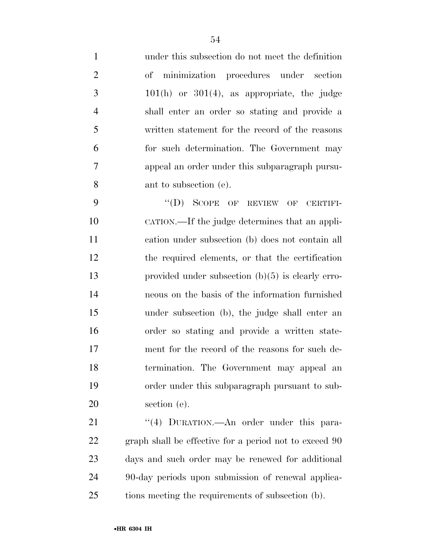under this subsection do not meet the definition of minimization procedures under section  $3 \t 101(h)$  or  $301(4)$ , as appropriate, the judge shall enter an order so stating and provide a written statement for the record of the reasons for such determination. The Government may appeal an order under this subparagraph pursu-ant to subsection (e).

9 "'(D) SCOPE OF REVIEW OF CERTIFI- CATION.—If the judge determines that an appli- cation under subsection (b) does not contain all the required elements, or that the certification provided under subsection (b)(5) is clearly erro- neous on the basis of the information furnished under subsection (b), the judge shall enter an order so stating and provide a written state- ment for the record of the reasons for such de- termination. The Government may appeal an order under this subparagraph pursuant to sub-section (e).

21 "(4) DURATION.—An order under this para- graph shall be effective for a period not to exceed 90 days and such order may be renewed for additional 90-day periods upon submission of renewal applica-tions meeting the requirements of subsection (b).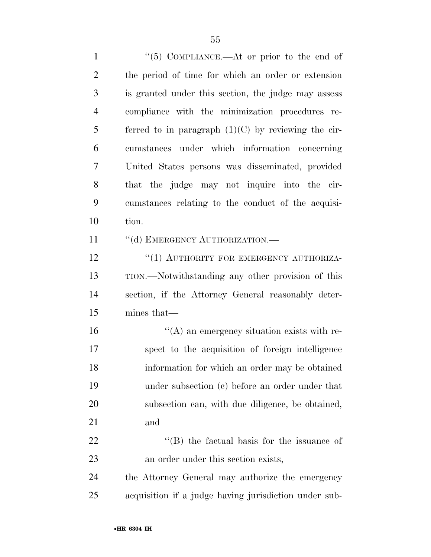1 ''(5) COMPLIANCE.—At or prior to the end of the period of time for which an order or extension is granted under this section, the judge may assess compliance with the minimization procedures re-5 ferred to in paragraph  $(1)(C)$  by reviewing the cir- cumstances under which information concerning United States persons was disseminated, provided that the judge may not inquire into the cir- cumstances relating to the conduct of the acquisi- tion. 11 "(d) EMERGENCY AUTHORIZATION.— 12 "(1) AUTHORITY FOR EMERGENCY AUTHORIZA-

 TION.—Notwithstanding any other provision of this section, if the Attorney General reasonably deter-mines that—

 $\langle A \rangle$  an emergency situation exists with re- spect to the acquisition of foreign intelligence information for which an order may be obtained under subsection (c) before an order under that subsection can, with due diligence, be obtained, and

22 "'(B) the factual basis for the issuance of an order under this section exists,

 the Attorney General may authorize the emergency acquisition if a judge having jurisdiction under sub-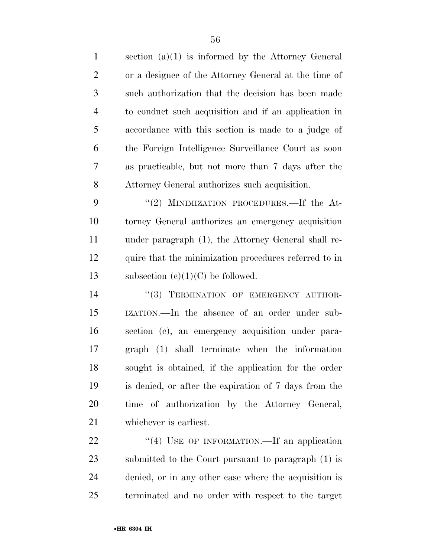| $\mathbf{1}$   | section $(a)(1)$ is informed by the Attorney General  |
|----------------|-------------------------------------------------------|
| $\overline{2}$ | or a designee of the Attorney General at the time of  |
| 3              | such authorization that the decision has been made    |
| $\overline{4}$ | to conduct such acquisition and if an application in  |
| 5              | accordance with this section is made to a judge of    |
| 6              | the Foreign Intelligence Surveillance Court as soon   |
| 7              | as practicable, but not more than 7 days after the    |
| 8              | Attorney General authorizes such acquisition.         |
| 9              | "(2) MINIMIZATION PROCEDURES.—If the At-              |
| 10             | torney General authorizes an emergency acquisition    |
| 11             | under paragraph (1), the Attorney General shall re-   |
| 12             | quire that the minimization procedures referred to in |
| 13             | subsection $(c)(1)(C)$ be followed.                   |
| 14             | "(3) TERMINATION OF EMERGENCY AUTHOR-                 |
| 15             | IZATION.—In the absence of an order under sub-        |
| 16             | section (c), an emergency acquisition under para-     |
| 17             | graph (1) shall terminate when the information        |
| 18             | sought is obtained, if the application for the order  |
| 19             | is denied, or after the expiration of 7 days from the |
| 20             | time of authorization by the Attorney General,        |
| 21             | whichever is earliest.                                |
| 22             | "(4) USE OF INFORMATION.—If an application            |
| 23             | submitted to the Court pursuant to paragraph (1) is   |

 denied, or in any other case where the acquisition is terminated and no order with respect to the target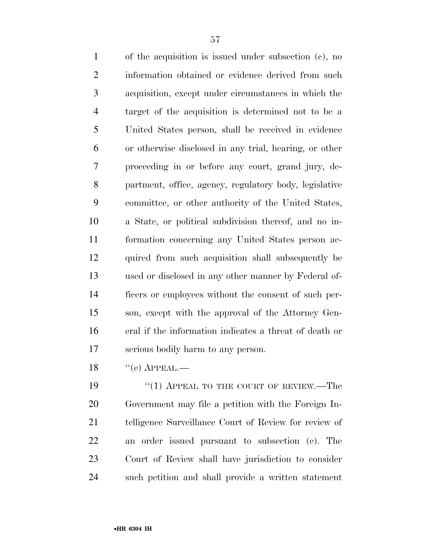of the acquisition is issued under subsection (c), no information obtained or evidence derived from such acquisition, except under circumstances in which the target of the acquisition is determined not to be a United States person, shall be received in evidence or otherwise disclosed in any trial, hearing, or other proceeding in or before any court, grand jury, de- partment, office, agency, regulatory body, legislative committee, or other authority of the United States, a State, or political subdivision thereof, and no in- formation concerning any United States person ac- quired from such acquisition shall subsequently be used or disclosed in any other manner by Federal of- ficers or employees without the consent of such per- son, except with the approval of the Attorney Gen- eral if the information indicates a threat of death or serious bodily harm to any person.

 $18 \t\t\t\t\t``(e)$  APPEAL.—

19 "(1) APPEAL TO THE COURT OF REVIEW.—The Government may file a petition with the Foreign In- telligence Surveillance Court of Review for review of an order issued pursuant to subsection (c). The Court of Review shall have jurisdiction to consider such petition and shall provide a written statement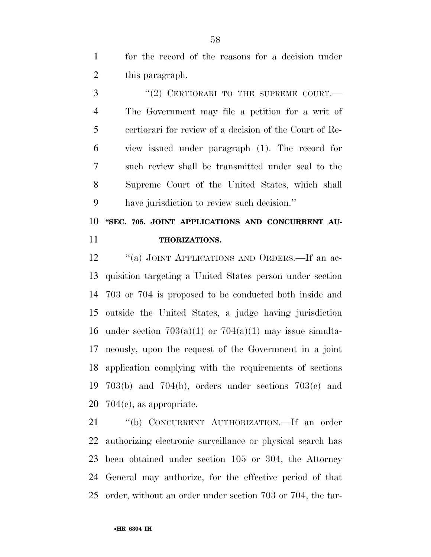for the record of the reasons for a decision under 2 this paragraph.

3 "(2) CERTIORARI TO THE SUPREME COURT.— The Government may file a petition for a writ of certiorari for review of a decision of the Court of Re- view issued under paragraph (1). The record for such review shall be transmitted under seal to the Supreme Court of the United States, which shall have jurisdiction to review such decision.''

 **''SEC. 705. JOINT APPLICATIONS AND CONCURRENT AU-THORIZATIONS.** 

12 "(a) JOINT APPLICATIONS AND ORDERS.—If an ac- quisition targeting a United States person under section 703 or 704 is proposed to be conducted both inside and outside the United States, a judge having jurisdiction 16 under section  $703(a)(1)$  or  $704(a)(1)$  may issue simulta- neously, upon the request of the Government in a joint application complying with the requirements of sections 703(b) and 704(b), orders under sections 703(c) and 704(c), as appropriate.

 ''(b) CONCURRENT AUTHORIZATION.—If an order authorizing electronic surveillance or physical search has been obtained under section 105 or 304, the Attorney General may authorize, for the effective period of that order, without an order under section 703 or 704, the tar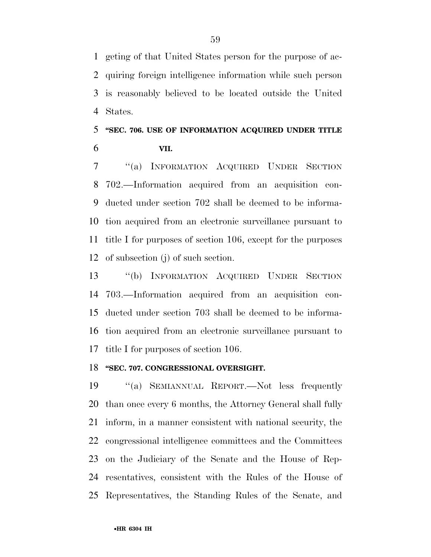geting of that United States person for the purpose of ac- quiring foreign intelligence information while such person is reasonably believed to be located outside the United States.

## **''SEC. 706. USE OF INFORMATION ACQUIRED UNDER TITLE VII.**

 ''(a) INFORMATION ACQUIRED UNDER SECTION 702.—Information acquired from an acquisition con- ducted under section 702 shall be deemed to be informa- tion acquired from an electronic surveillance pursuant to title I for purposes of section 106, except for the purposes of subsection (j) of such section.

 ''(b) INFORMATION ACQUIRED UNDER SECTION 703.—Information acquired from an acquisition con- ducted under section 703 shall be deemed to be informa- tion acquired from an electronic surveillance pursuant to title I for purposes of section 106.

## **''SEC. 707. CONGRESSIONAL OVERSIGHT.**

 ''(a) SEMIANNUAL REPORT.—Not less frequently than once every 6 months, the Attorney General shall fully inform, in a manner consistent with national security, the congressional intelligence committees and the Committees on the Judiciary of the Senate and the House of Rep- resentatives, consistent with the Rules of the House of Representatives, the Standing Rules of the Senate, and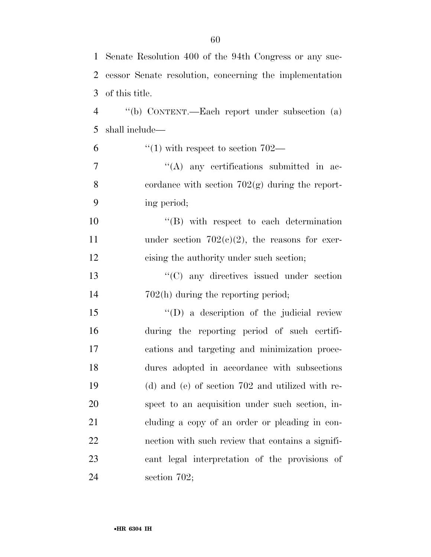| $\mathbf{1}$   | Senate Resolution 400 of the 94th Congress or any suc-  |
|----------------|---------------------------------------------------------|
| $\overline{2}$ | cessor Senate resolution, concerning the implementation |
| 3              | of this title.                                          |
| $\overline{4}$ | "(b) CONTENT.—Each report under subsection (a)          |
| 5              | shall include—                                          |
| 6              | $\degree$ (1) with respect to section 702—              |
| $\tau$         | $\lq\lq$ any certifications submitted in ac-            |
| 8              | cordance with section $702(g)$ during the report-       |
| 9              | ing period;                                             |
| 10             | $\lq\lq$ with respect to each determination             |
| 11             | under section $702(c)(2)$ , the reasons for exer-       |
| 12             | cising the authority under such section;                |
| 13             | $\cdot$ (C) any directives issued under section         |
| 14             | $702(h)$ during the reporting period;                   |
| 15             | $\lq\lq$ (D) a description of the judicial review       |
| 16             | during the reporting period of such certifi-            |
| 17             | cations and targeting and minimization proce-           |
| 18             | dures adopted in accordance with subsections            |
| 19             | (d) and (e) of section 702 and utilized with re-        |
| 20             | spect to an acquisition under such section, in-         |
| 21             | cluding a copy of an order or pleading in con-          |
| 22             | nection with such review that contains a signifi-       |
| 23             | cant legal interpretation of the provisions of          |
| 24             | section $702$ ;                                         |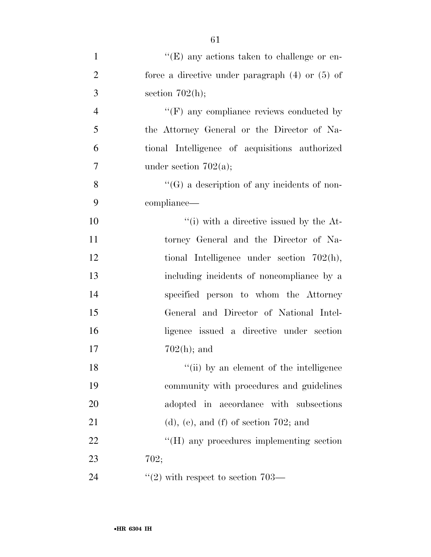| $\mathbf{1}$   | " $(E)$ any actions taken to challenge or en-       |
|----------------|-----------------------------------------------------|
| $\overline{2}$ | force a directive under paragraph $(4)$ or $(5)$ of |
| 3              | section $702(h);$                                   |
| $\overline{4}$ | $\lq\lq(F)$ any compliance reviews conducted by     |
| 5              | the Attorney General or the Director of Na-         |
| 6              | tional Intelligence of acquisitions authorized      |
| 7              | under section $702(a)$ ;                            |
| 8              | "(G) a description of any incidents of non-         |
| 9              | compliance—                                         |
| 10             | $\lq\lq$ (i) with a directive issued by the At-     |
| 11             | torney General and the Director of Na-              |
| 12             | tional Intelligence under section $702(h)$ ,        |
| 13             | including incidents of noncompliance by a           |
| 14             | specified person to whom the Attorney               |
| 15             | General and Director of National Intel-             |
| 16             | ligence issued a directive under section            |
| 17             | $702(h)$ ; and                                      |
| 18             | "(ii) by an element of the intelligence             |
| 19             | community with procedures and guidelines            |
| 20             | adopted in accordance with subsections              |
| 21             | $(d)$ , (e), and (f) of section 702; and            |
| 22             | $\rm{``(H)}$ any procedures implementing section    |
| 23             | 702;                                                |
| 24             | $"(2)$ with respect to section 703—                 |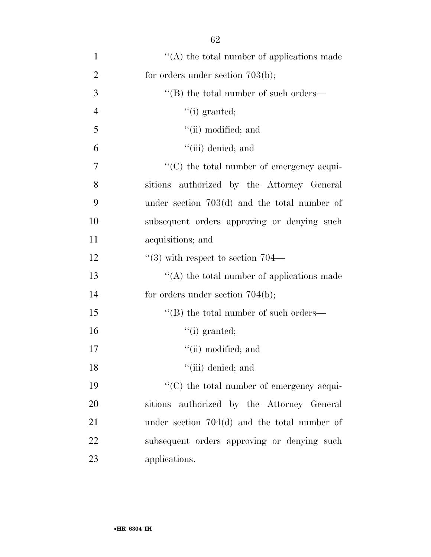| $\mathbf{1}$   | "(A) the total number of applications made     |
|----------------|------------------------------------------------|
| $\overline{2}$ | for orders under section $703(b)$ ;            |
| 3              | $\lq\lq (B)$ the total number of such orders—  |
| $\overline{4}$ | $``(i)$ granted;                               |
| 5              | "(ii) modified; and                            |
| 6              | $``(iii)$ denied; and                          |
| 7              | "(C) the total number of emergency acqui-      |
| 8              | sitions authorized by the Attorney General     |
| 9              | under section $703(d)$ and the total number of |
| 10             | subsequent orders approving or denying such    |
| 11             | acquisitions; and                              |
| 12             | $\cdot\cdot$ (3) with respect to section 704—  |
| 13             | $\lq\lq$ the total number of applications made |
| 14             | for orders under section $704(b)$ ;            |
| 15             | "(B) the total number of such orders—          |
| 16             | $``(i)$ granted;                               |
| 17             | "(ii) modified; and                            |
| 18             | $``(iii)$ denied; and                          |
| 19             | "(C) the total number of emergency acqui-      |
| 20             | sitions authorized by the Attorney General     |
| 21             | under section $704(d)$ and the total number of |
| 22             | subsequent orders approving or denying such    |
| 23             | applications.                                  |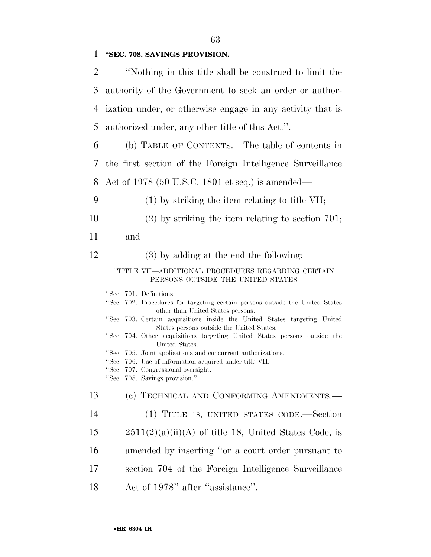1 **''SEC. 708. SAVINGS PROVISION.** 

| $\overline{2}$ | "Nothing in this title shall be construed to limit the                                                                                                                                                                                                                                                                                                                                                                                                                                                                                                                     |
|----------------|----------------------------------------------------------------------------------------------------------------------------------------------------------------------------------------------------------------------------------------------------------------------------------------------------------------------------------------------------------------------------------------------------------------------------------------------------------------------------------------------------------------------------------------------------------------------------|
| 3              | authority of the Government to seek an order or author-                                                                                                                                                                                                                                                                                                                                                                                                                                                                                                                    |
| $\overline{4}$ | ization under, or otherwise engage in any activity that is                                                                                                                                                                                                                                                                                                                                                                                                                                                                                                                 |
| 5              | authorized under, any other title of this Act.".                                                                                                                                                                                                                                                                                                                                                                                                                                                                                                                           |
| 6              | (b) TABLE OF CONTENTS.—The table of contents in                                                                                                                                                                                                                                                                                                                                                                                                                                                                                                                            |
| 7              | the first section of the Foreign Intelligence Surveillance                                                                                                                                                                                                                                                                                                                                                                                                                                                                                                                 |
| 8              | Act of 1978 (50 U.S.C. 1801 et seq.) is amended—                                                                                                                                                                                                                                                                                                                                                                                                                                                                                                                           |
| 9              | $(1)$ by striking the item relating to title VII;                                                                                                                                                                                                                                                                                                                                                                                                                                                                                                                          |
| 10             | $(2)$ by striking the item relating to section 701;                                                                                                                                                                                                                                                                                                                                                                                                                                                                                                                        |
| 11             | and                                                                                                                                                                                                                                                                                                                                                                                                                                                                                                                                                                        |
| 12             | (3) by adding at the end the following:                                                                                                                                                                                                                                                                                                                                                                                                                                                                                                                                    |
|                | "TITLE VII—ADDITIONAL PROCEDURES REGARDING CERTAIN<br>PERSONS OUTSIDE THE UNITED STATES                                                                                                                                                                                                                                                                                                                                                                                                                                                                                    |
|                | "Sec. 701. Definitions.<br>"Sec. 702. Procedures for targeting certain persons outside the United States<br>other than United States persons.<br>"Sec. 703. Certain acquisitions inside the United States targeting United<br>States persons outside the United States.<br>"Sec. 704. Other acquisitions targeting United States persons outside the<br>United States.<br>"Sec. 705. Joint applications and concurrent authorizations.<br>"Sec. 706. Use of information acquired under title VII.<br>"Sec. 707. Congressional oversight.<br>"Sec. 708. Savings provision." |
| 13             | (c) TECHNICAL AND CONFORMING AMENDMENTS.                                                                                                                                                                                                                                                                                                                                                                                                                                                                                                                                   |
| 14             | (1) TITLE 18, UNITED STATES CODE.—Section                                                                                                                                                                                                                                                                                                                                                                                                                                                                                                                                  |
| 15             | $2511(2)(a)(ii)(A)$ of title 18, United States Code, is                                                                                                                                                                                                                                                                                                                                                                                                                                                                                                                    |
| 16             | amended by inserting "or a court order pursuant to                                                                                                                                                                                                                                                                                                                                                                                                                                                                                                                         |
| 17             | section 704 of the Foreign Intelligence Surveillance                                                                                                                                                                                                                                                                                                                                                                                                                                                                                                                       |
| 18             | Act of 1978" after "assistance".                                                                                                                                                                                                                                                                                                                                                                                                                                                                                                                                           |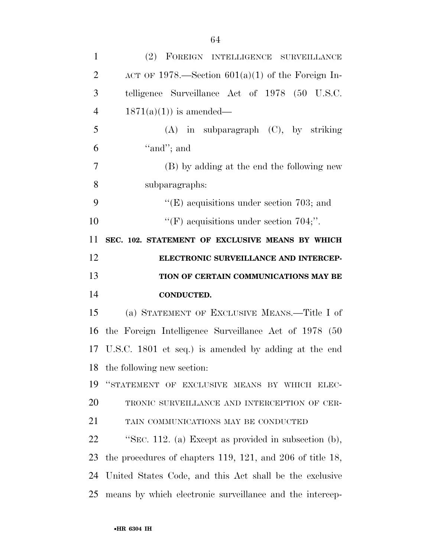| $\mathbf{1}$   | (2) FOREIGN INTELLIGENCE SURVEILLANCE                             |
|----------------|-------------------------------------------------------------------|
| $\overline{2}$ | ACT OF 1978.—Section $601(a)(1)$ of the Foreign In-               |
| 3              | telligence Surveillance Act of 1978 (50 U.S.C.                    |
| $\overline{4}$ | $1871(a)(1)$ is amended—                                          |
| 5              | $(A)$ in subparagraph $(C)$ , by striking                         |
| 6              | "and"; and                                                        |
| 7              | (B) by adding at the end the following new                        |
| 8              | subparagraphs:                                                    |
| 9              | "(E) acquisitions under section 703; and                          |
| 10             | "(F) acquisitions under section $704$ ;".                         |
| 11             | SEC. 102. STATEMENT OF EXCLUSIVE MEANS BY WHICH                   |
| 12             | ELECTRONIC SURVEILLANCE AND INTERCEP-                             |
|                |                                                                   |
| 13             | TION OF CERTAIN COMMUNICATIONS MAY BE                             |
| 14             | <b>CONDUCTED.</b>                                                 |
| 15             | (a) STATEMENT OF EXCLUSIVE MEANS.—Title I of                      |
| 16             | the Foreign Intelligence Surveillance Act of 1978 (50             |
|                | 17 U.S.C. 1801 et seq.) is amended by adding at the end           |
|                | 18 the following new section:                                     |
| 19             | "STATEMENT OF EXCLUSIVE MEANS BY WHICH ELEC-                      |
| 20             | TRONIC SURVEILLANCE AND INTERCEPTION OF CER-                      |
| 21             | TAIN COMMUNICATIONS MAY BE CONDUCTED                              |
| 22             | "SEC. 112. (a) Except as provided in subsection $(b)$ ,           |
| 23             | the procedures of chapters $119$ , $121$ , and $206$ of title 18, |
| 24             | United States Code, and this Act shall be the exclusive           |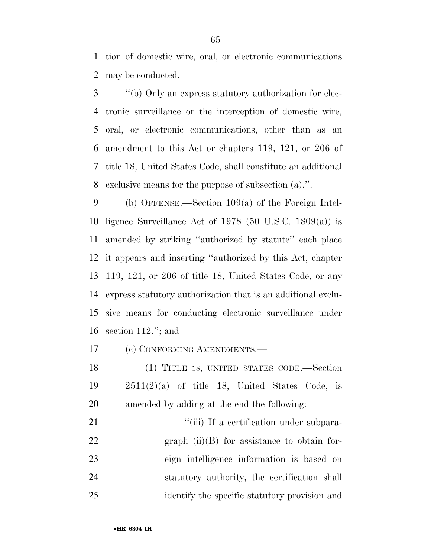tion of domestic wire, oral, or electronic communications may be conducted.

 ''(b) Only an express statutory authorization for elec- tronic surveillance or the interception of domestic wire, oral, or electronic communications, other than as an amendment to this Act or chapters 119, 121, or 206 of title 18, United States Code, shall constitute an additional exclusive means for the purpose of subsection (a).''.

 (b) OFFENSE.—Section 109(a) of the Foreign Intel- ligence Surveillance Act of 1978 (50 U.S.C. 1809(a)) is amended by striking ''authorized by statute'' each place it appears and inserting ''authorized by this Act, chapter 119, 121, or 206 of title 18, United States Code, or any express statutory authorization that is an additional exclu- sive means for conducting electronic surveillance under section 112.''; and

(c) CONFORMING AMENDMENTS.—

 (1) TITLE 18, UNITED STATES CODE.—Section 2511(2)(a) of title 18, United States Code, is amended by adding at the end the following:

 $\frac{1}{1}$  The a certification under subpara-22 graph  $(ii)(B)$  for assistance to obtain for- eign intelligence information is based on statutory authority, the certification shall identify the specific statutory provision and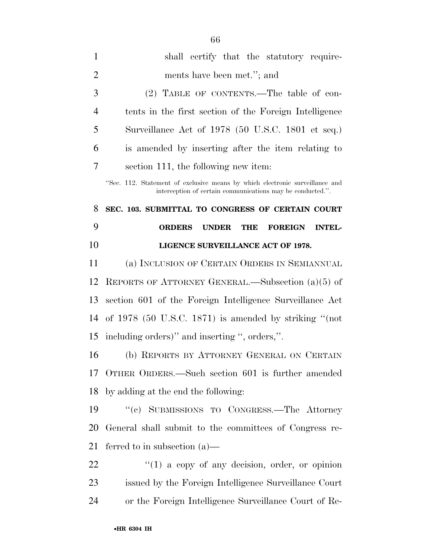| $\mathbf{1}$   | shall certify that the statutory require-                                                                                                  |
|----------------|--------------------------------------------------------------------------------------------------------------------------------------------|
| $\overline{2}$ | ments have been met."; and                                                                                                                 |
| 3              | (2) TABLE OF CONTENTS.—The table of con-                                                                                                   |
| $\overline{4}$ | tents in the first section of the Foreign Intelligence                                                                                     |
| 5              | Surveillance Act of 1978 (50 U.S.C. 1801 et seq.)                                                                                          |
| 6              | is amended by inserting after the item relating to                                                                                         |
| 7              | section 111, the following new item:                                                                                                       |
|                | "Sec. 112. Statement of exclusive means by which electronic surveillance and<br>interception of certain communications may be conducted.". |
| 8              | SEC. 103. SUBMITTAL TO CONGRESS OF CERTAIN COURT                                                                                           |
| 9              | <b>ORDERS</b><br><b>UNDER</b><br><b>THE</b><br><b>INTEL-</b><br><b>FOREIGN</b>                                                             |
| 10             | LIGENCE SURVEILLANCE ACT OF 1978.                                                                                                          |
| 11             | (a) INCLUSION OF CERTAIN ORDERS IN SEMIANNUAL                                                                                              |
| 12             | REPORTS OF ATTORNEY GENERAL.—Subsection $(a)(5)$ of                                                                                        |
| 13             | section 601 of the Foreign Intelligence Surveillance Act                                                                                   |
| 14             | of $1978$ (50 U.S.C. 1871) is amended by striking "(not                                                                                    |
| 15             | including orders)" and inserting ", orders,".                                                                                              |
| 16             | (b) REPORTS BY ATTORNEY GENERAL ON CERTAIN                                                                                                 |
|                | 17 OTHER ORDERS.—Such section 601 is further amended                                                                                       |
| 18             | by adding at the end the following:                                                                                                        |
| 19             | "(c) SUBMISSIONS TO CONGRESS.—The Attorney                                                                                                 |
| 20             | General shall submit to the committees of Congress re-                                                                                     |
| 21             | ferred to in subsection $(a)$ —                                                                                                            |
| 22             | $\lq(1)$ a copy of any decision, order, or opinion                                                                                         |
| 23             | issued by the Foreign Intelligence Surveillance Court                                                                                      |
| 24             | or the Foreign Intelligence Surveillance Court of Re-                                                                                      |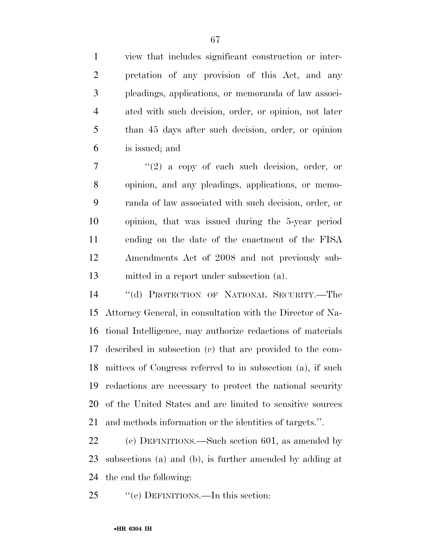view that includes significant construction or inter- pretation of any provision of this Act, and any pleadings, applications, or memoranda of law associ- ated with such decision, order, or opinion, not later than 45 days after such decision, order, or opinion is issued; and

 ''(2) a copy of each such decision, order, or opinion, and any pleadings, applications, or memo- randa of law associated with such decision, order, or opinion, that was issued during the 5-year period ending on the date of the enactment of the FISA Amendments Act of 2008 and not previously sub-mitted in a report under subsection (a).

 ''(d) PROTECTION OF NATIONAL SECURITY.—The Attorney General, in consultation with the Director of Na- tional Intelligence, may authorize redactions of materials described in subsection (c) that are provided to the com- mittees of Congress referred to in subsection (a), if such redactions are necessary to protect the national security of the United States and are limited to sensitive sources and methods information or the identities of targets.''.

 (c) DEFINITIONS.—Such section 601, as amended by subsections (a) and (b), is further amended by adding at the end the following:

25 "(e) DEFINITIONS.—In this section: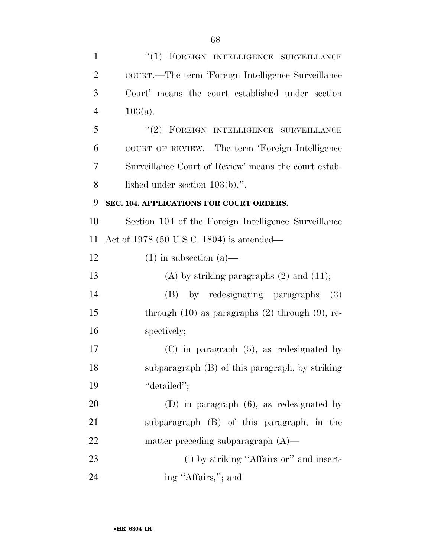| $\mathbf{1}$   | $``(1)$ FOREIGN INTELLIGENCE SURVEILLANCE              |
|----------------|--------------------------------------------------------|
| $\overline{2}$ | COURT.—The term 'Foreign Intelligence Surveillance     |
| 3              | Court' means the court established under section       |
| $\overline{4}$ | $103(a)$ .                                             |
| 5              | $``(2)$ FOREIGN INTELLIGENCE SURVEILLANCE              |
| 6              | COURT OF REVIEW.—The term 'Foreign Intelligence        |
| 7              | Surveillance Court of Review' means the court estab-   |
| 8              | lished under section $103(b)$ .".                      |
| 9              | SEC. 104. APPLICATIONS FOR COURT ORDERS.               |
| 10             | Section 104 of the Foreign Intelligence Surveillance   |
| 11             | Act of 1978 (50 U.S.C. 1804) is amended—               |
| 12             | $(1)$ in subsection $(a)$ —                            |
| 13             | (A) by striking paragraphs $(2)$ and $(11)$ ;          |
| 14             | by redesignating paragraphs<br>(3)<br>(B)              |
| 15             | through $(10)$ as paragraphs $(2)$ through $(9)$ , re- |
| 16             | spectively;                                            |
| 17             | $(C)$ in paragraph $(5)$ , as redesignated by          |
| 18             | subparagraph (B) of this paragraph, by striking        |
| 19             | "detailed";                                            |
| 20             | $(D)$ in paragraph $(6)$ , as redesignated by          |
| 21             | subparagraph (B) of this paragraph, in the             |
| 22             | matter preceding subparagraph $(A)$ —                  |
| 23             | (i) by striking "Affairs or" and insert-               |
| 24             | ing "Affairs,"; and                                    |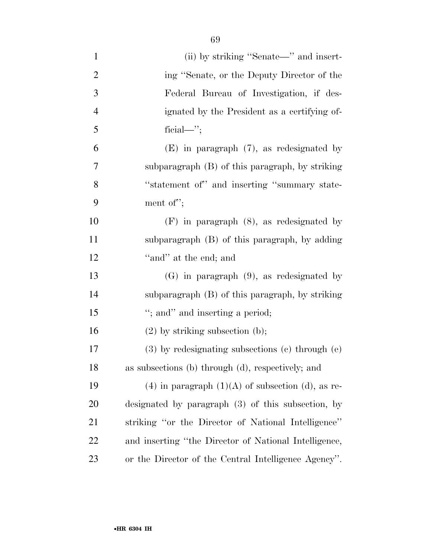| $\mathbf{1}$   | (ii) by striking "Senate—" and insert-                   |
|----------------|----------------------------------------------------------|
| $\overline{2}$ | ing "Senate, or the Deputy Director of the               |
| $\mathfrak{Z}$ | Federal Bureau of Investigation, if des-                 |
| $\overline{4}$ | ignated by the President as a certifying of-             |
| 5              | $\text{ficial} \rightarrow$                              |
| 6              | $(E)$ in paragraph $(7)$ , as redesignated by            |
| $\overline{7}$ | subparagraph (B) of this paragraph, by striking          |
| 8              | "statement of" and inserting "summary state-             |
| 9              | ment of";                                                |
| 10             | $(F)$ in paragraph $(8)$ , as redesignated by            |
| 11             | subparagraph (B) of this paragraph, by adding            |
| 12             | "and" at the end; and                                    |
| 13             | $(G)$ in paragraph $(9)$ , as redesignated by            |
| 14             | subparagraph (B) of this paragraph, by striking          |
| 15             | "; and" and inserting a period;                          |
| 16             | $(2)$ by striking subsection $(b)$ ;                     |
| $17\,$         | $(3)$ by redesignating subsections $(e)$ through $(e)$   |
| 18             | as subsections (b) through (d), respectively; and        |
| 19             | $(4)$ in paragraph $(1)(A)$ of subsection $(d)$ , as re- |
| <b>20</b>      | designated by paragraph (3) of this subsection, by       |
| 21             | striking "or the Director of National Intelligence"      |
| 22             | and inserting "the Director of National Intelligence,    |
| 23             | or the Director of the Central Intelligence Agency".     |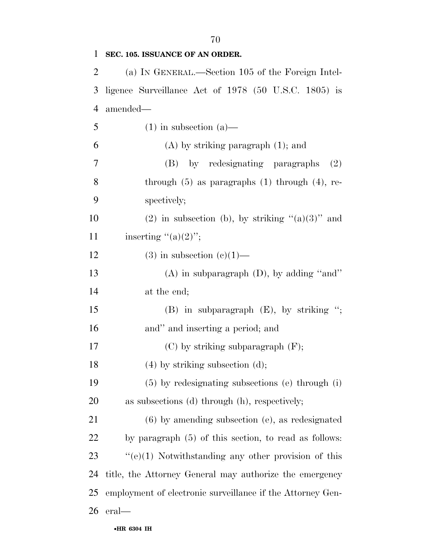**SEC. 105. ISSUANCE OF AN ORDER.**  (a) IN GENERAL.—Section 105 of the Foreign Intel- ligence Surveillance Act of 1978 (50 U.S.C. 1805) is amended— 5 (1) in subsection (a)— 6 (A) by striking paragraph  $(1)$ ; and (B) by redesignating paragraphs (2) through (5) as paragraphs (1) through (4), re- spectively; 10 (2) in subsection (b), by striking  $(2)$  and 11 inserting  $"({\rm a})(2)"$ ; 12 (3) in subsection  $(e)(1)$ — (A) in subparagraph (D), by adding ''and'' at the end; (B) in subparagraph (E), by striking ''; and'' and inserting a period; and 17 (C) by striking subparagraph (F); 18 (4) by striking subsection (d); (5) by redesignating subsections (e) through (i) as subsections (d) through (h), respectively; (6) by amending subsection (e), as redesignated by paragraph (5) of this section, to read as follows: 23 "(e)(1) Notwithstanding any other provision of this title, the Attorney General may authorize the emergency employment of electronic surveillance if the Attorney Gen-eral—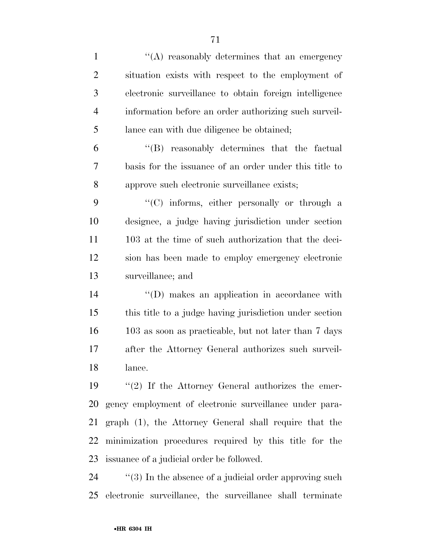| $\mathbf{1}$   | "(A) reasonably determines that an emergency               |
|----------------|------------------------------------------------------------|
| $\overline{2}$ | situation exists with respect to the employment of         |
| 3              | electronic surveillance to obtain foreign intelligence     |
| $\overline{4}$ | information before an order authorizing such surveil-      |
| 5              | lance can with due diligence be obtained;                  |
| 6              | $\lq\lq$ reasonably determines that the factual            |
| 7              | basis for the issuance of an order under this title to     |
| 8              | approve such electronic surveillance exists;               |
| 9              | "(C) informs, either personally or through a               |
| 10             | designee, a judge having jurisdiction under section        |
| 11             | 103 at the time of such authorization that the deci-       |
| 12             | sion has been made to employ emergency electronic          |
| 13             | surveillance; and                                          |
| 14             | $\lq\lq$ (D) makes an application in accordance with       |
| 15             | this title to a judge having jurisdiction under section    |
| 16             | 103 as soon as practicable, but not later than 7 days      |
| 17             | after the Attorney General authorizes such surveil-        |
| 18             | lance.                                                     |
| 19             | $\lq(2)$ If the Attorney General authorizes the emer-      |
| 20             | gency employment of electronic surveillance under para-    |
| 21             | graph (1), the Attorney General shall require that the     |
| 22             | minimization procedures required by this title for the     |
| 23             | issuance of a judicial order be followed.                  |
| 24             | $\lq(3)$ In the absence of a judicial order approving such |

electronic surveillance, the surveillance shall terminate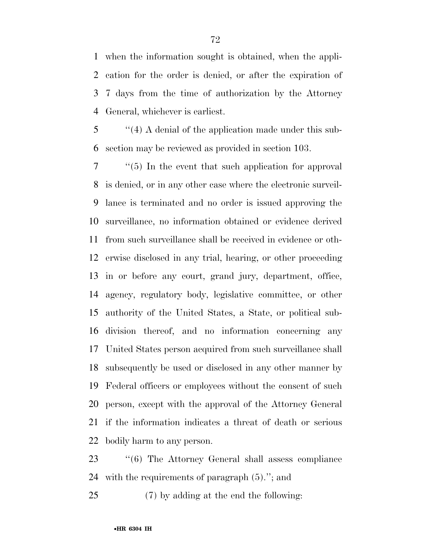when the information sought is obtained, when the appli- cation for the order is denied, or after the expiration of 7 days from the time of authorization by the Attorney General, whichever is earliest.

 ''(4) A denial of the application made under this sub-section may be reviewed as provided in section 103.

 ''(5) In the event that such application for approval is denied, or in any other case where the electronic surveil- lance is terminated and no order is issued approving the surveillance, no information obtained or evidence derived from such surveillance shall be received in evidence or oth- erwise disclosed in any trial, hearing, or other proceeding in or before any court, grand jury, department, office, agency, regulatory body, legislative committee, or other authority of the United States, a State, or political sub- division thereof, and no information concerning any United States person acquired from such surveillance shall subsequently be used or disclosed in any other manner by Federal officers or employees without the consent of such person, except with the approval of the Attorney General if the information indicates a threat of death or serious bodily harm to any person.

 ''(6) The Attorney General shall assess compliance with the requirements of paragraph (5).''; and

(7) by adding at the end the following: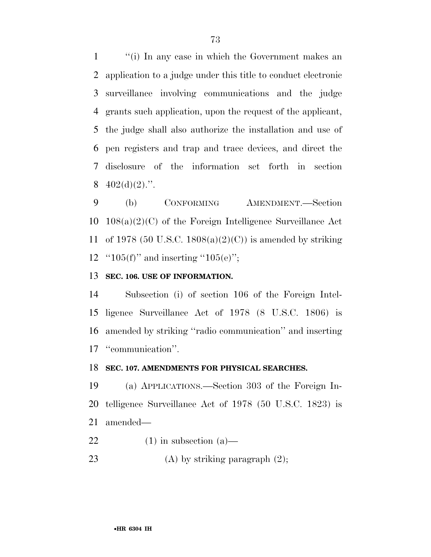''(i) In any case in which the Government makes an application to a judge under this title to conduct electronic surveillance involving communications and the judge grants such application, upon the request of the applicant, the judge shall also authorize the installation and use of pen registers and trap and trace devices, and direct the disclosure of the information set forth in section  $402(d)(2)$ .".

 (b) CONFORMING AMENDMENT.—Section 108(a)(2)(C) of the Foreign Intelligence Surveillance Act 11 of 1978 (50 U.S.C. 1808(a)(2)(C)) is amended by striking  $"105(f)"$  and inserting "105(e)";

## **SEC. 106. USE OF INFORMATION.**

 Subsection (i) of section 106 of the Foreign Intel- ligence Surveillance Act of 1978 (8 U.S.C. 1806) is amended by striking ''radio communication'' and inserting ''communication''.

#### **SEC. 107. AMENDMENTS FOR PHYSICAL SEARCHES.**

 (a) APPLICATIONS.—Section 303 of the Foreign In- telligence Surveillance Act of 1978 (50 U.S.C. 1823) is amended—

- 22 (1) in subsection  $(a)$ —
- 23 (A) by striking paragraph  $(2)$ ;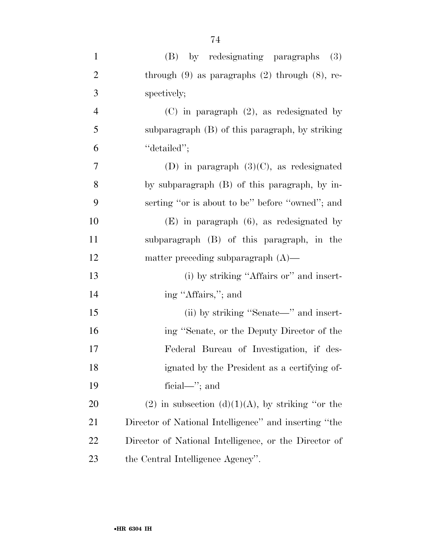| $\mathbf{1}$   | (B) by redesignating paragraphs<br>(3)                |
|----------------|-------------------------------------------------------|
| $\overline{2}$ | through $(9)$ as paragraphs $(2)$ through $(8)$ , re- |
| 3              | spectively;                                           |
| $\overline{4}$ | $(C)$ in paragraph $(2)$ , as redesignated by         |
| 5              | subparagraph (B) of this paragraph, by striking       |
| 6              | "detailed";                                           |
| 7              | (D) in paragraph $(3)(C)$ , as redesignated           |
| 8              | by subparagraph (B) of this paragraph, by in-         |
| 9              | serting "or is about to be" before "owned"; and       |
| 10             | $(E)$ in paragraph $(6)$ , as redesignated by         |
| 11             | subparagraph (B) of this paragraph, in the            |
| 12             | matter preceding subparagraph $(A)$ —                 |
| 13             | (i) by striking "Affairs or" and insert-              |
| 14             | ing "Affairs,"; and                                   |
| 15             | (ii) by striking "Senate—" and insert-                |
| 16             | ing "Senate, or the Deputy Director of the            |
| 17             | Federal Bureau of Investigation, if des-              |
| 18             | ignated by the President as a certifying of-          |
| 19             | ficial— $\cdot$ ; and                                 |
| 20             | $(2)$ in subsection $(d)(1)(A)$ , by striking "or the |
| 21             | Director of National Intelligence" and inserting "the |
| 22             | Director of National Intelligence, or the Director of |
| 23             | the Central Intelligence Agency".                     |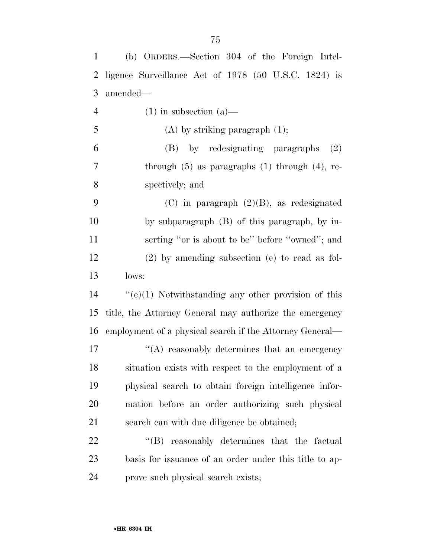| $\mathbf{1}$   | (b) ORDERS.—Section 304 of the Foreign Intel-            |
|----------------|----------------------------------------------------------|
| $\overline{2}$ | ligence Surveillance Act of 1978 (50 U.S.C. 1824) is     |
| 3              | amended—                                                 |
| $\overline{4}$ | $(1)$ in subsection $(a)$ —                              |
| 5              | $(A)$ by striking paragraph $(1)$ ;                      |
| 6              | (B) by redesignating paragraphs<br>(2)                   |
| $\overline{7}$ | through $(5)$ as paragraphs $(1)$ through $(4)$ , re-    |
| 8              | spectively; and                                          |
| 9              | $(C)$ in paragraph $(2)(B)$ , as redesignated            |
| 10             | by subparagraph (B) of this paragraph, by in-            |
| 11             | serting "or is about to be" before "owned"; and          |
| 12             | $(2)$ by amending subsection (e) to read as fol-         |
| 13             | lows:                                                    |
| 14             | $``(e)(1)$ Notwithstanding any other provision of this   |
| 15             | title, the Attorney General may authorize the emergency  |
| 16             | employment of a physical search if the Attorney General— |
| 17             | "(A) reasonably determines that an emergency             |
| 18             | situation exists with respect to the employment of a     |
| 19             | physical search to obtain foreign intelligence infor-    |
| <b>20</b>      | mation before an order authorizing such physical         |
| 21             | search can with due diligence be obtained;               |
| 22             | "(B) reasonably determines that the factual              |
| 23             | basis for issuance of an order under this title to ap-   |
| 24             | prove such physical search exists;                       |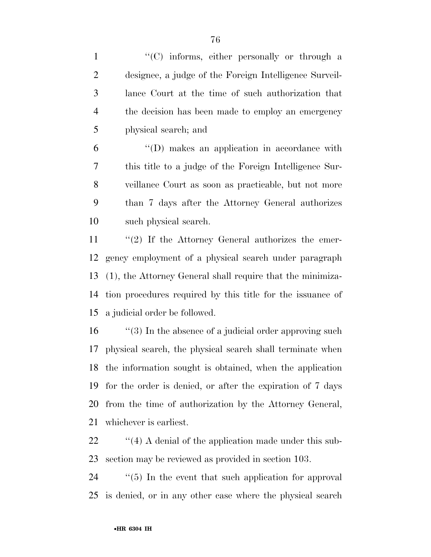1 ''(C) informs, either personally or through a designee, a judge of the Foreign Intelligence Surveil- lance Court at the time of such authorization that the decision has been made to employ an emergency physical search; and

 ''(D) makes an application in accordance with this title to a judge of the Foreign Intelligence Sur- veillance Court as soon as practicable, but not more than 7 days after the Attorney General authorizes such physical search.

11 ''(2) If the Attorney General authorizes the emer- gency employment of a physical search under paragraph (1), the Attorney General shall require that the minimiza- tion procedures required by this title for the issuance of a judicial order be followed.

16 "(3) In the absence of a judicial order approving such physical search, the physical search shall terminate when the information sought is obtained, when the application for the order is denied, or after the expiration of 7 days from the time of authorization by the Attorney General, whichever is earliest.

22 ''(4) A denial of the application made under this sub-section may be reviewed as provided in section 103.

24  $\frac{1}{2}$  (5) In the event that such application for approval is denied, or in any other case where the physical search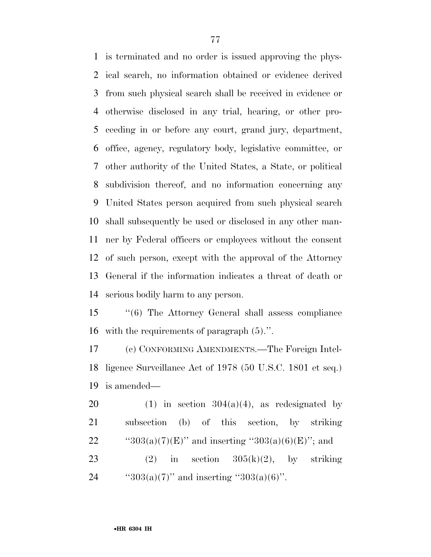is terminated and no order is issued approving the phys- ical search, no information obtained or evidence derived from such physical search shall be received in evidence or otherwise disclosed in any trial, hearing, or other pro- ceeding in or before any court, grand jury, department, office, agency, regulatory body, legislative committee, or other authority of the United States, a State, or political subdivision thereof, and no information concerning any United States person acquired from such physical search shall subsequently be used or disclosed in any other man- ner by Federal officers or employees without the consent of such person, except with the approval of the Attorney General if the information indicates a threat of death or serious bodily harm to any person.

 ''(6) The Attorney General shall assess compliance with the requirements of paragraph (5).''.

 (c) CONFORMING AMENDMENTS.—The Foreign Intel- ligence Surveillance Act of 1978 (50 U.S.C. 1801 et seq.) is amended—

20 (1) in section  $304(a)(4)$ , as redesignated by subsection (b) of this section, by striking 22 " $^{43}303(a)(7)(E)$ " and inserting  $^{43}303(a)(6)(E)$ "; and 23 (2) in section  $305(k)(2)$ , by striking 24  $"303(a)(7)"$  and inserting "303(a)(6)".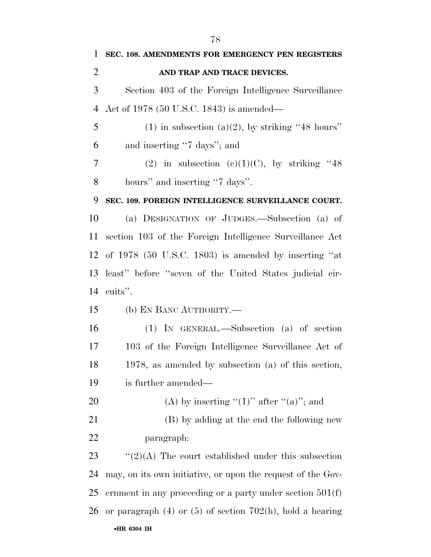•**HR 6304 IH SEC. 108. AMENDMENTS FOR EMERGENCY PEN REGISTERS AND TRAP AND TRACE DEVICES.**  Section 403 of the Foreign Intelligence Surveillance Act of 1978 (50 U.S.C. 1843) is amended— 5 (1) in subsection (a)(2), by striking "48 hours" and inserting ''7 days''; and 7 (2) in subsection (c)(1)(C), by striking  $"48$  hours'' and inserting ''7 days''. **SEC. 109. FOREIGN INTELLIGENCE SURVEILLANCE COURT.**  (a) DESIGNATION OF JUDGES.—Subsection (a) of section 103 of the Foreign Intelligence Surveillance Act of 1978 (50 U.S.C. 1803) is amended by inserting ''at least'' before ''seven of the United States judicial cir- cuits''. (b) EN BANC AUTHORITY.— (1) IN GENERAL.—Subsection (a) of section 103 of the Foreign Intelligence Surveillance Act of 1978, as amended by subsection (a) of this section, is further amended— 20 (A) by inserting " $(1)$ " after " $(a)$ "; and (B) by adding at the end the following new paragraph:  $\frac{1}{2}(2)(A)$  The court established under this subsection may, on its own initiative, or upon the request of the Gov- ernment in any proceeding or a party under section 501(f) or paragraph (4) or (5) of section 702(h), hold a hearing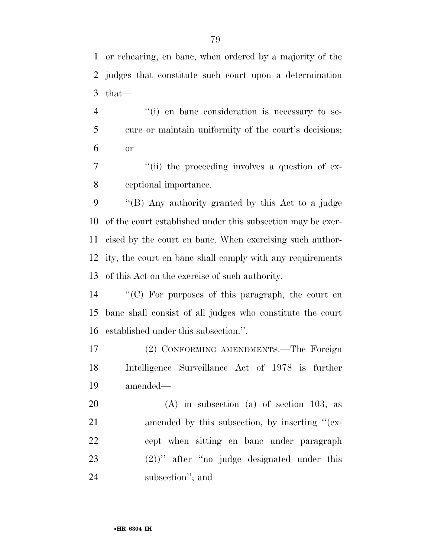or rehearing, en banc, when ordered by a majority of the judges that constitute such court upon a determination that—

4  $\langle$  (i) en banc consideration is necessary to se- cure or maintain uniformity of the court's decisions; or

7  $\frac{1}{1}$  (ii) the proceeding involves a question of ex-ceptional importance.

 ''(B) Any authority granted by this Act to a judge of the court established under this subsection may be exer- cised by the court en banc. When exercising such author- ity, the court en banc shall comply with any requirements of this Act on the exercise of such authority.

 ''(C) For purposes of this paragraph, the court en banc shall consist of all judges who constitute the court established under this subsection.''.

 (2) CONFORMING AMENDMENTS.—The Foreign Intelligence Surveillance Act of 1978 is further amended—

 (A) in subsection (a) of section 103, as 21 amended by this subsection, by inserting "(ex- cept when sitting en banc under paragraph (2))'' after ''no judge designated under this subsection''; and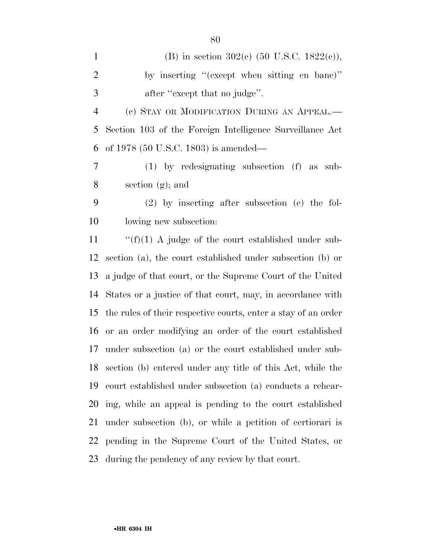| $\mathbf{1}$   | (B) in section 302(c) $(50 \text{ U.S.C. } 1822(c))$ ,         |
|----------------|----------------------------------------------------------------|
| $\mathbf{2}$   | by inserting "(except when sitting en banc)"                   |
| 3              | after "except that no judge".                                  |
| $\overline{4}$ | (c) STAY OR MODIFICATION DURING AN APPEAL.—                    |
| 5              | Section 103 of the Foreign Intelligence Surveillance Act       |
| 6              | of 1978 $(50 \text{ U.S.C. } 1803)$ is amended—                |
| $\tau$         | $(1)$ by redesignating subsection $(f)$ as sub-                |
| 8              | section $(g)$ ; and                                            |
| 9              | $(2)$ by inserting after subsection (e) the fol-               |
| 10             | lowing new subsection:                                         |
| 11             | " $(f)(1)$ A judge of the court established under sub-         |
| 12             | section (a), the court established under subsection (b) or     |
| 13             | a judge of that court, or the Supreme Court of the United      |
| 14             | States or a justice of that court, may, in accordance with     |
| 15             | the rules of their respective courts, enter a stay of an order |
| 16             | or an order modifying an order of the court established        |
| 17             | under subsection (a) or the court established under sub-       |
|                | 18 section (b) entered under any title of this Act, while the  |
| 19             | court established under subsection (a) conducts a rehear-      |
|                | 20 ing, while an appeal is pending to the court established    |
| 21             | under subsection (b), or while a petition of certiorari is     |
| 22             | pending in the Supreme Court of the United States, or          |
| 23             | during the pendency of any review by that court.               |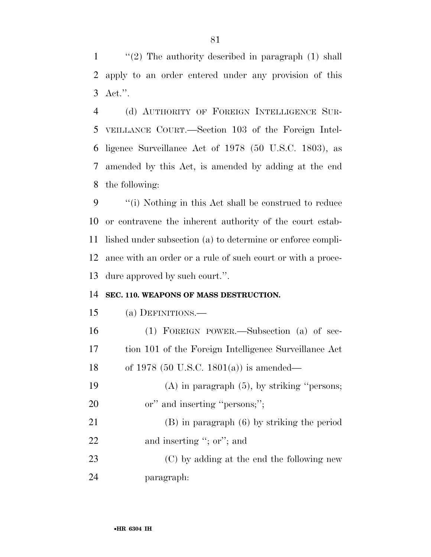''(2) The authority described in paragraph (1) shall apply to an order entered under any provision of this Act.''.

 (d) AUTHORITY OF FOREIGN INTELLIGENCE SUR- VEILLANCE COURT.—Section 103 of the Foreign Intel- ligence Surveillance Act of 1978 (50 U.S.C. 1803), as amended by this Act, is amended by adding at the end the following:

 ''(i) Nothing in this Act shall be construed to reduce or contravene the inherent authority of the court estab- lished under subsection (a) to determine or enforce compli- ance with an order or a rule of such court or with a proce-dure approved by such court.''.

#### **SEC. 110. WEAPONS OF MASS DESTRUCTION.**

#### (a) DEFINITIONS.—

| 16 | $(1)$ FOREIGN POWER.—Subsection $(a)$ of sec-         |
|----|-------------------------------------------------------|
| 17 | tion 101 of the Foreign Intelligence Surveillance Act |
| 18 | of 1978 (50 U.S.C. 1801(a)) is amended—               |
| 19 | $(A)$ in paragraph $(5)$ , by striking "persons;      |
| 20 | or" and inserting "persons;";                         |
| 21 | $(B)$ in paragraph $(6)$ by striking the period       |
| 22 | and inserting "; or"; and                             |
| 23 | (C) by adding at the end the following new            |
| 24 | paragraph:                                            |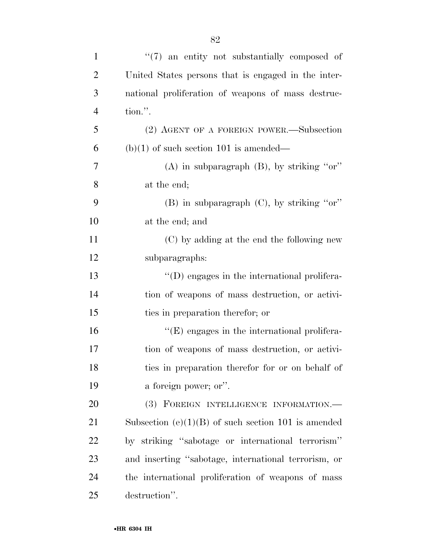| $\mathbf{1}$   | $\lq(7)$ an entity not substantially composed of      |
|----------------|-------------------------------------------------------|
| $\overline{2}$ | United States persons that is engaged in the inter-   |
| 3              | national proliferation of weapons of mass destruc-    |
| $\overline{4}$ | tion.".                                               |
| 5              | (2) AGENT OF A FOREIGN POWER.—Subsection              |
| 6              | $(b)(1)$ of such section 101 is amended—              |
| $\overline{7}$ | $(A)$ in subparagraph $(B)$ , by striking "or"        |
| 8              | at the end;                                           |
| 9              | (B) in subparagraph $(C)$ , by striking "or"          |
| 10             | at the end; and                                       |
| 11             | (C) by adding at the end the following new            |
| 12             | subparagraphs:                                        |
| 13             | $\lq\lq$ (D) engages in the international prolifera-  |
| 14             | tion of weapons of mass destruction, or activi-       |
| 15             | ties in preparation therefor; or                      |
| 16             | $\lq\lq(E)$ engages in the international prolifera-   |
| 17             | tion of weapons of mass destruction, or activi-       |
| 18             | ties in preparation therefor for or on behalf of      |
| 19             | a foreign power; or".                                 |
| 20             | (3) FOREIGN INTELLIGENCE INFORMATION.-                |
| 21             | Subsection $(e)(1)(B)$ of such section 101 is amended |
| 22             | by striking "sabotage or international terrorism"     |
| 23             | and inserting "sabotage, international terrorism, or  |
| 24             | the international proliferation of weapons of mass    |
| 25             | destruction".                                         |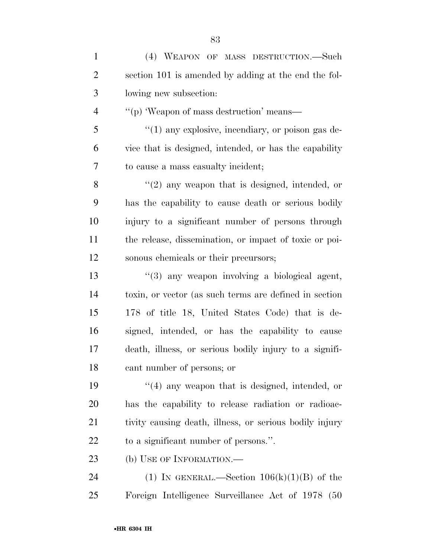| $\mathbf{1}$   | (4) WEAPON OF MASS DESTRUCTION.—Such                    |
|----------------|---------------------------------------------------------|
| $\overline{2}$ | section 101 is amended by adding at the end the fol-    |
| 3              | lowing new subsection:                                  |
| $\overline{4}$ | "(p) 'Weapon of mass destruction' means—                |
| 5              | $\lq(1)$ any explosive, incendiary, or poison gas de-   |
| 6              | vice that is designed, intended, or has the capability  |
| 7              | to cause a mass casualty incident;                      |
| 8              | $\lq(2)$ any weapon that is designed, intended, or      |
| 9              | has the capability to cause death or serious bodily     |
| 10             | injury to a significant number of persons through       |
| 11             | the release, dissemination, or impact of toxic or poi-  |
| 12             | sonous chemicals or their precursors;                   |
| 13             | $\lq(3)$ any weapon involving a biological agent,       |
| 14             | toxin, or vector (as such terms are defined in section  |
| 15             | 178 of title 18, United States Code) that is de-        |
| 16             | signed, intended, or has the capability to cause        |
| 17             | death, illness, or serious bodily injury to a signifi-  |
| 18             | cant number of persons; or                              |
| 19             | $\lq(4)$ any weapon that is designed, intended, or      |
| 20             | has the capability to release radiation or radioac-     |
| 21             | tivity causing death, illness, or serious bodily injury |
| 22             | to a significant number of persons.".                   |
| 23             | (b) USE OF INFORMATION.—                                |
| 24             | (1) IN GENERAL.—Section $106(k)(1)(B)$ of the           |
| 25             | Foreign Intelligence Surveillance Act of 1978 (50       |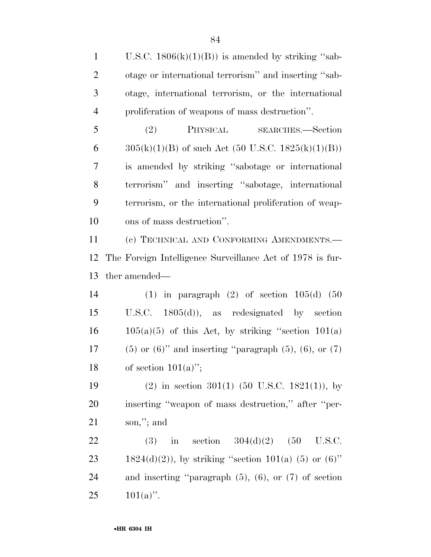1 U.S.C.  $1806(k)(1)(B)$  is amended by striking "sab- otage or international terrorism'' and inserting ''sab- otage, international terrorism, or the international proliferation of weapons of mass destruction''.

 (2) PHYSICAL SEARCHES.—Section  $305(k)(1)(B)$  of such Act (50 U.S.C. 1825(k)(1)(B)) is amended by striking ''sabotage or international terrorism'' and inserting ''sabotage, international terrorism, or the international proliferation of weap-ons of mass destruction''.

 (c) TECHNICAL AND CONFORMING AMENDMENTS.— The Foreign Intelligence Surveillance Act of 1978 is fur-ther amended—

 (1) in paragraph (2) of section 105(d) (50 U.S.C. 1805(d)), as redesignated by section  $16 \qquad 105(a)(5)$  of this Act, by striking "section  $101(a)$ 17 (5) or  $(6)$ " and inserting "paragraph  $(5)$ ,  $(6)$ , or  $(7)$ 18 of section  $101(a)$ ";

 (2) in section 301(1) (50 U.S.C. 1821(1)), by inserting ''weapon of mass destruction,'' after ''per-son,''; and

22 (3) in section  $304(d)(2)$  (50 U.S.C. 23 1824(d)(2)), by striking "section 101(a) (5) or  $(6)$ " and inserting ''paragraph (5), (6), or (7) of section 25  $101(a)$ ".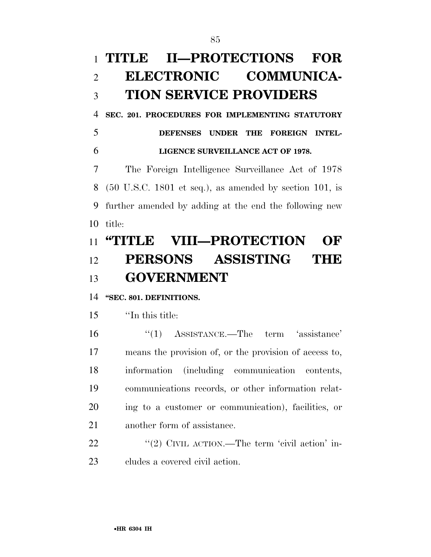# **TITLE II—PROTECTIONS FOR ELECTRONIC COMMUNICA-TION SERVICE PROVIDERS**

**SEC. 201. PROCEDURES FOR IMPLEMENTING STATUTORY** 

 **DEFENSES UNDER THE FOREIGN INTEL-LIGENCE SURVEILLANCE ACT OF 1978.** 

 The Foreign Intelligence Surveillance Act of 1978 (50 U.S.C. 1801 et seq.), as amended by section 101, is further amended by adding at the end the following new title:

# **''TITLE VIII—PROTECTION OF PERSONS ASSISTING THE GOVERNMENT**

# **''SEC. 801. DEFINITIONS.**

''In this title:

 ''(1) ASSISTANCE.—The term 'assistance' means the provision of, or the provision of access to, information (including communication contents, communications records, or other information relat- ing to a customer or communication), facilities, or another form of assistance.

22 "'(2) CIVIL ACTION.—The term 'civil action' in-cludes a covered civil action.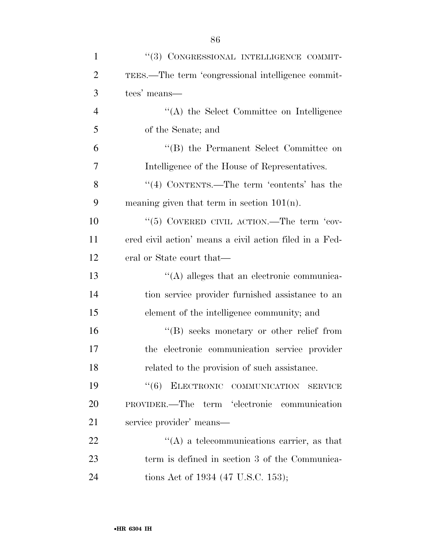| $\mathbf{1}$   | "(3) CONGRESSIONAL INTELLIGENCE COMMIT-                 |
|----------------|---------------------------------------------------------|
| $\overline{2}$ | TEES.—The term 'congressional intelligence commit-      |
| 3              | tees' means—                                            |
| $\overline{4}$ | "(A) the Select Committee on Intelligence               |
| 5              | of the Senate; and                                      |
| 6              | "(B) the Permanent Select Committee on                  |
| 7              | Intelligence of the House of Representatives.           |
| 8              | "(4) CONTENTS.—The term 'contents' has the              |
| 9              | meaning given that term in section $101(n)$ .           |
| 10             | "(5) COVERED CIVIL ACTION.—The term 'cov-               |
| 11             | ered civil action' means a civil action filed in a Fed- |
| 12             | eral or State court that—                               |
| 13             | $\lq\lq$ alleges that an electronic communica-          |
| 14             | tion service provider furnished assistance to an        |
| 15             | element of the intelligence community; and              |
| 16             | "(B) seeks monetary or other relief from                |
| 17             | the electronic communication service provider           |
| 18             | related to the provision of such assistance.            |
| 19             | (6)<br>ELECTRONIC COMMUNICATION SERVICE                 |
| 20             | PROVIDER.—The term 'electronic communication            |
| 21             | service provider' means—                                |
| 22             | $\lq\lq$ a telecommunications carrier, as that          |
| 23             | term is defined in section 3 of the Communica-          |
| 24             | tions Act of 1934 (47 U.S.C. 153);                      |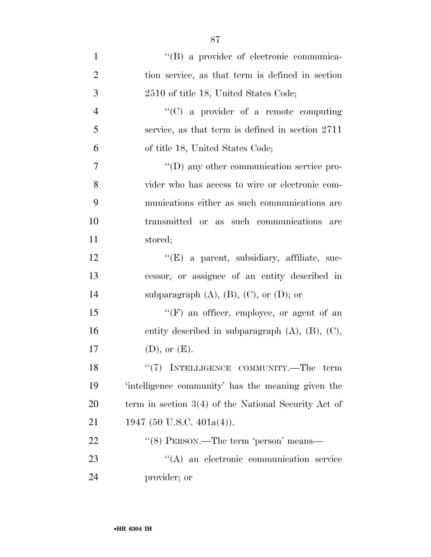| $\mathbf{1}$   | "(B) a provider of electronic communica-                 |
|----------------|----------------------------------------------------------|
| $\overline{2}$ | tion service, as that term is defined in section         |
| 3              | 2510 of title 18, United States Code;                    |
| $\overline{4}$ | $\lq\lq$ (C) a provider of a remote computing            |
| 5              | service, as that term is defined in section 2711         |
| 6              | of title 18, United States Code;                         |
| $\overline{7}$ | $\lq\lq$ (D) any other communication service pro-        |
| 8              | vider who has access to wire or electronic com-          |
| 9              | munications either as such communications are            |
| 10             | transmitted or as such communications<br>are             |
| 11             | stored;                                                  |
| 12             | "(E) a parent, subsidiary, affiliate, suc-               |
| 13             | cessor, or assignee of an entity described in            |
| 14             | subparagraph $(A)$ , $(B)$ , $(C)$ , or $(D)$ ; or       |
| 15             | "(F) an officer, employee, or agent of an                |
| 16             | entity described in subparagraph $(A)$ , $(B)$ , $(C)$ , |
| 17             | $(D)$ , or $(E)$ .                                       |
| 18             | $``(7)$ INTELLIGENCE COMMUNITY.—The term                 |
| 19             | 'intelligence community' has the meaning given the       |
| 20             | term in section $3(4)$ of the National Security Act of   |
| 21             | 1947 (50 U.S.C. 401a(4)).                                |
| 22             | "(8) PERSON.—The term 'person' means—                    |
| 23             | "(A) an electronic communication service                 |
| 24             | provider; or                                             |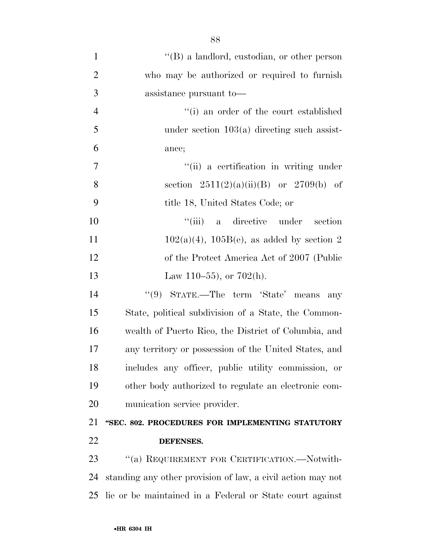| $\mathbf{1}$   | $\lq\lq (B)$ a landlord, custodian, or other person         |
|----------------|-------------------------------------------------------------|
| $\overline{2}$ | who may be authorized or required to furnish                |
| 3              | assistance pursuant to-                                     |
| $\overline{4}$ | "(i) an order of the court established                      |
| 5              | under section $103(a)$ directing such assist-               |
| 6              | ance;                                                       |
| 7              | "(ii) a certification in writing under                      |
| 8              | section $2511(2)(a)(ii)(B)$ or $2709(b)$ of                 |
| 9              | title 18, United States Code; or                            |
| 10             | ``(iii)<br>a directive under<br>section                     |
| <sup>11</sup>  | $102(a)(4)$ , $105B(e)$ , as added by section 2             |
| 12             | of the Protect America Act of 2007 (Public                  |
| 13             | Law 110–55), or $702(h)$ .                                  |
| 14             | "(9) STATE.—The term 'State' means<br>any                   |
| 15             | State, political subdivision of a State, the Common-        |
| 16             | wealth of Puerto Rico, the District of Columbia, and        |
| 17             | any territory or possession of the United States, and       |
| 18             | includes any officer, public utility commission, or         |
| 19             | other body authorized to regulate an electronic com-        |
| 20             | munication service provider.                                |
| 21             | "SEC. 802. PROCEDURES FOR IMPLEMENTING STATUTORY            |
| 22             | DEFENSES.                                                   |
| 23             | "(a) REQUIREMENT FOR CERTIFICATION.—Notwith-                |
| 24             | standing any other provision of law, a civil action may not |
| 25             | lie or be maintained in a Federal or State court against    |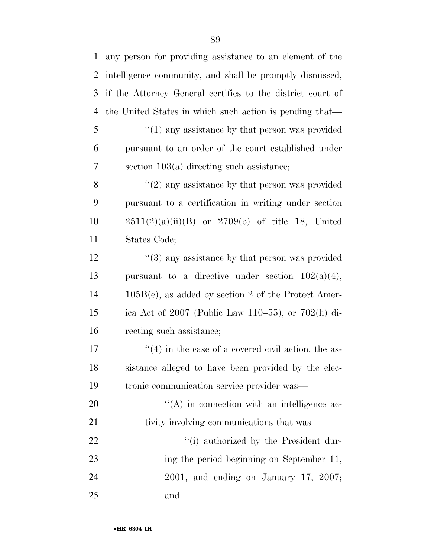| 1  | any person for providing assistance to an element of the    |
|----|-------------------------------------------------------------|
| 2  | intelligence community, and shall be promptly dismissed,    |
| 3  | if the Attorney General certifies to the district court of  |
| 4  | the United States in which such action is pending that—     |
| 5  | $\cdot\cdot(1)$ any assistance by that person was provided  |
| 6  | pursuant to an order of the court established under         |
| 7  | section $103(a)$ directing such assistance;                 |
| 8  | $f'(2)$ any assistance by that person was provided          |
| 9  | pursuant to a certification in writing under section        |
| 10 | $2511(2)(a)(ii)(B)$ or $2709(b)$ of title 18, United        |
| 11 | States Code;                                                |
| 12 | $\cdot\cdot$ (3) any assistance by that person was provided |
| 13 | pursuant to a directive under section $102(a)(4)$ ,         |
| 14 | $105B(e)$ , as added by section 2 of the Protect Amer-      |
| 15 | ica Act of 2007 (Public Law 110–55), or 702(h) di-          |
| 16 | recting such assistance;                                    |
| 17 | $\cdot$ (4) in the case of a covered civil action, the as-  |
| 18 | sistance alleged to have been provided by the elec-         |
| 19 | tronic communication service provider was—                  |
| 20 | "(A) in connection with an intelligence ac-                 |
| 21 | tivity involving communications that was—                   |
| 22 | "(i) authorized by the President dur-                       |
| 23 | ing the period beginning on September 11,                   |
| 24 | $2001$ , and ending on January 17, $2007$ ;                 |
| 25 | and                                                         |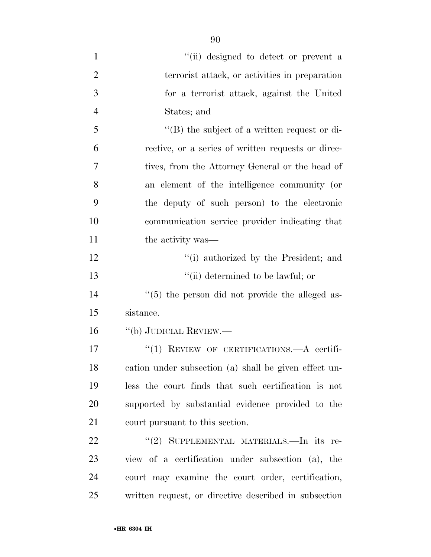| $\mathbf{1}$   | "(ii) designed to detect or prevent a                 |
|----------------|-------------------------------------------------------|
| $\overline{2}$ | terrorist attack, or activities in preparation        |
| 3              | for a terrorist attack, against the United            |
| $\overline{4}$ | States; and                                           |
| 5              | $\lq\lq$ the subject of a written request or di-      |
| 6              | rective, or a series of written requests or direc-    |
| 7              | tives, from the Attorney General or the head of       |
| 8              | an element of the intelligence community (or          |
| 9              | the deputy of such person) to the electronic          |
| 10             | communication service provider indicating that        |
| 11             | the activity was—                                     |
| 12             | "(i) authorized by the President; and                 |
| 13             | "(ii) determined to be lawful; or                     |
| 14             | $\lq(5)$ the person did not provide the alleged as-   |
| 15             | sistance.                                             |
| 16             | "(b) JUDICIAL REVIEW.—                                |
| 17             | "(1) REVIEW OF CERTIFICATIONS.—A certifi-             |
| 18             | cation under subsection (a) shall be given effect un- |
| 19             | less the court finds that such certification is not   |
| 20             | supported by substantial evidence provided to the     |
| 21             | court pursuant to this section.                       |
| 22             | "(2) SUPPLEMENTAL MATERIALS.—In its re-               |
| 23             | view of a certification under subsection (a), the     |
| 24             | court may examine the court order, certification,     |
| 25             | written request, or directive described in subsection |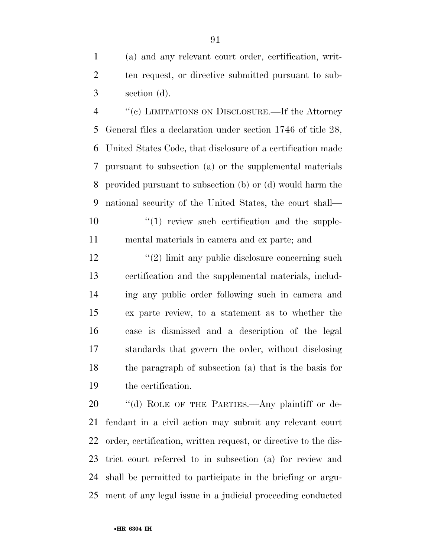(a) and any relevant court order, certification, writ- ten request, or directive submitted pursuant to sub-section (d).

 ''(c) LIMITATIONS ON DISCLOSURE.—If the Attorney General files a declaration under section 1746 of title 28, United States Code, that disclosure of a certification made pursuant to subsection (a) or the supplemental materials provided pursuant to subsection (b) or (d) would harm the national security of the United States, the court shall—  $(1)$  review such certification and the supple-

mental materials in camera and ex parte; and

12 ''(2) limit any public disclosure concerning such certification and the supplemental materials, includ- ing any public order following such in camera and ex parte review, to a statement as to whether the case is dismissed and a description of the legal standards that govern the order, without disclosing the paragraph of subsection (a) that is the basis for the certification.

20 "(d) ROLE OF THE PARTIES.—Any plaintiff or de- fendant in a civil action may submit any relevant court order, certification, written request, or directive to the dis- trict court referred to in subsection (a) for review and shall be permitted to participate in the briefing or argu-ment of any legal issue in a judicial proceeding conducted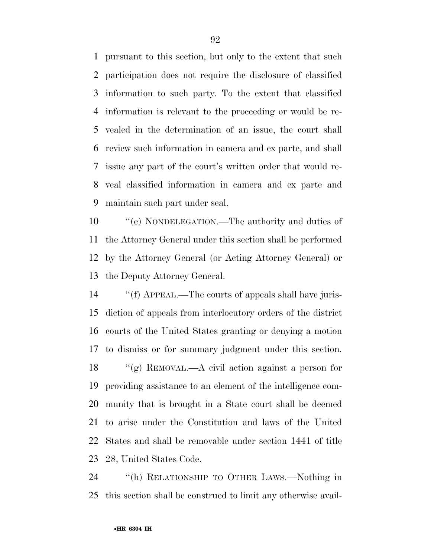pursuant to this section, but only to the extent that such participation does not require the disclosure of classified information to such party. To the extent that classified information is relevant to the proceeding or would be re- vealed in the determination of an issue, the court shall review such information in camera and ex parte, and shall issue any part of the court's written order that would re- veal classified information in camera and ex parte and maintain such part under seal.

 ''(e) NONDELEGATION.—The authority and duties of the Attorney General under this section shall be performed by the Attorney General (or Acting Attorney General) or the Deputy Attorney General.

 ''(f) APPEAL.—The courts of appeals shall have juris- diction of appeals from interlocutory orders of the district courts of the United States granting or denying a motion to dismiss or for summary judgment under this section. ''(g) REMOVAL.—A civil action against a person for providing assistance to an element of the intelligence com- munity that is brought in a State court shall be deemed to arise under the Constitution and laws of the United States and shall be removable under section 1441 of title 28, United States Code.

 ''(h) RELATIONSHIP TO OTHER LAWS.—Nothing in this section shall be construed to limit any otherwise avail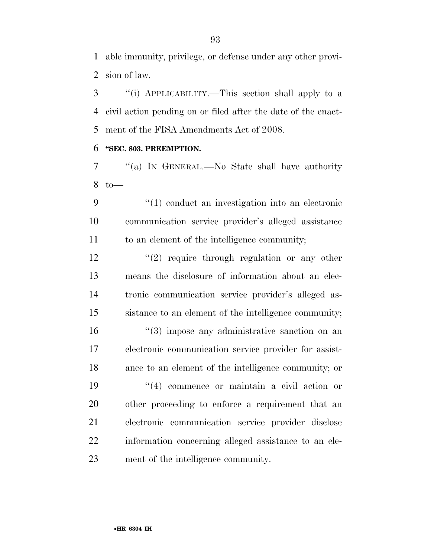able immunity, privilege, or defense under any other provi-sion of law.

 ''(i) APPLICABILITY.—This section shall apply to a civil action pending on or filed after the date of the enact-ment of the FISA Amendments Act of 2008.

#### **''SEC. 803. PREEMPTION.**

 ''(a) IN GENERAL.—No State shall have authority to—

 ''(1) conduct an investigation into an electronic communication service provider's alleged assistance to an element of the intelligence community;

 $\frac{12}{2}$  ''(2) require through regulation or any other means the disclosure of information about an elec- tronic communication service provider's alleged as-sistance to an element of the intelligence community;

16 ''(3) impose any administrative sanction on an electronic communication service provider for assist- ance to an element of the intelligence community; or ''(4) commence or maintain a civil action or other proceeding to enforce a requirement that an electronic communication service provider disclose information concerning alleged assistance to an ele-ment of the intelligence community.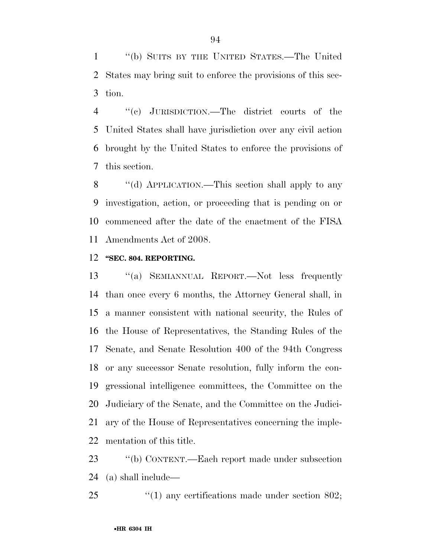''(b) SUITS BY THE UNITED STATES.—The United States may bring suit to enforce the provisions of this sec-tion.

 ''(c) JURISDICTION.—The district courts of the United States shall have jurisdiction over any civil action brought by the United States to enforce the provisions of this section.

8 "(d) APPLICATION.—This section shall apply to any investigation, action, or proceeding that is pending on or commenced after the date of the enactment of the FISA Amendments Act of 2008.

#### **''SEC. 804. REPORTING.**

 ''(a) SEMIANNUAL REPORT.—Not less frequently than once every 6 months, the Attorney General shall, in a manner consistent with national security, the Rules of the House of Representatives, the Standing Rules of the Senate, and Senate Resolution 400 of the 94th Congress or any successor Senate resolution, fully inform the con- gressional intelligence committees, the Committee on the Judiciary of the Senate, and the Committee on the Judici- ary of the House of Representatives concerning the imple-mentation of this title.

 ''(b) CONTENT.—Each report made under subsection (a) shall include—

25  $\frac{1}{25}$  (1) any certifications made under section 802;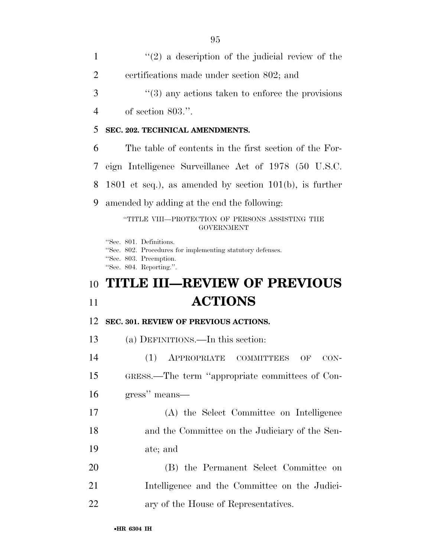$\mathcal{L}(2)$  a description of the judicial review of the certifications made under section 802; and 3 ''(3) any actions taken to enforce the provisions of section 803.''. **SEC. 202. TECHNICAL AMENDMENTS.**  The table of contents in the first section of the For- eign Intelligence Surveillance Act of 1978 (50 U.S.C. 1801 et seq.), as amended by section 101(b), is further amended by adding at the end the following: ''TITLE VIII—PROTECTION OF PERSONS ASSISTING THE GOVERNMENT ''Sec. 801. Definitions. ''Sec. 802. Procedures for implementing statutory defenses. ''Sec. 803. Preemption. ''Sec. 804. Reporting.''. **TITLE III—REVIEW OF PREVIOUS ACTIONS** 

#### **SEC. 301. REVIEW OF PREVIOUS ACTIONS.**

(a) DEFINITIONS.—In this section:

 (1) APPROPRIATE COMMITTEES OF CON- GRESS.—The term ''appropriate committees of Con- gress'' means— (A) the Select Committee on Intelligence and the Committee on the Judiciary of the Sen-ate; and

 (B) the Permanent Select Committee on Intelligence and the Committee on the Judici-ary of the House of Representatives.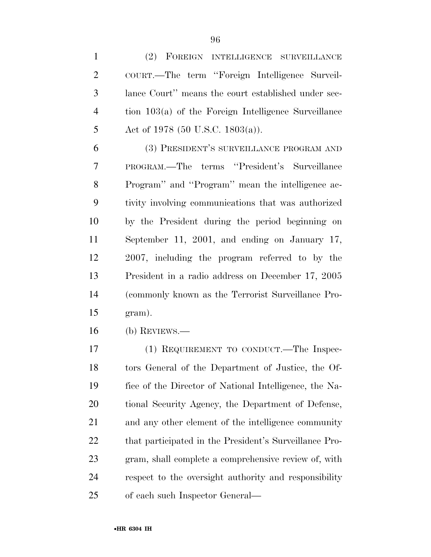(2) FOREIGN INTELLIGENCE SURVEILLANCE COURT.—The term ''Foreign Intelligence Surveil- lance Court'' means the court established under sec- tion 103(a) of the Foreign Intelligence Surveillance 5 Act of 1978 (50 U.S.C. 1803(a)).

 (3) PRESIDENT'S SURVEILLANCE PROGRAM AND PROGRAM.—The terms ''President's Surveillance Program'' and ''Program'' mean the intelligence ac- tivity involving communications that was authorized by the President during the period beginning on September 11, 2001, and ending on January 17, 2007, including the program referred to by the President in a radio address on December 17, 2005 (commonly known as the Terrorist Surveillance Pro-gram).

(b) REVIEWS.—

 (1) REQUIREMENT TO CONDUCT.—The Inspec- tors General of the Department of Justice, the Of- fice of the Director of National Intelligence, the Na- tional Security Agency, the Department of Defense, and any other element of the intelligence community that participated in the President's Surveillance Pro- gram, shall complete a comprehensive review of, with respect to the oversight authority and responsibility of each such Inspector General—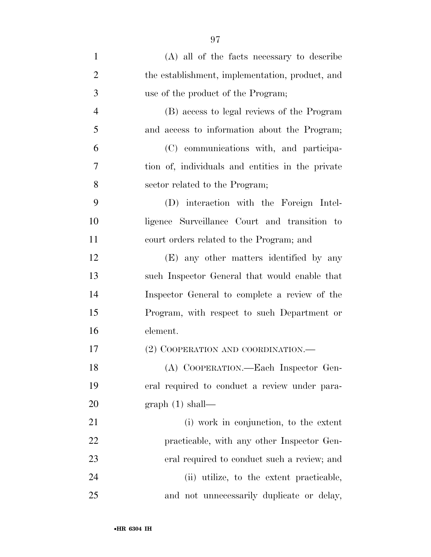| $\mathbf{1}$   | (A) all of the facts necessary to describe       |
|----------------|--------------------------------------------------|
| $\overline{2}$ | the establishment, implementation, product, and  |
| 3              | use of the product of the Program;               |
| $\overline{4}$ | (B) access to legal reviews of the Program       |
| 5              | and access to information about the Program;     |
| 6              | (C) communications with, and participa-          |
| 7              | tion of, individuals and entities in the private |
| 8              | sector related to the Program;                   |
| 9              | (D) interaction with the Foreign Intel-          |
| 10             | ligence Surveillance Court and transition to     |
| 11             | court orders related to the Program; and         |
| 12             | (E) any other matters identified by any          |
| 13             | such Inspector General that would enable that    |
| 14             | Inspector General to complete a review of the    |
| 15             | Program, with respect to such Department or      |
| 16             | element.                                         |
| 17             | (2) COOPERATION AND COORDINATION.—               |
| 18             | (A) COOPERATION.—Each Inspector Gen-             |
| 19             | eral required to conduct a review under para-    |
| 20             | $graph(1) shall$ —                               |
| 21             | (i) work in conjunction, to the extent           |
| 22             | practicable, with any other Inspector Gen-       |
| 23             | eral required to conduct such a review; and      |
| 24             | (ii) utilize, to the extent practicable,         |
| $25\,$         | and not unnecessarily duplicate or delay,        |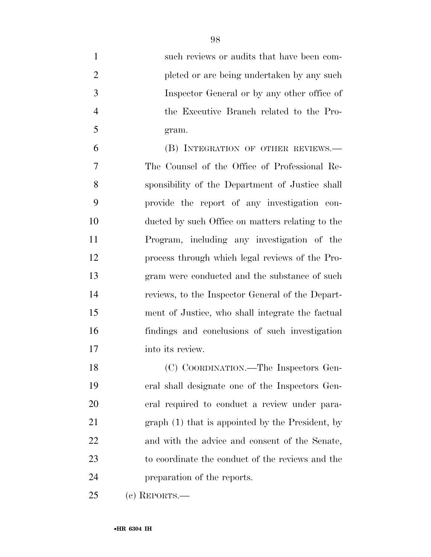| $\mathbf{1}$   | such reviews or audits that have been com-       |
|----------------|--------------------------------------------------|
| $\overline{2}$ | pleted or are being undertaken by any such       |
| 3              | Inspector General or by any other office of      |
| $\overline{4}$ | the Executive Branch related to the Pro-         |
| 5              | gram.                                            |
| 6              | (B) INTEGRATION OF OTHER REVIEWS.—               |
| 7              | The Counsel of the Office of Professional Re-    |
| 8              | sponsibility of the Department of Justice shall  |
| 9              | provide the report of any investigation con-     |
| 10             | ducted by such Office on matters relating to the |
| 11             | Program, including any investigation of the      |
| 12             | process through which legal reviews of the Pro-  |
| 13             | gram were conducted and the substance of such    |
| 14             | reviews, to the Inspector General of the Depart- |
| 15             | ment of Justice, who shall integrate the factual |
| 16             | findings and conclusions of such investigation   |
| 17             | into its review.                                 |
| 18             | (C) COORDINATION.—The Inspectors Gen-            |
| 19             | eral shall designate one of the Inspectors Gen-  |
| 20             | eral required to conduct a review under para-    |
| 21             | graph (1) that is appointed by the President, by |
| 22             | and with the advice and consent of the Senate,   |
| 23             | to coordinate the conduct of the reviews and the |
| 24             | preparation of the reports.                      |
| 25             | $(c)$ REPORTS.—                                  |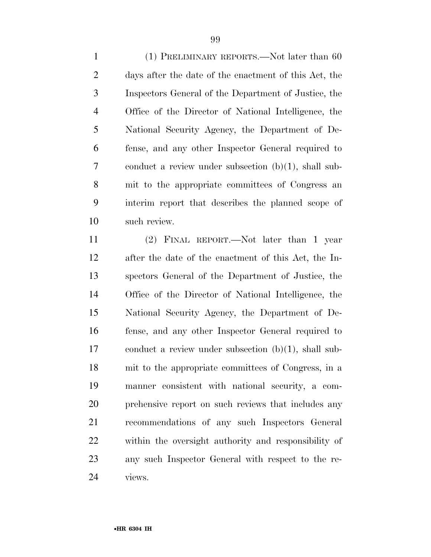(1) PRELIMINARY REPORTS.—Not later than 60 days after the date of the enactment of this Act, the Inspectors General of the Department of Justice, the Office of the Director of National Intelligence, the National Security Agency, the Department of De- fense, and any other Inspector General required to conduct a review under subsection (b)(1), shall sub- mit to the appropriate committees of Congress an interim report that describes the planned scope of such review.

 (2) FINAL REPORT.—Not later than 1 year after the date of the enactment of this Act, the In- spectors General of the Department of Justice, the Office of the Director of National Intelligence, the National Security Agency, the Department of De- fense, and any other Inspector General required to conduct a review under subsection (b)(1), shall sub- mit to the appropriate committees of Congress, in a manner consistent with national security, a com- prehensive report on such reviews that includes any recommendations of any such Inspectors General within the oversight authority and responsibility of any such Inspector General with respect to the re-views.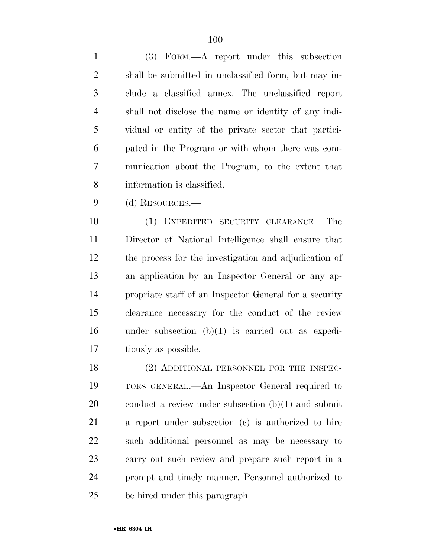(3) FORM.—A report under this subsection shall be submitted in unclassified form, but may in- clude a classified annex. The unclassified report shall not disclose the name or identity of any indi- vidual or entity of the private sector that partici- pated in the Program or with whom there was com- munication about the Program, to the extent that information is classified.

(d) RESOURCES.—

 (1) EXPEDITED SECURITY CLEARANCE.—The Director of National Intelligence shall ensure that the process for the investigation and adjudication of an application by an Inspector General or any ap- propriate staff of an Inspector General for a security clearance necessary for the conduct of the review under subsection (b)(1) is carried out as expedi-tiously as possible.

18 (2) ADDITIONAL PERSONNEL FOR THE INSPEC- TORS GENERAL.—An Inspector General required to conduct a review under subsection (b)(1) and submit a report under subsection (c) is authorized to hire such additional personnel as may be necessary to carry out such review and prepare such report in a prompt and timely manner. Personnel authorized to be hired under this paragraph—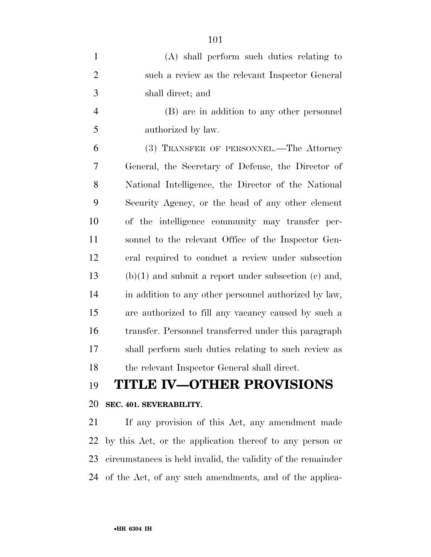| $\mathbf{1}$   | (A) shall perform such duties relating to              |
|----------------|--------------------------------------------------------|
| $\overline{2}$ | such a review as the relevant Inspector General        |
| 3              | shall direct; and                                      |
| $\overline{4}$ | (B) are in addition to any other personnel             |
| 5              | authorized by law.                                     |
| 6              | (3) TRANSFER OF PERSONNEL.—The Attorney                |
| 7              | General, the Secretary of Defense, the Director of     |
| 8              | National Intelligence, the Director of the National    |
| 9              | Security Agency, or the head of any other element      |
| 10             | of the intelligence community may transfer per-        |
| 11             | sonnel to the relevant Office of the Inspector Gen-    |
| 12             | eral required to conduct a review under subsection     |
| 13             | $(b)(1)$ and submit a report under subsection (c) and, |
| 14             | in addition to any other personnel authorized by law,  |
| 15             | are authorized to fill any vacancy caused by such a    |
| 16             | transfer. Personnel transferred under this paragraph   |
| 17             | shall perform such duties relating to such review as   |
| 18             | the relevant Inspector General shall direct.           |
| 1 <sub>0</sub> | TITI F IV OTHER DROVISIONS                             |

# **TITLE IV—OTHER PROVISIONS**

## **SEC. 401. SEVERABILITY.**

 If any provision of this Act, any amendment made by this Act, or the application thereof to any person or circumstances is held invalid, the validity of the remainder of the Act, of any such amendments, and of the applica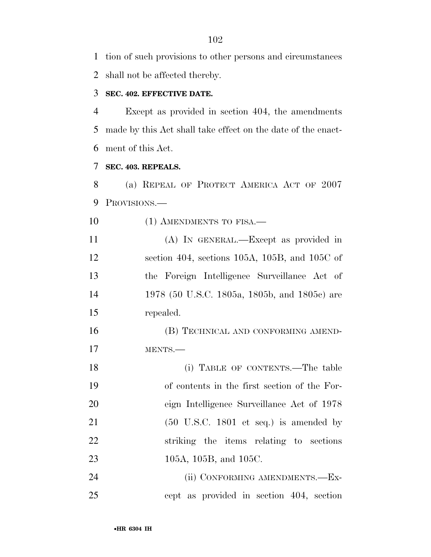tion of such provisions to other persons and circumstances

shall not be affected thereby.

## **SEC. 402. EFFECTIVE DATE.**

 Except as provided in section 404, the amendments made by this Act shall take effect on the date of the enact-ment of this Act.

# **SEC. 403. REPEALS.**

 (a) REPEAL OF PROTECT AMERICA ACT OF 2007 PROVISIONS.—

10 (1) AMENDMENTS TO FISA.—

 (A) IN GENERAL.—Except as provided in section 404, sections 105A, 105B, and 105C of the Foreign Intelligence Surveillance Act of 1978 (50 U.S.C. 1805a, 1805b, and 1805c) are repealed.

 (B) TECHNICAL AND CONFORMING AMEND-MENTS.—

18 (i) TABLE OF CONTENTS.—The table of contents in the first section of the For- eign Intelligence Surveillance Act of 1978 (50 U.S.C. 1801 et seq.) is amended by striking the items relating to sections 23 105A, 105B, and 105C.

24 (ii) CONFORMING AMENDMENTS.—Ex-cept as provided in section 404, section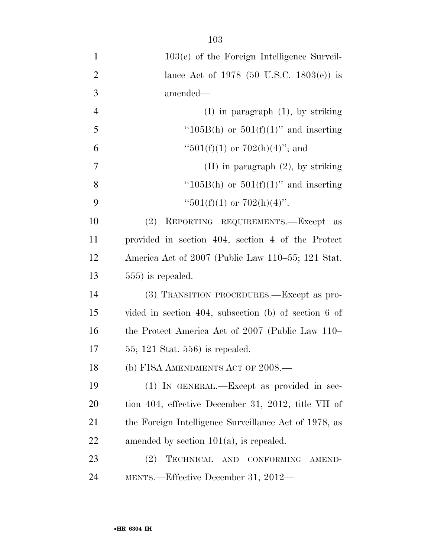| $\mathbf{1}$   | $103(e)$ of the Foreign Intelligence Surveil-                  |
|----------------|----------------------------------------------------------------|
| $\overline{2}$ | lance Act of 1978 (50 U.S.C. 1803(e)) is                       |
| 3              | amended—                                                       |
| $\overline{4}$ | $(I)$ in paragraph $(1)$ , by striking                         |
| 5              | "105B(h) or $501(f)(1)$ " and inserting                        |
| 6              | " $501(f)(1)$ or $702(h)(4)$ "; and                            |
| $\overline{7}$ | $(II)$ in paragraph $(2)$ , by striking                        |
| 8              | " $105B(h)$ or $501(f)(1)$ " and inserting                     |
| 9              | " $501(f)(1)$ or $702(h)(4)$ ".                                |
| 10             | (2) REPORTING REQUIREMENTS.-Except as                          |
| 11             | provided in section 404, section 4 of the Protect              |
| 12             | America Act of 2007 (Public Law 110–55; 121 Stat.              |
| 13             | $555$ ) is repealed.                                           |
| 14             | (3) TRANSITION PROCEDURES.—Except as pro-                      |
| 15             | vided in section 404, subsection (b) of section $6 \text{ of}$ |
| 16             | the Protect America Act of 2007 (Public Law 110–               |
| 17             | $55; 121$ Stat. $556$ ) is repealed.                           |
| 18             | (b) FISA AMENDMENTS ACT OF $2008$ .                            |
| 19             | $(1)$ In GENERAL.—Except as provided in sec-                   |
| <b>20</b>      | tion 404, effective December 31, 2012, title VII of            |
| 21             | the Foreign Intelligence Surveillance Act of 1978, as          |
| 22             | amended by section $101(a)$ , is repealed.                     |
| 23             | (2)<br>TECHNICAL AND<br><b>CONFORMING</b><br>AMEND-            |
| 24             | MENTS.—Effective December 31, 2012—                            |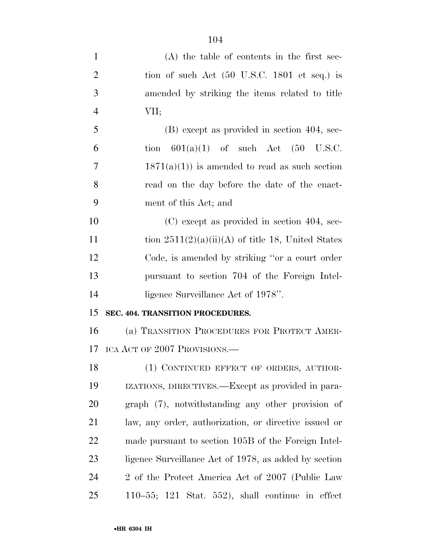| $\mathbf{1}$   | $(A)$ the table of contents in the first sec-                   |
|----------------|-----------------------------------------------------------------|
| $\overline{2}$ | tion of such Act $(50 \text{ U.S.C. } 1801 \text{ et seq.})$ is |
| 3              | amended by striking the items related to title                  |
| $\overline{4}$ | VII;                                                            |
| 5              | (B) except as provided in section 404, sec-                     |
| 6              | tion $601(a)(1)$ of such Act $(50 \text{ U.S.C.})$              |
| 7              | $1871(a)(1)$ is amended to read as such section                 |
| 8              | read on the day before the date of the enact-                   |
| 9              | ment of this Act; and                                           |
| 10             | $(C)$ except as provided in section 404, sec-                   |
| 11             | tion $2511(2)(a)(ii)(A)$ of title 18, United States             |
| 12             | Code, is amended by striking "or a court order                  |
| 13             | pursuant to section 704 of the Foreign Intel-                   |
| 14             | ligence Surveillance Act of 1978".                              |
| 15             | SEC. 404. TRANSITION PROCEDURES.                                |
| 16             | (a) TRANSITION PROCEDURES FOR PROTECT AMER-                     |
| 17             | ICA ACT OF 2007 PROVISIONS.—                                    |
| 18             | (1) CONTINUED EFFECT OF ORDERS, AUTHOR-                         |
| 19             | IZATIONS, DIRECTIVES.—Except as provided in para-               |
| 20             | graph (7), notwithstanding any other provision of               |
| 21             | law, any order, authorization, or directive issued or           |
| 22             | made pursuant to section 105B of the Foreign Intel-             |
| 23             | ligence Surveillance Act of 1978, as added by section           |
| 24             | 2 of the Protect America Act of 2007 (Public Law                |
| 25             | 110–55; 121 Stat. 552), shall continue in effect                |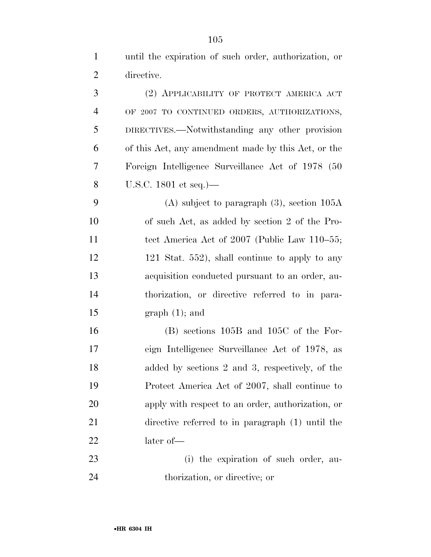until the expiration of such order, authorization, or directive. (2) APPLICABILITY OF PROTECT AMERICA ACT OF 2007 TO CONTINUED ORDERS, AUTHORIZATIONS,

 DIRECTIVES.—Notwithstanding any other provision of this Act, any amendment made by this Act, or the Foreign Intelligence Surveillance Act of 1978 (50 U.S.C. 1801 et seq.)—

 (A) subject to paragraph (3), section 105A of such Act, as added by section 2 of the Pro-11 tect America Act of 2007 (Public Law 110–55; 12 121 Stat. 552), shall continue to apply to any acquisition conducted pursuant to an order, au- thorization, or directive referred to in para-15 graph  $(1)$ ; and

 (B) sections 105B and 105C of the For- eign Intelligence Surveillance Act of 1978, as added by sections 2 and 3, respectively, of the Protect America Act of 2007, shall continue to apply with respect to an order, authorization, or directive referred to in paragraph (1) until the later of—

 (i) the expiration of such order, au-thorization, or directive; or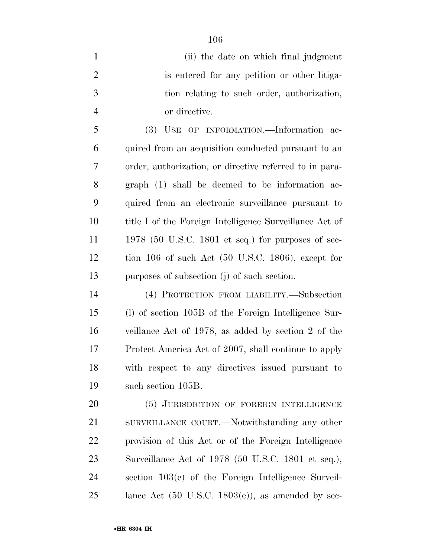(ii) the date on which final judgment is entered for any petition or other litiga- tion relating to such order, authorization, or directive.

 (3) USE OF INFORMATION.—Information ac- quired from an acquisition conducted pursuant to an order, authorization, or directive referred to in para- graph (1) shall be deemed to be information ac- quired from an electronic surveillance pursuant to title I of the Foreign Intelligence Surveillance Act of 1978 (50 U.S.C. 1801 et seq.) for purposes of sec- tion 106 of such Act (50 U.S.C. 1806), except for purposes of subsection (j) of such section.

 (4) PROTECTION FROM LIABILITY.—Subsection (l) of section 105B of the Foreign Intelligence Sur- veillance Act of 1978, as added by section 2 of the Protect America Act of 2007, shall continue to apply with respect to any directives issued pursuant to such section 105B.

20 (5) JURISDICTION OF FOREIGN INTELLIGENCE 21 SURVEILLANCE COURT.—Notwithstanding any other provision of this Act or of the Foreign Intelligence Surveillance Act of 1978 (50 U.S.C. 1801 et seq.), section 103(e) of the Foreign Intelligence Surveil-lance Act (50 U.S.C. 1803(e)), as amended by sec-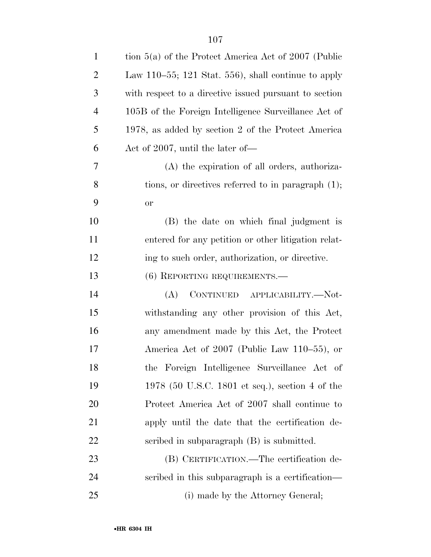| $\mathbf{1}$   | tion $5(a)$ of the Protect America Act of 2007 (Public |
|----------------|--------------------------------------------------------|
| $\overline{2}$ | Law 110–55; 121 Stat. 556), shall continue to apply    |
| 3              | with respect to a directive issued pursuant to section |
| $\overline{4}$ | 105B of the Foreign Intelligence Surveillance Act of   |
| 5              | 1978, as added by section 2 of the Protect America     |
| 6              | Act of 2007, until the later of—                       |
| 7              | (A) the expiration of all orders, authoriza-           |
| 8              | tions, or directives referred to in paragraph $(1)$ ;  |
| 9              | <b>or</b>                                              |
| 10             | (B) the date on which final judgment is                |
| 11             | entered for any petition or other litigation relat-    |
| 12             | ing to such order, authorization, or directive.        |
| 13             | $(6)$ REPORTING REQUIREMENTS.—                         |
| 14             | CONTINUED APPLICABILITY.—Not-<br>(A)                   |
| 15             | withstanding any other provision of this Act,          |
| 16             | any amendment made by this Act, the Protect            |
| 17             | America Act of 2007 (Public Law 110–55), or            |
| 18             | the Foreign Intelligence Surveillance Act of           |
| 19             | 1978 (50 U.S.C. 1801 et seq.), section 4 of the        |
| 20             | Protect America Act of 2007 shall continue to          |
| 21             | apply until the date that the certification de-        |
| 22             | scribed in subparagraph (B) is submitted.              |
| 23             | (B) CERTIFICATION.—The certification de-               |
| 24             | scribed in this subparagraph is a certification—       |
| 25             | (i) made by the Attorney General;                      |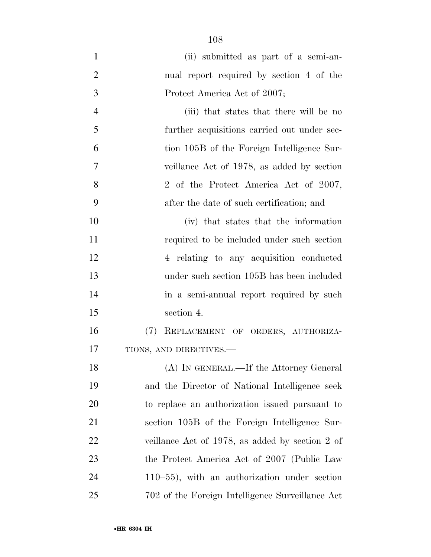| $\mathbf{1}$   | (ii) submitted as part of a semi-an-             |
|----------------|--------------------------------------------------|
| $\overline{2}$ | nual report required by section 4 of the         |
| 3              | Protect America Act of 2007;                     |
| $\overline{4}$ | (iii) that states that there will be no          |
| 5              | further acquisitions carried out under sec-      |
| 6              | tion 105B of the Foreign Intelligence Sur-       |
| 7              | veillance Act of 1978, as added by section       |
| 8              | 2 of the Protect America Act of 2007,            |
| 9              | after the date of such certification; and        |
| 10             | (iv) that states that the information            |
| 11             | required to be included under such section       |
| 12             | 4 relating to any acquisition conducted          |
| 13             | under such section 105B has been included        |
| 14             | in a semi-annual report required by such         |
| 15             | section 4.                                       |
| 16             | (7)<br>REPLACEMENT OF ORDERS, AUTHORIZA-         |
| 17             | TIONS, AND DIRECTIVES.-                          |
| 18             | (A) IN GENERAL.—If the Attorney General          |
| 19             | and the Director of National Intelligence seek   |
| 20             | to replace an authorization issued pursuant to   |
| 21             | section 105B of the Foreign Intelligence Sur-    |
| 22             | veillance Act of 1978, as added by section 2 of  |
| 23             | the Protect America Act of 2007 (Public Law      |
| 24             | $110-55$ ), with an authorization under section  |
| 25             | 702 of the Foreign Intelligence Surveillance Act |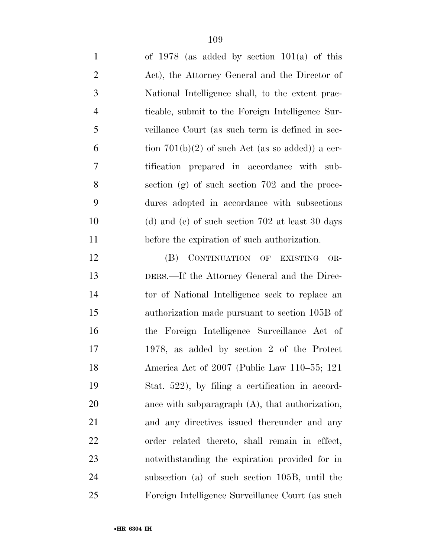| $\mathbf{1}$   | of $1978$ (as added by section $101(a)$ of this    |
|----------------|----------------------------------------------------|
| $\overline{2}$ | Act), the Attorney General and the Director of     |
| 3              | National Intelligence shall, to the extent prac-   |
| $\overline{4}$ | ticable, submit to the Foreign Intelligence Sur-   |
| 5              | veillance Court (as such term is defined in sec-   |
| 6              | tion $701(b)(2)$ of such Act (as so added)) a cer- |
| 7              | tification prepared in accordance with sub-        |
| 8              | section (g) of such section 702 and the proce-     |
| 9              | dures adopted in accordance with subsections       |
| 10             | (d) and (e) of such section $702$ at least 30 days |
| 11             | before the expiration of such authorization.       |
| 12             | CONTINUATION OF EXISTING<br>(B)<br>OR-             |
| 13             | DERS.—If the Attorney General and the Direc-       |
| 14             | tor of National Intelligence seek to replace an    |
| 15             | authorization made pursuant to section 105B of     |
| 16             | the Foreign Intelligence Surveillance Act of       |
| 17             | 1978, as added by section 2 of the Protect         |
| 18             | America Act of 2007 (Public Law 110-55; 121        |
| 19             | Stat. 522), by filing a certification in accord-   |
| 20             | ance with subparagraph $(A)$ , that authorization, |
| 21             | and any directives issued thereunder and any       |
| 22             | order related thereto, shall remain in effect,     |
| 23             | notwithstanding the expiration provided for in     |
| 24             | subsection (a) of such section 105B, until the     |
| 25             | Foreign Intelligence Surveillance Court (as such   |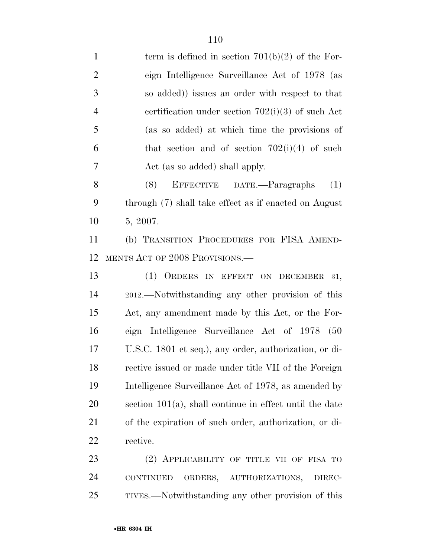1 term is defined in section  $701(b)(2)$  of the For- eign Intelligence Surveillance Act of 1978 (as so added)) issues an order with respect to that certification under section 702(i)(3) of such Act (as so added) at which time the provisions of 6 that section and of section  $702(i)(4)$  of such Act (as so added) shall apply. (8) EFFECTIVE DATE.—Paragraphs (1) through (7) shall take effect as if enacted on August 5, 2007. (b) TRANSITION PROCEDURES FOR FISA AMEND- MENTS ACT OF 2008 PROVISIONS.— (1) ORDERS IN EFFECT ON DECEMBER 31, 2012.—Notwithstanding any other provision of this Act, any amendment made by this Act, or the For- eign Intelligence Surveillance Act of 1978 (50 U.S.C. 1801 et seq.), any order, authorization, or di- rective issued or made under title VII of the Foreign Intelligence Surveillance Act of 1978, as amended by section 101(a), shall continue in effect until the date of the expiration of such order, authorization, or di- rective. 23 (2) APPLICABILITY OF TITLE VII OF FISA TO CONTINUED ORDERS, AUTHORIZATIONS, DIREC-TIVES.—Notwithstanding any other provision of this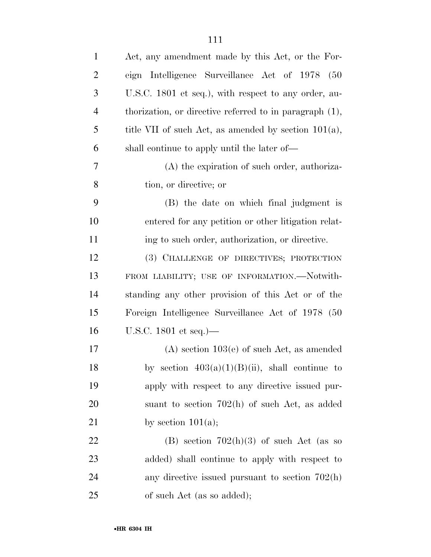| $\mathbf{1}$   | Act, any amendment made by this Act, or the For-           |
|----------------|------------------------------------------------------------|
| $\overline{2}$ | eign Intelligence Surveillance Act of 1978<br>(50)         |
| 3              | U.S.C. 1801 et seq.), with respect to any order, au-       |
| $\overline{4}$ | thorization, or directive referred to in paragraph $(1)$ , |
| 5              | title VII of such Act, as amended by section $101(a)$ ,    |
| 6              | shall continue to apply until the later of—                |
| 7              | (A) the expiration of such order, authoriza-               |
| 8              | tion, or directive; or                                     |
| 9              | (B) the date on which final judgment is                    |
| 10             | entered for any petition or other litigation relat-        |
| 11             | ing to such order, authorization, or directive.            |
| 12             | (3) CHALLENGE OF DIRECTIVES; PROTECTION                    |
| 13             | FROM LIABILITY; USE OF INFORMATION.-Notwith-               |
| 14             | standing any other provision of this Act or of the         |
| 15             | Foreign Intelligence Surveillance Act of 1978 (50          |
| 16             | U.S.C. 1801 et seq.)—                                      |
| 17             | $(A)$ section 103(e) of such Act, as amended               |
| 18             | by section $403(a)(1)(B)(ii)$ , shall continue to          |
| 19             | apply with respect to any directive issued pur-            |
| 20             | suant to section $702(h)$ of such Act, as added            |
| 21             | by section $101(a)$ ;                                      |
| 22             | (B) section $702(h)(3)$ of such Act (as so                 |
| 23             | added) shall continue to apply with respect to             |
| 24             | any directive issued pursuant to section $702(h)$          |
| 25             | of such Act (as so added);                                 |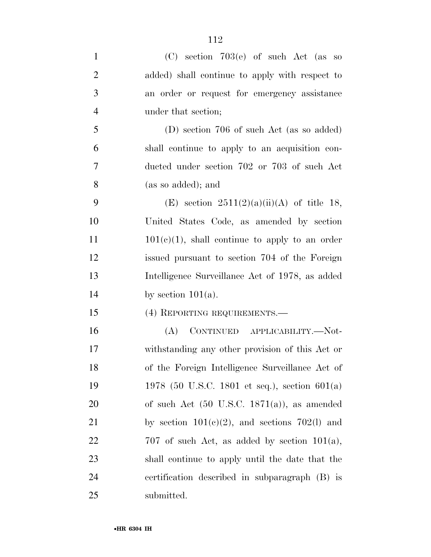| $\mathbf{1}$   | $(C)$ section 703 $(e)$ of such Act (as so              |
|----------------|---------------------------------------------------------|
| $\overline{2}$ | added) shall continue to apply with respect to          |
| 3              | an order or request for emergency assistance            |
| $\overline{4}$ | under that section;                                     |
| 5              | (D) section 706 of such Act (as so added)               |
| 6              | shall continue to apply to an acquisition con-          |
| 7              | ducted under section 702 or 703 of such Act             |
| 8              | (as so added); and                                      |
| 9              | (E) section $2511(2)(a)(ii)(A)$ of title 18,            |
| 10             | United States Code, as amended by section               |
| 11             | $101(c)(1)$ , shall continue to apply to an order       |
| 12             | issued pursuant to section 704 of the Foreign           |
| 13             | Intelligence Surveillance Act of 1978, as added         |
| 14             | by section $101(a)$ .                                   |
| 15             | (4) REPORTING REQUIREMENTS.—                            |
| 16             | CONTINUED APPLICABILITY.—Not-<br>(A)                    |
| 17             | withstanding any other provision of this Act or         |
| 18             | of the Foreign Intelligence Surveillance Act of         |
| 19             | 1978 (50 U.S.C. 1801 et seq.), section $601(a)$         |
| 20             | of such Act $(50 \text{ U.S.C. } 1871(a))$ , as amended |
| 21             | by section $101(c)(2)$ , and sections 702(1) and        |
| 22             | 707 of such Act, as added by section $101(a)$ ,         |
| 23             | shall continue to apply until the date that the         |
| 24             | certification described in subparagraph (B) is          |
| 25             | submitted.                                              |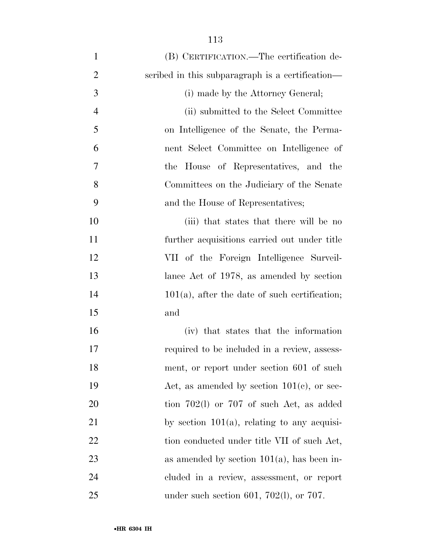| $\mathbf{1}$   | (B) CERTIFICATION.—The certification de-         |
|----------------|--------------------------------------------------|
| $\overline{2}$ | scribed in this subparagraph is a certification— |
| 3              | (i) made by the Attorney General;                |
| $\overline{4}$ | (ii) submitted to the Select Committee           |
| 5              | on Intelligence of the Senate, the Perma-        |
| 6              | nent Select Committee on Intelligence of         |
| 7              | the House of Representatives, and the            |
| 8              | Committees on the Judiciary of the Senate        |
| 9              | and the House of Representatives;                |
| 10             | (iii) that states that there will be no          |
| 11             | further acquisitions carried out under title     |
| 12             | VII of the Foreign Intelligence Surveil-         |
| 13             | lance Act of 1978, as amended by section         |
| 14             | $101(a)$ , after the date of such certification; |
| 15             | and                                              |
| 16             | (iv) that states that the information            |
| 17             | required to be included in a review, assess-     |
| 18             | ment, or report under section 601 of such        |
| 19             | Act, as amended by section $101(e)$ , or sec-    |
| 20             | tion $702(1)$ or $707$ of such Act, as added     |
| 21             | by section $101(a)$ , relating to any acquisi-   |
| 22             | tion conducted under title VII of such Act,      |
| 23             | as amended by section $101(a)$ , has been in-    |
| 24             | cluded in a review, assessment, or report        |
| 25             | under such section 601, 702(l), or 707.          |